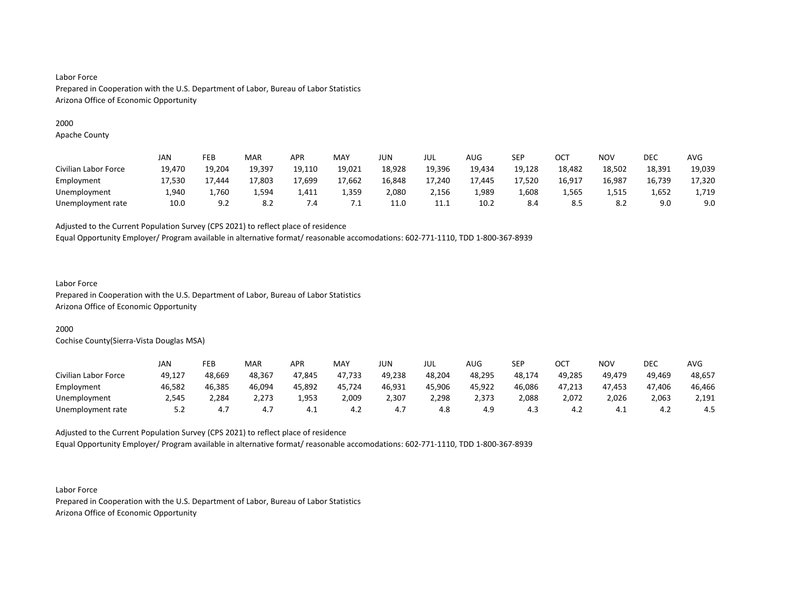# 2000

Apache County

|                      | JAN    | <b>FEB</b> | MAR     | APR         | <b>MAY</b> | JUN    | JUL    | AUG    | SEP    | ОСТ    | NOV    | <b>DEC</b> | AVG    |
|----------------------|--------|------------|---------|-------------|------------|--------|--------|--------|--------|--------|--------|------------|--------|
| Civilian Labor Force | 19,470 | 19,204     | 19,397  | 19,110      | 19,021     | 18,928 | 19,396 | 19,434 | 19,128 | 18,482 | 18,502 | 18,391     | 19,039 |
| Employment           | 17,530 | 7,444      | 17,803  | 17,699      | 17,662     | 16,848 | 17,240 | 17.445 | 17,520 | 16,917 | 16,987 | 16,739     | 17,320 |
| Unemployment         | 1.940  | 1.760      | ـ 594,⊾ | 1,411       | 1,359      | 2,080  | 2,156  | 1,989  | 1,608  | 1,565  | 1,515  | 1,652      | 1,719  |
| Unemployment rate    | 10.0   | 9.2        | 8.2     | $\sqrt{.4}$ |            | 11.0   | 11.1   | 10.2   | 8.4    | 8.5    | 8.2    | 9.0        | 9.0    |

Adjusted to the Current Population Survey (CPS 2021) to reflect place of residence

Equal Opportunity Employer/ Program available in alternative format/ reasonable accomodations: 602-771-1110, TDD 1-800-367-8939

# Labor Force

Prepared in Cooperation with the U.S. Department of Labor, Bureau of Labor Statistics Arizona Office of Economic Opportunity

# 2000

Cochise County(Sierra-Vista Douglas MSA)

|                      | JAN    | FEB    | <b>MAR</b> | APR    | MAY    | JUN    | JUL    | AUG    | SEP    | ост    | NOV    | DEC    | AVG    |
|----------------------|--------|--------|------------|--------|--------|--------|--------|--------|--------|--------|--------|--------|--------|
| Civilian Labor Force | 49,127 | 48,669 | 48,367     | 47,845 | 47,733 | 49,238 | 48,204 | 48,295 | 48,174 | 49,285 | 49,479 | 49.469 | 48,657 |
| Employment           | 46,582 | 46,385 | 46,094     | 45,892 | 45,724 | 46,931 | 45,906 | 45,922 | 46,086 | 47,213 | 47,453 | 47,406 | 46,466 |
| Unemployment         | 2,545  | 2,284  | 2,273      | 1,953  | 2,009  | 2,307  | 2,298  | 2,373  | 2,088  | 2,072  | 2,026  | 2,063  | 2,191  |
| Unemployment rate    | 5.2    | 4.7    | 4.7        | 4.⊥    | 4.2    | 4.7    | 4.8    | 4.9    | 4.3    | 4.4    | – 4.⊾  | 4.Z    | 4.5    |

Adjusted to the Current Population Survey (CPS 2021) to reflect place of residence Equal Opportunity Employer/ Program available in alternative format/ reasonable accomodations: 602-771-1110, TDD 1-800-367-8939

Labor Force Prepared in Cooperation with the U.S. Department of Labor, Bureau of Labor Statistics Arizona Office of Economic Opportunity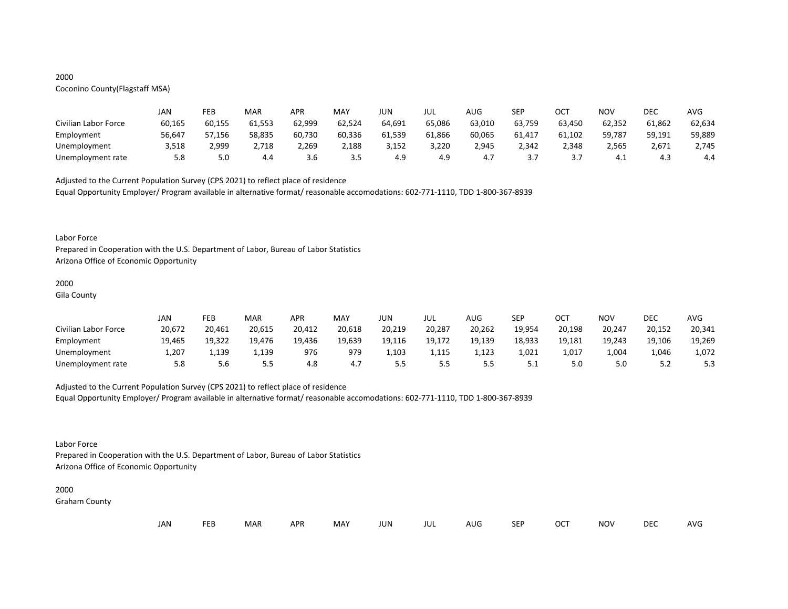# 2000

# Coconino County(Flagstaff MSA)

|                      | JAN    | FEB    | MAR    | APR    | MAY    | JUN    | JUL    | AUG    | <b>SEP</b> | ост    | NOV    | DEC    | AVG    |
|----------------------|--------|--------|--------|--------|--------|--------|--------|--------|------------|--------|--------|--------|--------|
| Civilian Labor Force | 60,165 | 60,155 | 61,553 | 62,999 | 62,524 | 64,691 | 65,086 | 63,010 | 63,759     | 63,450 | 62,352 | 61,862 | 62,634 |
| Employment           | 56,647 | 57,156 | 58,835 | 60,730 | 60,336 | 61,539 | 61,866 | 60,065 | 61,417     | 61,102 | 59,787 | 59,191 | 59,889 |
| Unemployment         | 3,518  | 2,999  | 2,718  | 2,269  | 2,188  | 3,152  | 3,220  | 2,945  | 2.342      | 2.348  | 2,565  | 2,671  | 2,745  |
| Unemployment rate    | 5.8    | 5.0    | 4.4    | 3.6    | 3.5    | 4.9    | 4.9    | 4.7    |            |        | 4.⊥    | 4.3    | 4.4    |

Adjusted to the Current Population Survey (CPS 2021) to reflect place of residence

Equal Opportunity Employer/ Program available in alternative format/ reasonable accomodations: 602-771-1110, TDD 1-800-367-8939

#### Labor Force

Prepared in Cooperation with the U.S. Department of Labor, Bureau of Labor Statistics Arizona Office of Economic Opportunity

## 2000

Gila County

|                      | JAN    | FEB    | MAR    | APR    | MAY    | JUN    | JUL    | AUG    | <b>SEP</b> | ост    | NOV    | DEC    | AVG    |
|----------------------|--------|--------|--------|--------|--------|--------|--------|--------|------------|--------|--------|--------|--------|
| Civilian Labor Force | 20,672 | 20,461 | 20,615 | 20,412 | 20,618 | 20,219 | 20,287 | 20,262 | 19,954     | 20,198 | 20,247 | 20,152 | 20,341 |
| Employment           | 19,465 | 19,322 | 19.476 | 19,436 | 19,639 | 19,116 | 19,172 | 19,139 | 18,933     | 19,181 | 19,243 | 19,106 | 19,269 |
| Unemployment         | 707.⊾  | 1,139  | 1,139  | 976    | 979    | 1,103  | 1,115  | 1,123  | 1,021      | 1,017  | 4004,∡ | 1,046  | 1,072  |
| Unemployment rate    | 5.8    | 5.6    | 5.5    | 4.8    | 4.7    |        | 5.5    |        | <u>.</u>   | 5.0    | 5.0    |        | 5.3    |

# Adjusted to the Current Population Survey (CPS 2021) to reflect place of residence

Equal Opportunity Employer/ Program available in alternative format/ reasonable accomodations: 602-771-1110, TDD 1-800-367-8939

# Labor Force

Prepared in Cooperation with the U.S. Department of Labor, Bureau of Labor Statistics Arizona Office of Economic Opportunity

#### 2000

Graham County

|  | JAN | <b>FEB</b> | <b>MAR</b> | <b>APR</b> | <b>MAY</b> | JUN | JUL | AUG | SEP | OCT | NOV | <b>DEC</b> | AVG |
|--|-----|------------|------------|------------|------------|-----|-----|-----|-----|-----|-----|------------|-----|
|--|-----|------------|------------|------------|------------|-----|-----|-----|-----|-----|-----|------------|-----|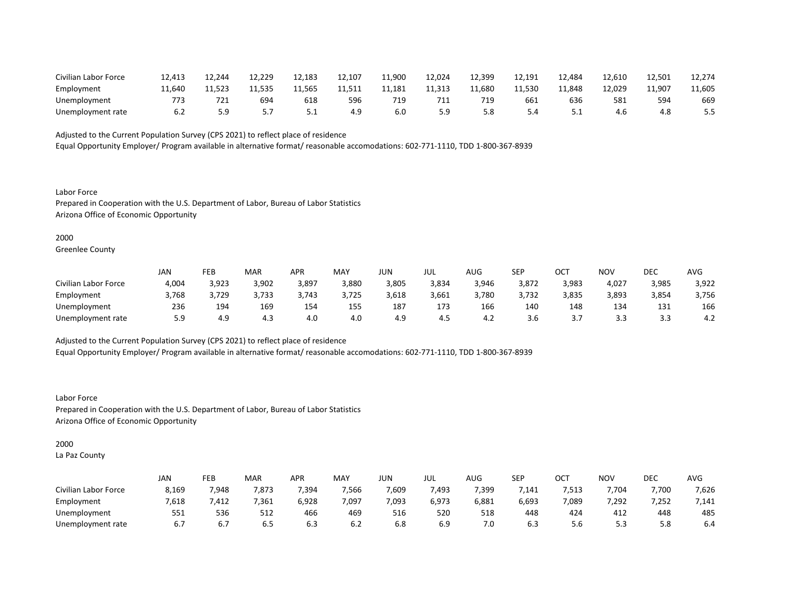| Civilian Labor Force | 12,413 | 12,244 | 12,229 | 12,183 | 12,107 | 11,900 | 12,024 | 12,399 | 12,191 | 12,484 | 12,610 | 12,501 | 12,274 |
|----------------------|--------|--------|--------|--------|--------|--------|--------|--------|--------|--------|--------|--------|--------|
| Employment           | 11.640 | 11.523 | 11.535 | 11,565 | 11,511 | 11,181 | 11,313 | 11.680 | 11,530 | 11,848 | 12,029 | 11,907 | 11,605 |
| Unemployment         | 773    | 721    | 694    | 618    | 596    | 719    | 711    |        | 661    | 636    | 581    | 594    | 669    |
| Unemployment rate    | 6.2    |        |        | ـ . ـ  | 4.9    | 6.0    | 5.9    | 5.8    | 5.4    | ـ . ـ  | 4.6    |        | 5.5    |

Equal Opportunity Employer/ Program available in alternative format/ reasonable accomodations: 602-771-1110, TDD 1-800-367-8939

Labor Force Prepared in Cooperation with the U.S. Department of Labor, Bureau of Labor Statistics Arizona Office of Economic Opportunity

#### 2000

Greenlee County

|                      | JAN   | FEB   | <b>MAR</b> | APR   | MAY   | JUN   | JUL   | AUG   | <b>SEP</b> | ост        | NOV   | DEC        | AVG   |
|----------------------|-------|-------|------------|-------|-------|-------|-------|-------|------------|------------|-------|------------|-------|
| Civilian Labor Force | 4,004 | 3,923 | 3,902      | 3,897 | 3,880 | 3,805 | 3,834 | 3,946 | 3,872      | 3,983      | 4,027 | 3,985      | 3,922 |
| Employment           | 3,768 | 3,729 | 3,733      | 3,743 | 3,725 | 3,618 | 3,661 | 3,780 | 3,732      | 3,835      | 3,893 | 3,854      | 3,756 |
| Unemployment         | 236   | 194   | 169        | 154   | 155   | 187   | 173   | 166   | 140        | 148        | 134   | 131<br>ᆂᆚᆂ | 166   |
| Unemployment rate    | 5.9   | 4.9   | 4.3        | 4.0   | 4.0   | 4.9   | 4.5   | 4.Z   | 3.b        | <u>. .</u> | 3.3   |            | 4.2   |

Adjusted to the Current Population Survey (CPS 2021) to reflect place of residence

Equal Opportunity Employer/ Program available in alternative format/ reasonable accomodations: 602-771-1110, TDD 1-800-367-8939

Labor Force Prepared in Cooperation with the U.S. Department of Labor, Bureau of Labor Statistics Arizona Office of Economic Opportunity

# 2000

La Paz County

|                      | JAN   | FEB   | MAR   | APR   | <b>MAY</b> | JUN   | JUL   | $\sim$ $\sim$<br>AUG | <b>SEP</b> | ⌒⌒⊤<br>UC. | <b>NOV</b> | DEC   | <b>AVG</b> |
|----------------------|-------|-------|-------|-------|------------|-------|-------|----------------------|------------|------------|------------|-------|------------|
| Civilian Labor Force | 8,169 | 7,948 | 7,873 | 7,394 | 7,566      | 7,609 | 493,  | 7,399                | 141,'      | 7,513      | 7,704      | 7,700 | 7,626      |
| Employment           | 7,618 | 412,' | ,361  | 6,928 | 7,097      | 7,093 | 6,973 | 6,881                | 6,693      | 7,089      | 7,292      | 7,252 | 7,141      |
| Unemployment         | 551   | 536   | 512   | 466   | 469        | 516   | 520   | 518                  | 448        | 424        | 412        | 448   | 485        |
| Unemployment rate    | 6.7   | 6.7   | ხ.5   | 6.3   | 6.2        | ხ.8   | 6.9   | 7.0                  | 6.3        | 5.6        | ر.ر        | 5.8   | 6.4        |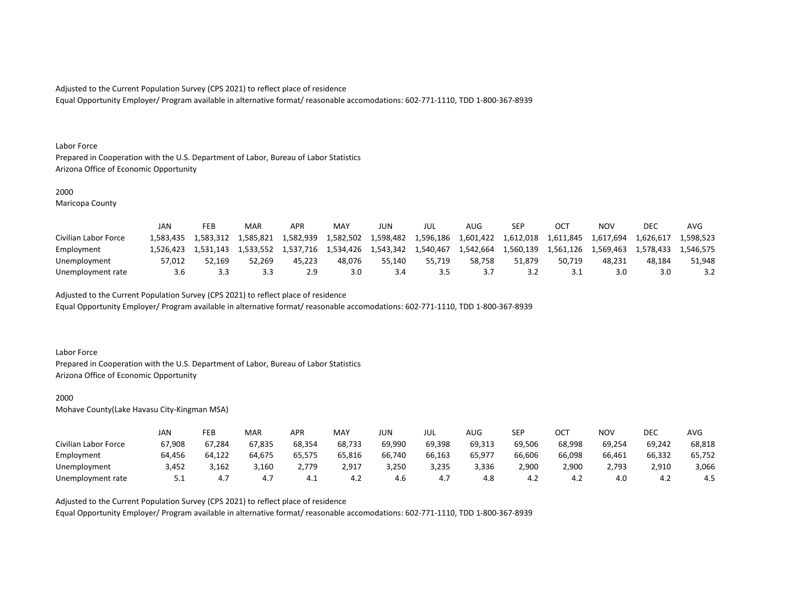Equal Opportunity Employer/ Program available in alternative format/ reasonable accomodations: 602-771-1110, TDD 1-800-367-8939

#### Labor Force

Prepared in Cooperation with the U.S. Department of Labor, Bureau of Labor Statistics Arizona Office of Economic Opportunity

## 2000

Maricopa County

|                      | JAN       | FEB       | MAR       | <b>APR</b> | <b>MAY</b> | JUN       | JUL       | AUG       | SEP       |           | ΝΟν       | DEC       | <b>AVC</b> |
|----------------------|-----------|-----------|-----------|------------|------------|-----------|-----------|-----------|-----------|-----------|-----------|-----------|------------|
| Civilian Labor Force | 1.583.435 | 1,583,312 | 1.585.821 | 1,582,939  | 1,582,502  | 1,598,482 | 1,596,186 | 1,601,422 | 1,612,018 | 1,611,845 | 1,617,694 | 1,626,617 | 1.598.523  |
| Employment           | L.526.423 | 1.531.143 | 1.533.552 | 1.537.716  | 1,534,426  | 1,543,342 | 1,540,467 | 1,542,664 | 1.560.139 | 1.561.126 | 1.569.463 | 1.578.433 | 1.546.575  |
| Unemployment         | 57.012    | 52.169    | 52.269    | 45.223     | 48.076     | 55.140    | 55.719    | 58.758    | 51.879    | 50.719    | 48.231    | 48.184    | 51.948     |
| Unemployment rate    | 3.6       |           | 3.3       |            | 3.0        |           | 3.5       |           | 3.Z       |           | 3.0       |           |            |

Adjusted to the Current Population Survey (CPS 2021) to reflect place of residence

Equal Opportunity Employer/ Program available in alternative format/ reasonable accomodations: 602-771-1110, TDD 1-800-367-8939

# Labor Force

Prepared in Cooperation with the U.S. Department of Labor, Bureau of Labor Statistics Arizona Office of Economic Opportunity

#### 2000

Mohave County(Lake Havasu City-Kingman MSA)

|                      | JAN      | FEB    | MAR    | APR    | MAY    | JUN    | JUL    | AUG    | <b>SEP</b> | ост    | NOV    | DEC    | AVG    |
|----------------------|----------|--------|--------|--------|--------|--------|--------|--------|------------|--------|--------|--------|--------|
| Civilian Labor Force | 67,908   | 67,284 | 67,835 | 68,354 | 68,733 | 69,990 | 69,398 | 69,313 | 69.506     | 68,998 | 69,254 | 69,242 | 68,818 |
| Employment           | 64,456   | 64,122 | 64,675 | 65,575 | 65,816 | 66,740 | 66,163 | 65,977 | 66,606     | 66,098 | 66,461 | 66,332 | 65,752 |
| Unemployment         | 3,452    | 3,162  | 3,160  | ,779   | 2,917  | 3,250  | 3,235  | 3,336  | 2,900      | 2,900  | 2,793  | 2,910  | 3,066  |
| Unemployment rate    | <u>.</u> | 4.7    | 4.7    | - 4.⊥  | 4.∠    | 4.6    | 4.,    | 4.8    | 4.∠        | — 4.∠  | 4.0    | —4.∠   | 4.5    |

Adjusted to the Current Population Survey (CPS 2021) to reflect place of residence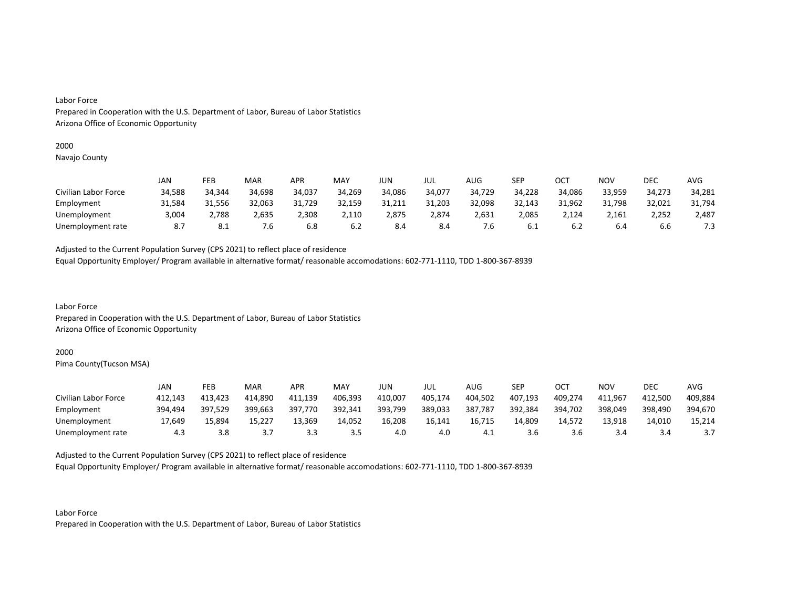# Labor Force

Prepared in Cooperation with the U.S. Department of Labor, Bureau of Labor Statistics Arizona Office of Economic Opportunity

#### 2000

Navajo County

|                      | JAN    | FEB    | MAR    | APR    | MAY    | JUN    | JUL    | AUG    | <b>SEP</b> | OCT    | NOV    | DEC    | AVG    |
|----------------------|--------|--------|--------|--------|--------|--------|--------|--------|------------|--------|--------|--------|--------|
| Civilian Labor Force | 34,588 | 34,344 | 34,698 | 34,037 | 34,269 | 34,086 | 34,077 | 34,729 | 34,228     | 34,086 | 33,959 | 34,273 | 34,281 |
| Employment           | 31,584 | 31,556 | 32,063 | 31,729 | 32,159 | 31,211 | 31,203 | 32,098 | 32,143     | 31,962 | 31,798 | 32,021 | 31,794 |
| Unemployment         | 3,004  | 2,788  | 2,635  | 2,308  | 2,110  | 2,875  | 2,874  | 2,631  | 2,085      | 2,124  | 2,161  | 2,252  | 2,487  |
| Unemployment rate    | 8.7    | 8.1    | 7.6    | 6.8    | 6.2    | 8.4    | 8.4    | '.ხ    | -6.1       | 6.Z    | 6.4    | b.b    | 7.3    |

Adjusted to the Current Population Survey (CPS 2021) to reflect place of residence

Equal Opportunity Employer/ Program available in alternative format/ reasonable accomodations: 602-771-1110, TDD 1-800-367-8939

Labor Force Prepared in Cooperation with the U.S. Department of Labor, Bureau of Labor Statistics Arizona Office of Economic Opportunity

#### 2000

Pima County(Tucson MSA)

|                      | JAN     | FEB     | MAR     | <b>APR</b> | MAY     | JUN     | JUL     | AUG     | <b>SEP</b> | ост     | <b>NOV</b> | DEC     | AVG     |
|----------------------|---------|---------|---------|------------|---------|---------|---------|---------|------------|---------|------------|---------|---------|
| Civilian Labor Force | 412.143 | 413.423 | 414,890 | 411,139    | 406,393 | 410,007 | 405,174 | 404.502 | 407,193    | 409,274 | 411.967    | 412.500 | 409,884 |
| Employment           | 394.494 | 397,529 | 399,663 | 397,770    | 392,341 | 393,799 | 389,033 | 387,787 | 392,384    | 394,702 | 398,049    | 398,490 | 394,670 |
| Unemployment         | 17,649  | 15,894  | 15,227  | 13,369     | 14,052  | 16,208  | 16.141  | 16,715  | 14.809     | 14.572  | 13,918     | 14,010  | 15,214  |
| Unemployment rate    | 4.3     | 3.8     | ,       | 3.3        | 3.5     | 4.0     | 4.0     | — 4.⊥   | 3.6        | 3.6     | 3.4        |         |         |

Adjusted to the Current Population Survey (CPS 2021) to reflect place of residence

Equal Opportunity Employer/ Program available in alternative format/ reasonable accomodations: 602-771-1110, TDD 1-800-367-8939

Labor Force Prepared in Cooperation with the U.S. Department of Labor, Bureau of Labor Statistics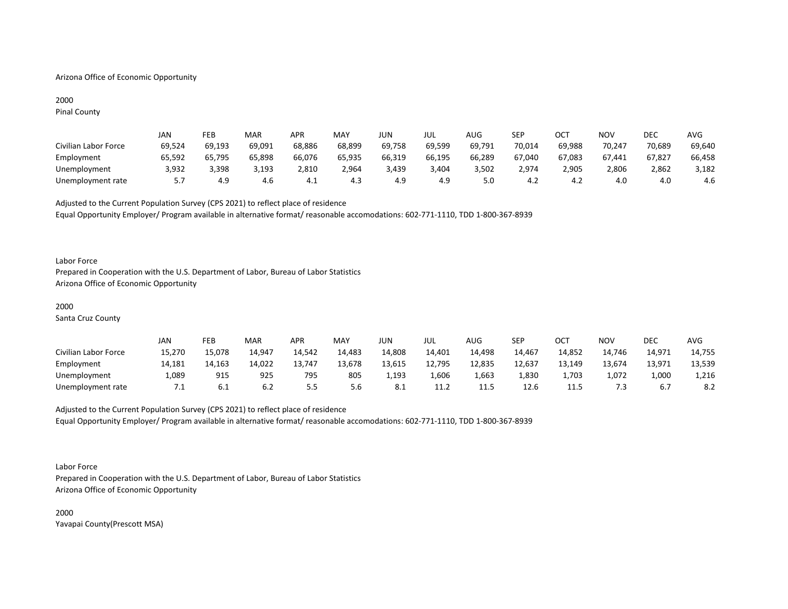# Arizona Office of Economic Opportunity

# 2000

Pinal County

|                      | JAN    | FEB    | MAR    | <b>APR</b> | <b>MAY</b> | JUN    | JUL    | AUG    | <b>SEP</b> | ост    | <b>NOV</b> | DEC    | AVG    |
|----------------------|--------|--------|--------|------------|------------|--------|--------|--------|------------|--------|------------|--------|--------|
| Civilian Labor Force | 69,524 | 69,193 | 69,091 | 68,886     | 68,899     | 69,758 | 69,599 | 69,791 | 70,014     | 69,988 | 70,247     | 70,689 | 69,640 |
| Employment           | 65,592 | 65.795 | 65,898 | 66,076     | 65.935     | 66,319 | 66,195 | 66,289 | 67,040     | 67,083 | 67,441     | 67,827 | 66,458 |
| Unemployment         | 3,932  | 3,398  | 3,193  | 2,810      | 2,964      | 3,439  | 3,404  | 3,502  | 2,974      | 2,905  | 2,806      | 2,862  | 3,182  |
| Unemployment rate    | 5.7    | 4.9    | 4.6    | - 4.⊥      | 4.3        | 4.9    | 4.9    | 5.0    | 4.2        |        | 4.0        | 4.0    | 4.6    |

Adjusted to the Current Population Survey (CPS 2021) to reflect place of residence Equal Opportunity Employer/ Program available in alternative format/ reasonable accomodations: 602-771-1110, TDD 1-800-367-8939

#### Labor Force

Prepared in Cooperation with the U.S. Department of Labor, Bureau of Labor Statistics Arizona Office of Economic Opportunity

#### 2000

Santa Cruz County

|                      | JAN    | FEB    | <b>MAR</b> | APR     | <b>MAY</b> | JUN    | JUL    | AUG    | SEP    | ост    | <b>NOV</b> | <b>DEC</b> | <b>AVG</b> |
|----------------------|--------|--------|------------|---------|------------|--------|--------|--------|--------|--------|------------|------------|------------|
| Civilian Labor Force | 15,270 | 15,078 | 14,947     | 14,542  | 14,483     | 14,808 | 14,401 | 14,498 | 14,467 | 14,852 | 14,746     | 14,971     | 14,755     |
| Employment           | 14,181 | 14,163 | 14,022     | 13.747  | 13,678     | 13,615 | 12,795 | 12,835 | 12,637 | 13,149 | 13,674     | 13,971     | 13,539     |
| Unemployment         | 089,   | 915    | 925        | 795     | 805        | 1,193  | 1,606  | 1.663  | 1,830  | 1.703  | 1,072      | 1,000      | 1,216      |
| Unemployment rate    | 7.1    | 0. L   | 6.2        | <u></u> | 5.6        | 8.1    | 11.2   | 11.5   | 12.6   | 11.5   | ′.3        |            | 8.2        |

Adjusted to the Current Population Survey (CPS 2021) to reflect place of residence Equal Opportunity Employer/ Program available in alternative format/ reasonable accomodations: 602-771-1110, TDD 1-800-367-8939

#### Labor Force

Prepared in Cooperation with the U.S. Department of Labor, Bureau of Labor Statistics Arizona Office of Economic Opportunity

2000 Yavapai County(Prescott MSA)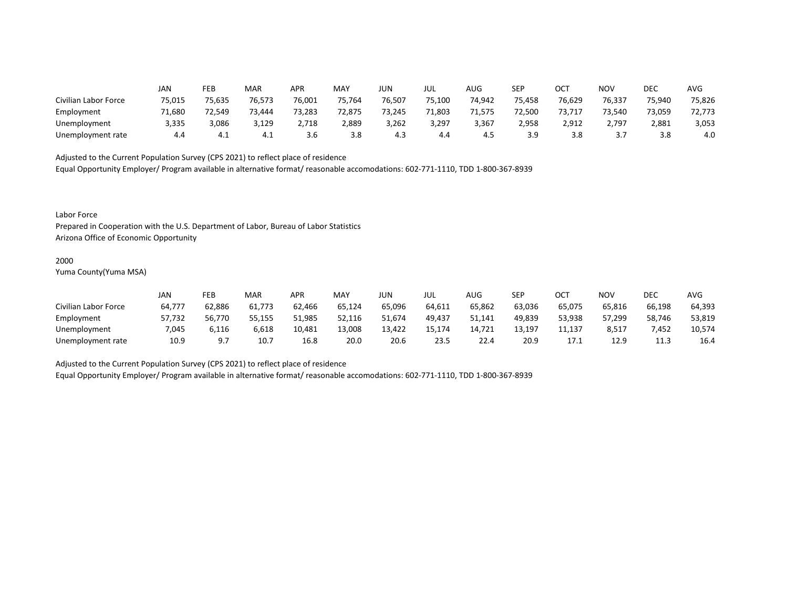|                      | JAN    | FEB    | MAR    | APR    | MAY    | <b>JUN</b> | JUL    | AUG    | <b>SEP</b> | OCT    | <b>NOV</b> | DEC    | <b>AVG</b> |
|----------------------|--------|--------|--------|--------|--------|------------|--------|--------|------------|--------|------------|--------|------------|
| Civilian Labor Force | 75,015 | 75,635 | 76,573 | 76,001 | 75,764 | 76,507     | 75,100 | 74,942 | 75,458     | 76,629 | 76,337     | 75,940 | 75,826     |
| Employment           | 71,680 | 72,549 | 73,444 | 73,283 | 72,875 | 73,245     | 71,803 | 71,575 | 72,500     | 73,717 | 73,540     | 73,059 | 72,773     |
| Unemployment         | 3,335  | 3,086  | 3,129  | 2,718  | 2,889  | 3,262      | 3,297  | 3,367  | 2,958      | 2,912  | 2,797      | 2,881  | 3,053      |
| Unemployment rate    | 4.4    | 4.1    | 4.⊥    | 3.b    | 3.8    | 4.3        | 4.4    | 4.5    | 3.9        | 3.8    | ، ب        | 3.8    | 4.0        |

Equal Opportunity Employer/ Program available in alternative format/ reasonable accomodations: 602-771-1110, TDD 1-800-367-8939

Labor Force

Prepared in Cooperation with the U.S. Department of Labor, Bureau of Labor Statistics Arizona Office of Economic Opportunity

#### 2000

Yuma County(Yuma MSA)

|                      | Jan    | FEB    | <b>MAR</b> | APR    | <b>MAY</b> | JUN    | JUL    | AUG    | SEP    | ОСТ    | NOV    | DEC    | <b>AVG</b> |
|----------------------|--------|--------|------------|--------|------------|--------|--------|--------|--------|--------|--------|--------|------------|
| Civilian Labor Force | 64,777 | 62,886 | 61,773     | 62,466 | 65,124     | 65,096 | 64.611 | 65,862 | 63,036 | 65,075 | 65.816 | 66,198 | 64,393     |
| Employment           | 57,732 | 56.770 | 55.155     | 51.985 | 52,116     | 51.674 | 49,437 | 51,141 | 49.839 | 53,938 | 57.299 | 58,746 | 53,819     |
| Unemployment         | 7,045  | 6,116  | 6,618      | 10,481 | 13,008     | 13,422 | 15,174 | 14,721 | 13,197 | 11,137 | 8,517  | 7,452  | 10,574     |
| Unemployment rate    | 10.9   |        | 10.7       | 16.8   | 20.0       | 20.6   | 23.5   | 22.4   | 20.9   |        | 12.9   | 11.3   | 16.4       |

Adjusted to the Current Population Survey (CPS 2021) to reflect place of residence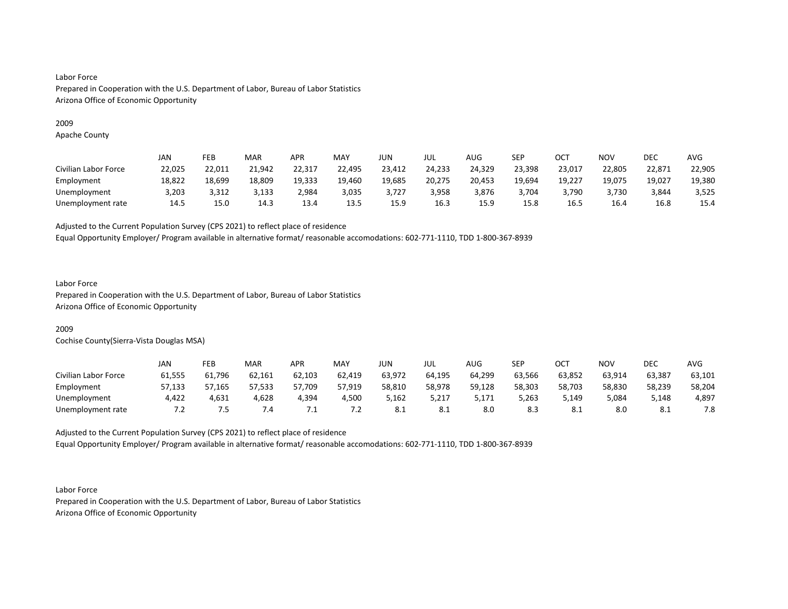# 2009

Apache County

|                      | JAN    | FEB    | <b>MAR</b> | APR    | MAY    | JUN    | JUL    | <b>AUG</b> | SEP    | ОСТ    | NOV    | DEC    | <b>AVG</b> |
|----------------------|--------|--------|------------|--------|--------|--------|--------|------------|--------|--------|--------|--------|------------|
| Civilian Labor Force | 22,025 | 22,011 | 21,942     | 22,317 | 22,495 | 23,412 | 24,233 | 24,329     | 23,398 | 23,017 | 22,805 | 22,871 | 22,905     |
| Employment           | 18,822 | 18,699 | 18,809     | 19,333 | 19,460 | 19,685 | 20,275 | 20,453     | 19,694 | 19,227 | 19,075 | 19,027 | 19,380     |
| Unemployment         | 3,203  | 3.312  | 3.133      | 2.984  | 3,035  | 3.727  | 3,958  | 3.876      | 3,704  | 3.790  | 3,730  | 3,844  | 3,525      |
| Unemployment rate    | 14.5   | 15.0   | 14.3       | 13.4   | 13.5   | 15.9   | 16.3   | 15.9       | 15.8   | 16.5   | 16.4   | 16.8   | 15.4       |

Adjusted to the Current Population Survey (CPS 2021) to reflect place of residence

Equal Opportunity Employer/ Program available in alternative format/ reasonable accomodations: 602-771-1110, TDD 1-800-367-8939

# Labor Force

Prepared in Cooperation with the U.S. Department of Labor, Bureau of Labor Statistics Arizona Office of Economic Opportunity

# 2009

Cochise County(Sierra-Vista Douglas MSA)

|                      | <b>JAN</b> | FEB    | <b>MAR</b> | APR    | MAY    | JUN    | JUL    | <b>AUG</b> | SEP    | ост    | <b>NOV</b> | <b>DEC</b> | <b>AVG</b> |
|----------------------|------------|--------|------------|--------|--------|--------|--------|------------|--------|--------|------------|------------|------------|
| Civilian Labor Force | 61,555     | 61,796 | 62,161     | 62,103 | 62,419 | 63,972 | 64,195 | 64,299     | 63,566 | 63,852 | 63,914     | 63,387     | 63,101     |
| Employment           | 57,133     | 57,165 | 57,533     | 57,709 | 57,919 | 58,810 | 58,978 | 59,128     | 58,303 | 58,703 | 58,830     | 58,239     | 58,204     |
| Unemployment         | 4,422      | 4,631  | 4,628      | 4,394  | 4,500  | 5,162  | 5,217  | 5,171      | 5,263  | 5,149  | 5,084      | 5,148      | 4,897      |
| Unemployment rate    |            | ל.     | ∕.4        | ٠.     | ــ .   | 8.1    | 8.1    | 8.0        | 8.3    | O.L    | 8.0        | -8.1       | 7.8        |

Adjusted to the Current Population Survey (CPS 2021) to reflect place of residence Equal Opportunity Employer/ Program available in alternative format/ reasonable accomodations: 602-771-1110, TDD 1-800-367-8939

Labor Force Prepared in Cooperation with the U.S. Department of Labor, Bureau of Labor Statistics Arizona Office of Economic Opportunity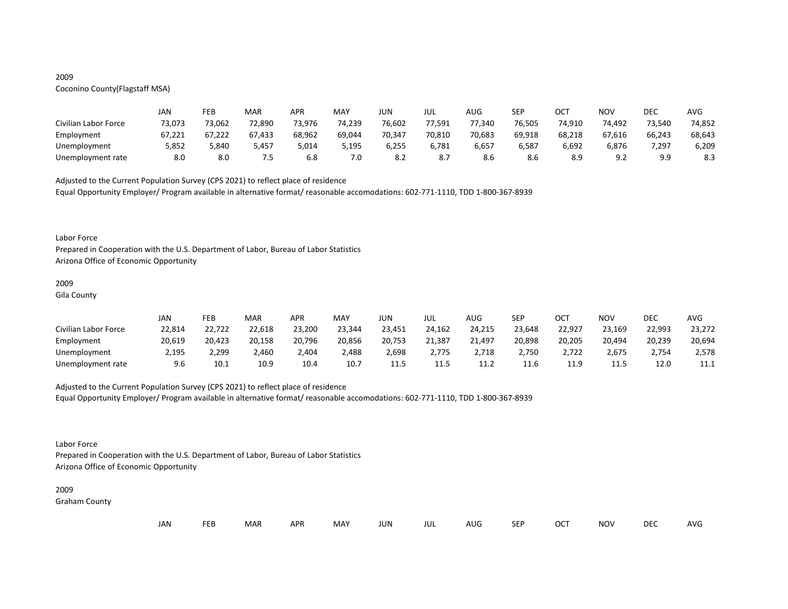# 2009

# Coconino County(Flagstaff MSA)

|                      | JAN    | FEB    | MAR    | APR    | MAY    | JUN    | JUL    | AUG    | <b>SEP</b> | ост    | NOV             | DEC        | AVG    |
|----------------------|--------|--------|--------|--------|--------|--------|--------|--------|------------|--------|-----------------|------------|--------|
| Civilian Labor Force | 73,073 | 73,062 | 72,890 | 73,976 | 74,239 | 76,602 | 77,591 | 77,340 | 76,505     | 74,910 | 74,492          | 73,540     | 74,852 |
| Employment           | 67,221 | 67,222 | 67,433 | 68,962 | 69,044 | 70,347 | 70,810 | 70,683 | 69,918     | 68,218 | 67,616          | 66,243     | 68,643 |
| Unemployment         | 5,852  | 5,840  | 5,457  | 014,د  | 5,195  | 6,255  | 6,781  | 6,657  | 6,587      | 6,692  | 6,876           | 7,297      | 6,209  |
| Unemployment rate    | 8.0    | 8.0    | כ.י    | 6.8    | 7.0    | 8.2    | 8.7    | 8.6    | 8.6        |        | - വാ<br><u></u> | a a<br>- - | 8.3    |

Adjusted to the Current Population Survey (CPS 2021) to reflect place of residence

Equal Opportunity Employer/ Program available in alternative format/ reasonable accomodations: 602-771-1110, TDD 1-800-367-8939

#### Labor Force

Prepared in Cooperation with the U.S. Department of Labor, Bureau of Labor Statistics Arizona Office of Economic Opportunity

#### 2009

Gila County

|                      | JAN    | FEB    | MAR    | <b>APR</b> | <b>MAY</b> | JUN    | JUL    | AUG    | SEP    | ост    | <b>NOV</b> | DEC    | <b>AVG</b> |
|----------------------|--------|--------|--------|------------|------------|--------|--------|--------|--------|--------|------------|--------|------------|
| Civilian Labor Force | 22,814 | 22,722 | 22,618 | 23,200     | 23,344     | 23,451 | 24,162 | 24,215 | 23,648 | 22,927 | 23,169     | 22,993 | 23,272     |
| Employment           | 20,619 | 20,423 | 20,158 | 20,796     | 20,856     | 20,753 | 21,387 | 21,497 | 20,898 | 20,205 | 20,494     | 20,239 | 20,694     |
| Unemployment         | 2,195  | 2,299  | 2,460  | 4,404      | 2,488      | 2,698  | 2,775  | 2,718  | 2,750  | 2,722  | 2,675      | 2,754  | 2,578      |
| Unemployment rate    | 9.6    | 10.1   | 10.9   | 10.4       | 10.7       | 11.5   | 11.5   | 11.2   | 11.6   | 11.9   | 11.5       | 12.0   | 11.1       |

# Adjusted to the Current Population Survey (CPS 2021) to reflect place of residence

Equal Opportunity Employer/ Program available in alternative format/ reasonable accomodations: 602-771-1110, TDD 1-800-367-8939

# Labor Force

Prepared in Cooperation with the U.S. Department of Labor, Bureau of Labor Statistics Arizona Office of Economic Opportunity

#### 2009

Graham County

| <b>DEC</b><br><b>FEB</b><br>JAN<br><b>MAR</b><br>MAY<br>APR<br>NOV<br>JUN<br>OC <sup>T</sup><br>SEP<br>AUG<br>JUL | AVG |
|-------------------------------------------------------------------------------------------------------------------|-----|
|-------------------------------------------------------------------------------------------------------------------|-----|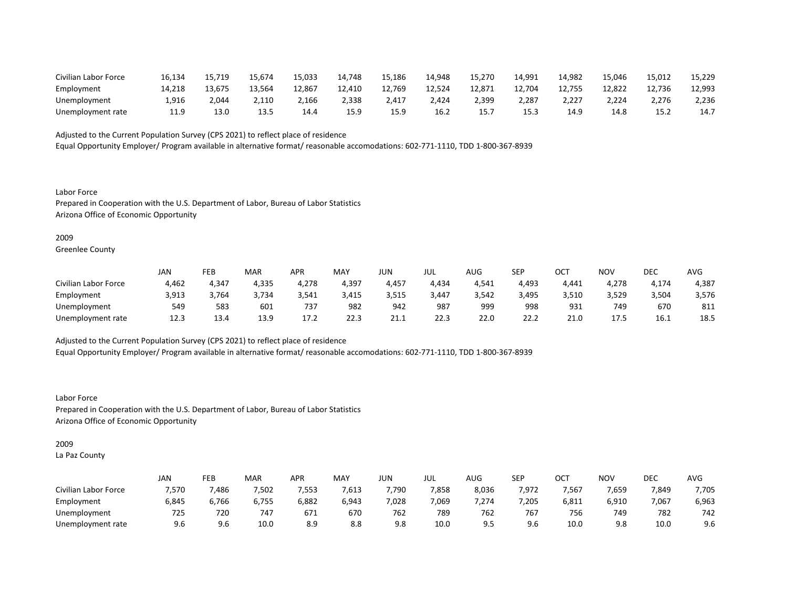| Civilian Labor Force | 16,134 | 15.719 | 15.674 | 15,033 | 14.748 | 15,186 | 14.948 | 15,270    | 14,991 | 14,982 | 15.046 | 15.012 | 15,229 |
|----------------------|--------|--------|--------|--------|--------|--------|--------|-----------|--------|--------|--------|--------|--------|
| Employment           | 14.218 | 13.675 | 13.564 | 12,867 | 12,410 | 12,769 | 12,524 | 12,871    | 12,704 | 12,755 | 12.822 | 12,736 | 12,993 |
| Unemployment         | 1,916  | 4,044  | 2,110  | 2,166  | 2,338  | 2,417  | 2,424  | 2,399     | 2,287  | 2,227  | 2,224  | 2,276  | 2,236  |
| Unemployment rate    | 11.9   | 13.0   | 13.5   | 14.4   | 15.9   | 15.9   | 16.2   | 15.<br>∸~ | 15.3   | 14.9   | 14.8   | 15.2   | 14.7   |

Equal Opportunity Employer/ Program available in alternative format/ reasonable accomodations: 602-771-1110, TDD 1-800-367-8939

Labor Force Prepared in Cooperation with the U.S. Department of Labor, Bureau of Labor Statistics Arizona Office of Economic Opportunity

#### 2009

Greenlee County

|                      | JAN   | FEB   | MAR   | APR   | <b>MAY</b> | JUN   | JUL   | AUG   | <b>SEP</b> | ∩∩⊤<br>UC. | NO <sub>V</sub> | DEC   | AVG   |
|----------------------|-------|-------|-------|-------|------------|-------|-------|-------|------------|------------|-----------------|-------|-------|
| Civilian Labor Force | 4,462 | 4,347 | 4,335 | 4,278 | 4,397      | 4,457 | 4,434 | 4,541 | 4,493      | 4,441      | 4,278           | 4,174 | 4,387 |
| Employment           | 3,913 | 3.764 | 3.734 | 3.541 | 3,415      | 3.515 | 3,447 | 3.542 | 3,495      | 3,510      | 3,529           | 3,504 | 3,576 |
| Unemployment         | 549   | 583   | 601   | 737   | 982        | 942   | 987   | 999   | 998        | 931        | 749             | 670   | 811   |
| Unemployment rate    | 12.3  | 13.4  | 13.9  | 17.2  | 22.3       | 21.1  | 22.3  | 22.0  | 22.2       | 21.0       | 17.5            | 16.1  | 18.5  |

Adjusted to the Current Population Survey (CPS 2021) to reflect place of residence

Equal Opportunity Employer/ Program available in alternative format/ reasonable accomodations: 602-771-1110, TDD 1-800-367-8939

Labor Force Prepared in Cooperation with the U.S. Department of Labor, Bureau of Labor Statistics Arizona Office of Economic Opportunity

# 2009

La Paz County

|                      | <b>JAN</b> | FEB   | MAR   | APR   | <b>MAY</b> | JUN   | jul   | $\sim$ $\sim$<br>AUG | <b>SEP</b> | ⌒⌒⊤<br>UC.     | <b>NOV</b> | DEC   | <b>AVG</b> |
|----------------------|------------|-------|-------|-------|------------|-------|-------|----------------------|------------|----------------|------------|-------|------------|
| Civilian Labor Force | 7,570      | 486,  | 7,502 | 7,553 | 7,613      | 7,790 | 7,858 | 8,036                | 7,972      | 7,567          | 7,659      | 7,849 | 7,705      |
| Employment           | 6,845      | 6,766 | 6,755 | 6,882 | 6,943      | ,028  | 7,069 | 7,274                | 7,205      | 6,811          | 6,910      | 7,067 | 6,963      |
| Unemployment         | 725        | 720   | 747   | 671   | 670        | 762   | 789   | 762                  | 767        | $- - -$<br>756 | 749        | 782   | 742        |
| Unemployment rate    | 9.6        | 9.6   | 10.0  | 8.9   | 8.8        | 9.8   | 10.0  |                      | 9.6        | 10.0           | 9.8        | 10.0  | 9.6        |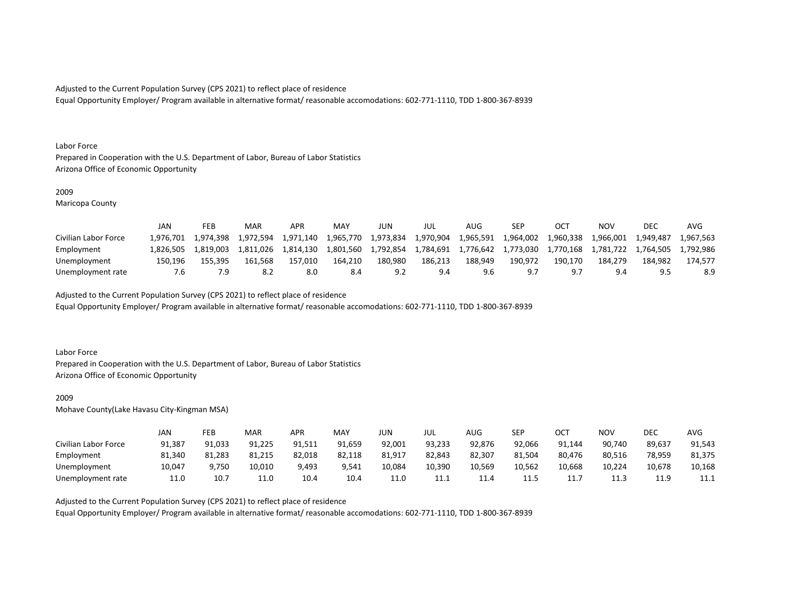Equal Opportunity Employer/ Program available in alternative format/ reasonable accomodations: 602-771-1110, TDD 1-800-367-8939

#### Labor Force

Prepared in Cooperation with the U.S. Department of Labor, Bureau of Labor Statistics Arizona Office of Economic Opportunity

## 2009

Maricopa County

|                      | JAN       | FEB       | MAR       | <b>APR</b> | <b>MAY</b> | JUN       | JUL       | AUG       | SEP       |           | ΝΟν       | DEC       | AVG       |
|----------------------|-----------|-----------|-----------|------------|------------|-----------|-----------|-----------|-----------|-----------|-----------|-----------|-----------|
| Civilian Labor Force | 1.976.701 | 1.974.398 | 1.972.594 | 1.971.140  | 1,965,770  | 1,973,834 | 1,970,904 | 1,965,591 | 1,964,002 | 1,960,338 | 1,966,001 | 1.949.487 | 1.967.563 |
| Employment           | 1.826.505 | 1.819.003 | 1.811.026 | 1.814.130  | 1.801.560  | 1.792.854 | 1,784,691 | 1,776,642 | 1.773.030 | 1.770.168 | 1.781.722 | 1.764.505 | 1.792.986 |
| Unemployment         | 150.196   | 155.395   | 161.568   | 157.010    | 164.210    | 180.980   | 186.213   | 188.949   | 190.972   | 190.170   | 184.279   | 184.982   | 174.577   |
| Unemployment rate    | '.b       |           |           | 8.0        | 8.4        |           | 9.4       |           |           |           | 9.4       |           | 8.9       |

Adjusted to the Current Population Survey (CPS 2021) to reflect place of residence

Equal Opportunity Employer/ Program available in alternative format/ reasonable accomodations: 602-771-1110, TDD 1-800-367-8939

# Labor Force

Prepared in Cooperation with the U.S. Department of Labor, Bureau of Labor Statistics Arizona Office of Economic Opportunity

#### 2009

Mohave County(Lake Havasu City-Kingman MSA)

|                      | JAN    | FEB    | MAR    | APR    | MAY    | JUN    | JUL    | AUG    | <b>SEP</b> | ост    | NOV    | DEC    | <b>AVG</b> |
|----------------------|--------|--------|--------|--------|--------|--------|--------|--------|------------|--------|--------|--------|------------|
| Civilian Labor Force | 91,387 | 91,033 | 91,225 | 91,511 | 91.659 | 92,001 | 93,233 | 92,876 | 92,066     | 91.144 | 90,740 | 89,637 | 91,543     |
| Employment           | 81,340 | 81,283 | 81,215 | 82,018 | 82,118 | 81,917 | 82,843 | 82,307 | 81,504     | 80,476 | 80,516 | 78,959 | 81,375     |
| Unemployment         | 10,047 | 9,750  | 10,010 | 9,493  | 9,541  | 10,084 | 10,390 | 10,569 | 10,562     | 10,668 | 10,224 | 10,678 | 10,168     |
| Unemployment rate    | 11.0   | 10.7   | 11.0   | 10.4   | 10.4   | 11.0   | 11.1   | 11.4   | 11.5       | 11.    | 11.3   | 11.9   | 11.1       |

Adjusted to the Current Population Survey (CPS 2021) to reflect place of residence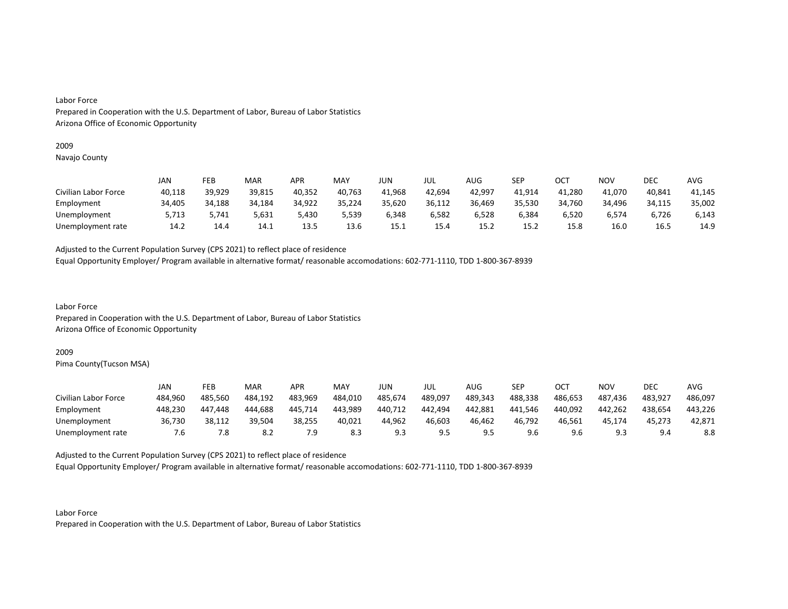# 2009

Navajo County

|                      | JAN    | FEB    | MAR    | APR    | MAY    | JUN    | JUL    | AUG    | SEP    | OCT    | ΝΟν    | DEC         | AVG    |
|----------------------|--------|--------|--------|--------|--------|--------|--------|--------|--------|--------|--------|-------------|--------|
| Civilian Labor Force | 40,118 | 39,929 | 39,815 | 40,352 | 40,763 | 41,968 | 42,694 | 42,997 | 41.914 | 41,280 | 41,070 | 40,841      | 41,145 |
| Employment           | 34,405 | 34,188 | 34,184 | 34,922 | 35,224 | 35,620 | 36,112 | 36,469 | 35,530 | 34,760 | 34,496 | 34,115      | 35,002 |
| Unemployment         | 5,713  | 5,741  | 5,631  | 5,430  | 5,539  | 6,348  | 6,582  | 6,528  | 6,384  | 6,520  | 6.574  | 6,726       | 6,143  |
| Unemployment rate    | 14.2   | 14.4   | 14.1   | 13.5   | 13.6   | 15.1   | 15.4   | 15.2   | 15.2   | 15.8   | 16.0   | <b>16.5</b> | 14.9   |

Adjusted to the Current Population Survey (CPS 2021) to reflect place of residence

Equal Opportunity Employer/ Program available in alternative format/ reasonable accomodations: 602-771-1110, TDD 1-800-367-8939

Labor Force Prepared in Cooperation with the U.S. Department of Labor, Bureau of Labor Statistics Arizona Office of Economic Opportunity

#### 2009

Pima County(Tucson MSA)

|                      | JAN     | FEB     | MAR     | APR     | MAY     | JUN     | JUL     | AUG     | SEP     | ост     | NOV            | DEC     | AVG     |
|----------------------|---------|---------|---------|---------|---------|---------|---------|---------|---------|---------|----------------|---------|---------|
| Civilian Labor Force | 484.960 | 485.560 | 484.192 | 483,969 | 484,010 | 485,674 | 489,097 | 489,343 | 488,338 | 486,653 | 487,436        | 483.927 | 486,097 |
| Employment           | 448.230 | 447.448 | 444.688 | 445.714 | 443,989 | 440,712 | 442.494 | 442.881 | 441.546 | 440.092 | 442.262        | 438.654 | 443.226 |
| Unemployment         | 36,730  | 38,112  | 39,504  | 38,255  | 40,021  | 44,962  | 46,603  | 46,462  | 46,792  | 46,561  | 45,174         | 45,273  | 42,871  |
| Unemployment rate    | /.ხ     | 7.8     | 8.2     | 7.9     | 8.3     | 9.3     | <b></b> |         | 9.6     | 9.6     | a s<br><b></b> | 9.4     | 8.8     |

Adjusted to the Current Population Survey (CPS 2021) to reflect place of residence

Equal Opportunity Employer/ Program available in alternative format/ reasonable accomodations: 602-771-1110, TDD 1-800-367-8939

Labor Force Prepared in Cooperation with the U.S. Department of Labor, Bureau of Labor Statistics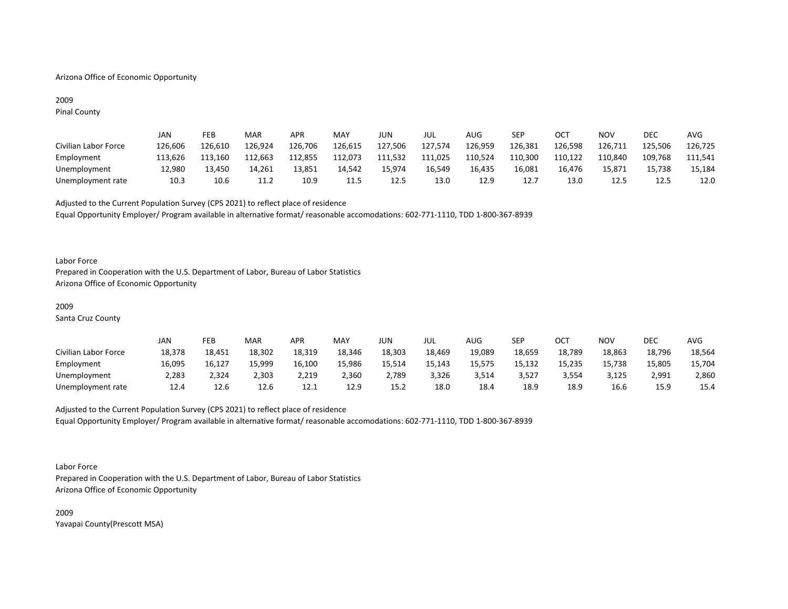# Arizona Office of Economic Opportunity

# 2009 Pinal County

|                      | JAN     | FEB     | MAR     | APR     | MAY     | JUN     | JUL     | AUG     | SEP     | ОСТ     | NOV     | <b>DEC</b> | AVG     |
|----------------------|---------|---------|---------|---------|---------|---------|---------|---------|---------|---------|---------|------------|---------|
| Civilian Labor Force | 126,606 | 126.610 | 126,924 | 126,706 | 126,615 | 127,506 | 127,574 | 126,959 | 126,381 | 126,598 | 126,711 | 125,506    | 126,725 |
| Employment           | 113.626 | 113.160 | 112.663 | 112,855 | 112,073 | 111,532 | 111,025 | 110,524 | 110,300 | 110,122 | 110,840 | 109,768    | 111,541 |
| Unemployment         | 12.980  | 13,450  | 14.261  | 13,851  | 14.542  | 15.974  | 16.549  | 16.435  | 16.081  | 16.476  | 15.871  | 15.738     | 15,184  |
| Unemployment rate    | 10.3    | 10.6    | 11.2    | 10.9    | 11.5    | 12.5    | 13.0    | 12.9    | 12.7    | 13.0    | 12.5    | 12.5       | 12.0    |

Adjusted to the Current Population Survey (CPS 2021) to reflect place of residence Equal Opportunity Employer/ Program available in alternative format/ reasonable accomodations: 602-771-1110, TDD 1-800-367-8939

#### Labor Force

Prepared in Cooperation with the U.S. Department of Labor, Bureau of Labor Statistics Arizona Office of Economic Opportunity

#### 2009

Santa Cruz County

|                      | JAN    | FEB    | MAR    | APR    | MAY    | JUN    | JUL    | AUG    | SEP    | ОСТ    | <b>NOV</b> | <b>DEC</b> | <b>AVG</b> |
|----------------------|--------|--------|--------|--------|--------|--------|--------|--------|--------|--------|------------|------------|------------|
| Civilian Labor Force | 18,378 | 18,451 | 18,302 | 18,319 | 18,346 | 18,303 | 18,469 | 19,089 | 18,659 | 18,789 | 18,863     | 18,796     | 18,564     |
| Employment           | 16,095 | 16.127 | 15.999 | 16,100 | 15,986 | 15.514 | 15.143 | 15.575 | 15.132 | 15,235 | 15,738     | 15,805     | 15,704     |
| Unemployment         | 2,283  | 2,324  | 2,303  | 2,219  | 2,360  | 2,789  | 3,326  | 3,514  | 3,527  | 3,554  | 3,125      | 2,991      | 2,860      |
| Unemployment rate    | 12.4   | 12.6   | 12.6   | 12.1   | 12.9   | 15.2   | 18.0   | 18.4   | 18.9   | 18.9   | 16.6       | 15.9       | 15.4       |

# Adjusted to the Current Population Survey (CPS 2021) to reflect place of residence Equal Opportunity Employer/ Program available in alternative format/ reasonable accomodations: 602-771-1110, TDD 1-800-367-8939

Labor Force

Prepared in Cooperation with the U.S. Department of Labor, Bureau of Labor Statistics Arizona Office of Economic Opportunity

2009 Yavapai County(Prescott MSA)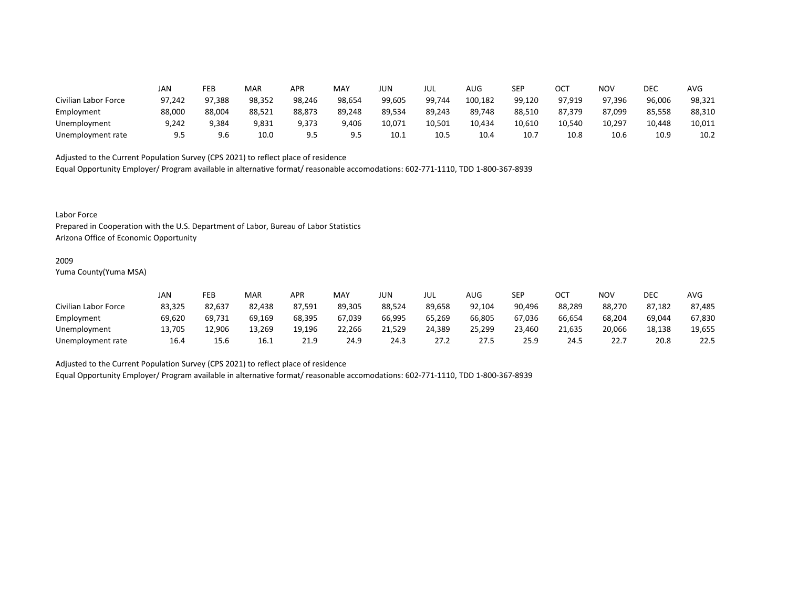|                      | JAN    | FEB    | MAR    | APR    | MAY    | JUN    | JUL    | AUG     | SEP    | ОСТ    | NOV    | DEC    | <b>AVG</b> |
|----------------------|--------|--------|--------|--------|--------|--------|--------|---------|--------|--------|--------|--------|------------|
| Civilian Labor Force | 97,242 | 97,388 | 98,352 | 98,246 | 98,654 | 99,605 | 99,744 | 100,182 | 99,120 | 97,919 | 97,396 | 96,006 | 98,321     |
| Employment           | 88,000 | 88,004 | 88,521 | 88,873 | 89,248 | 89,534 | 89,243 | 89,748  | 88,510 | 87,379 | 87,099 | 85,558 | 88,310     |
| Unemployment         | 9,242  | 9,384  | 9,831  | 9,373  | 9,406  | 10,071 | 10,501 | 10,434  | 10,610 | 10,540 | 10,297 | 10,448 | 10,011     |
| Unemployment rate    | 9.5    | 9.6    | 10.0   | 9.5    | 9.5    | 10.1   | 10.5   | 10.4    | 10.7   | 10.8   | 10.6   | 10.9   | 10.2       |

Equal Opportunity Employer/ Program available in alternative format/ reasonable accomodations: 602-771-1110, TDD 1-800-367-8939

Labor Force

Prepared in Cooperation with the U.S. Department of Labor, Bureau of Labor Statistics Arizona Office of Economic Opportunity

#### 2009

Yuma County(Yuma MSA)

|                      | JAN    | FEB    | <b>MAR</b> | APR    | MA۱    | JUN    | JUL    | AUG    | SEP    | ОСТ    | NOV    | DEC    | AVG    |
|----------------------|--------|--------|------------|--------|--------|--------|--------|--------|--------|--------|--------|--------|--------|
| Civilian Labor Force | 83,325 | 82,637 | 82,438     | 87,591 | 89,305 | 88,524 | 89,658 | 92,104 | 90,496 | 88,289 | 88,270 | 87,182 | 87,485 |
| Employment           | 69,620 | 69,731 | 69,169     | 68,395 | 67,039 | 66,995 | 65,269 | 66,805 | 67,036 | 66,654 | 68,204 | 69,044 | 67,830 |
| Unemployment         | 13,705 | 2,906  | 13,269     | 19,196 | 22,266 | 21,529 | 24,389 | 25,299 | 23,460 | 21,635 | 20,066 | 18,138 | 19,655 |
| Unemployment rate    | 16.4   | 15.6   | 16.1       | 21.9   | 24.9   | 24.3   | 27.2   | 27.5   | 25.9   | 24.5   | 22.7   | 20.8   | 22.5   |

Adjusted to the Current Population Survey (CPS 2021) to reflect place of residence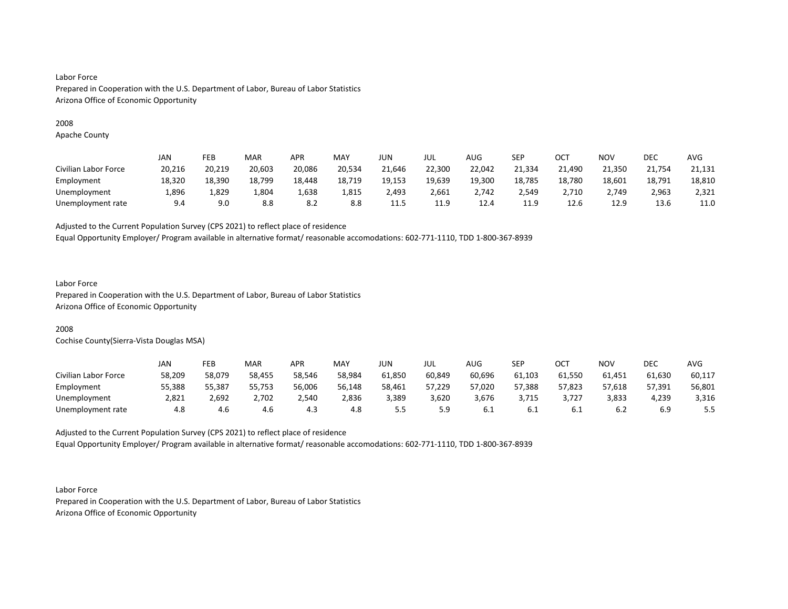# 2008

Apache County

|                      | JAN    | FEB    | <b>MAR</b> | APR    | <b>MAY</b> | JUN    | JUL    | <b>AUG</b> | SEP    | ОСТ    | <b>NOV</b> | DEC    | <b>AVG</b> |
|----------------------|--------|--------|------------|--------|------------|--------|--------|------------|--------|--------|------------|--------|------------|
| Civilian Labor Force | 20,216 | 20,219 | 20,603     | 20,086 | 20,534     | 21,646 | 22,300 | 22,042     | 21,334 | 21,490 | 21,350     | 21,754 | 21,131     |
| Employment           | 18,320 | 18,390 | 18,799     | 18,448 | 18,719     | 19,153 | 19,639 | 19,300     | 18,785 | 18,780 | 18,601     | 18,791 | 18,810     |
| Unemployment         | 1,896  | 829,ء  | 804,∡      | 836,⊾  | 1,815      | 2,493  | 2,661  | 2.742      | 2.549  | 2,710  | 2.749      | 2,963  | 2,321      |
| Unemployment rate    | 9.4    | 9.0    | 8.8        | 8.2    | 8.8        | 11.5   | 11.9   | 12.4       | 11.9   | 12.6   | 12.9       | 13.6   | 11.0       |

Adjusted to the Current Population Survey (CPS 2021) to reflect place of residence

Equal Opportunity Employer/ Program available in alternative format/ reasonable accomodations: 602-771-1110, TDD 1-800-367-8939

# Labor Force

Prepared in Cooperation with the U.S. Department of Labor, Bureau of Labor Statistics Arizona Office of Economic Opportunity

# 2008

Cochise County(Sierra-Vista Douglas MSA)

|                      | JAN    | FEB    | <b>MAR</b> | APR    | MAY    | JUN    | JUL    | AUG    | SEP    | ост    | NOV    | DEC    | AVG    |
|----------------------|--------|--------|------------|--------|--------|--------|--------|--------|--------|--------|--------|--------|--------|
| Civilian Labor Force | 58,209 | 58,079 | 58,455     | 58,546 | 58,984 | 61,850 | 60,849 | 60,696 | 61,103 | 61,550 | 61,451 | 61,630 | 60,117 |
| Employment           | 55,388 | 55,387 | 55,753     | 56,006 | 56,148 | 58,461 | 57,229 | 57,020 | 57,388 | 57,823 | 57,618 | 57,391 | 56,801 |
| Unemployment         | 2,821  | 2,692  | 2,702      | 2,540  | 2,836  | 3,389  | 3,620  | 3,676  | 3,715  | 3,727  | 3,833  | 4,239  | 3,316  |
| Unemployment rate    | 4.8    | 4.6    | 4.6        | 4.3    | 4.8    |        | 5.9    | ∪.⊥    | b.1    | 0.T    | 6.2    | 6.9    | 5.5    |

Adjusted to the Current Population Survey (CPS 2021) to reflect place of residence Equal Opportunity Employer/ Program available in alternative format/ reasonable accomodations: 602-771-1110, TDD 1-800-367-8939

Labor Force Prepared in Cooperation with the U.S. Department of Labor, Bureau of Labor Statistics Arizona Office of Economic Opportunity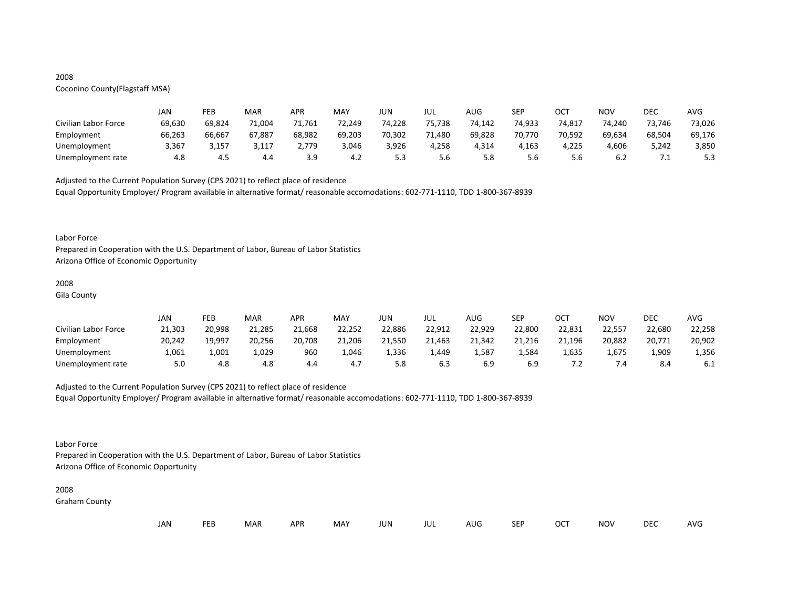# 2008

# Coconino County(Flagstaff MSA)

|                      | JAN    | FEB    | MAR    | <b>APR</b> | MAY    | JUN    | JUL    | AUG    | <b>SEP</b> | ОСТ    | NOV    | DEC    | AVG    |
|----------------------|--------|--------|--------|------------|--------|--------|--------|--------|------------|--------|--------|--------|--------|
| Civilian Labor Force | 69,630 | 69,824 | 71,004 | 71,761     | 72,249 | 74,228 | 75.738 | 74,142 | 74,933     | 74,817 | 74.240 | 73,746 | 73,026 |
| Employment           | 66,263 | 66,667 | 67,887 | 68,982     | 69,203 | 70,302 | 71,480 | 69,828 | 70,770     | 70,592 | 69,634 | 68,504 | 69,176 |
| Unemployment         | 3,367  | 3,157  | 3,117  | 2.779      | 3,046  | 3,926  | 4,258  | 4,314  | 4,163      | 4,225  | 4,606  | 5,242  | 3,850  |
| Unemployment rate    | 4.8    | 4.5    | 4.4    | 3.9        | 4.Z    | ر.ر    | 5.6    | 5.8    | 5.6        | 5.6    | b.∠    | .      | 5.3    |

Adjusted to the Current Population Survey (CPS 2021) to reflect place of residence

Equal Opportunity Employer/ Program available in alternative format/ reasonable accomodations: 602-771-1110, TDD 1-800-367-8939

#### Labor Force

Prepared in Cooperation with the U.S. Department of Labor, Bureau of Labor Statistics Arizona Office of Economic Opportunity

#### 2008

Gila County

|                      | JAN    | FEB    | MAR    | APR    | MAY    | JUN    | JUL    | AUG    | <b>SEP</b> | ОСТ    | NOV    | DEC    | AVG    |
|----------------------|--------|--------|--------|--------|--------|--------|--------|--------|------------|--------|--------|--------|--------|
| Civilian Labor Force | 21,303 | 20,998 | 21,285 | 21,668 | 22,252 | 22,886 | 22,912 | 22,929 | 22,800     | 22,831 | 22,557 | 22,680 | 22,258 |
| Employment           | 20,242 | 19,997 | 20,256 | 20,708 | 21,206 | 21.550 | 21,463 | 21,342 | 21,216     | 21,196 | 20,882 | 20,771 | 20,902 |
| Unemployment         | 1,061  | 1,001  | 1,029  | 960    | 1.046  | 1.336  | 1,449  | 1,587  | 584ء ت     | 1.635  | 1.675  | 1,909  | 1,356  |
| Unemployment rate    | 5.0    | 4.8    | 4.8    | 4.4    | 4.7    | 5.8    | 6.3    |        | 6.9        |        | ۰. ۱   | 8.4    | -6.1   |

# Adjusted to the Current Population Survey (CPS 2021) to reflect place of residence

Equal Opportunity Employer/ Program available in alternative format/ reasonable accomodations: 602-771-1110, TDD 1-800-367-8939

# Labor Force

Prepared in Cooperation with the U.S. Department of Labor, Bureau of Labor Statistics Arizona Office of Economic Opportunity

#### 2008

Graham County

| JAN<br><b>FEB</b><br><b>OCT</b><br>MAR<br>MAY<br><b>APR</b><br><b>NOV</b><br>JUN<br><b>SEP</b><br>AUG<br>jul |  |  |  |  |  |  |  |  |  |  |  | DEC | <b>AVG</b> |
|--------------------------------------------------------------------------------------------------------------|--|--|--|--|--|--|--|--|--|--|--|-----|------------|
|--------------------------------------------------------------------------------------------------------------|--|--|--|--|--|--|--|--|--|--|--|-----|------------|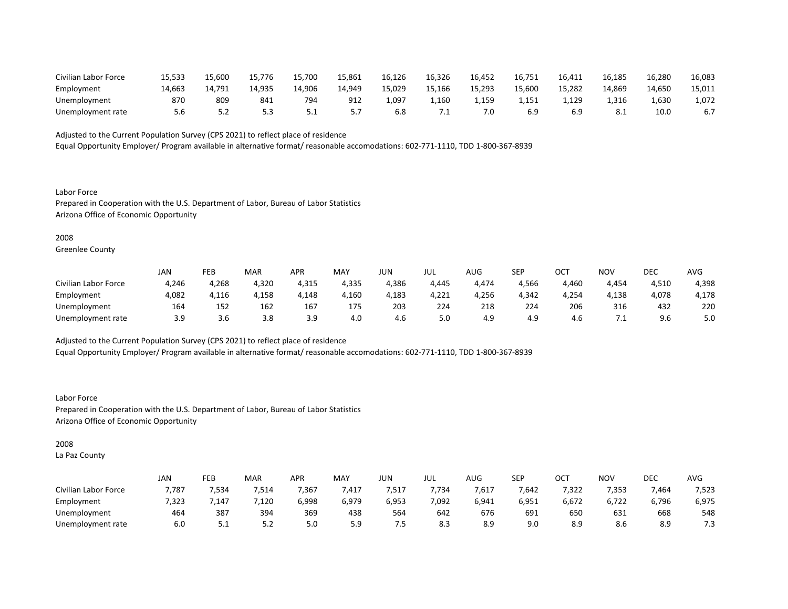| Civilian Labor Force | 15,533 | 15,600           | 15.776 | 15,700   | 15,861 | 16,126 | 16,326 | 16,452     | 16.75  | 16,411 | 16,185 | 16,280 | 16,083 |
|----------------------|--------|------------------|--------|----------|--------|--------|--------|------------|--------|--------|--------|--------|--------|
| Employment           | 14,663 | 14 791<br>14.791 | 14,935 | 14,906   | 14.949 | 15,029 | 15,166 | 15,293     | 15,600 | 15,282 | 14.869 | 14,650 | 15,011 |
| Unemployment         | 870    | 809              | 841    | 794      | 912    | 1,097  | 1,160  | . 159<br>. | 1.151  | 1.129  | 1,316  | 1,630  | 1,072  |
| Unemployment rate    |        | <u>.</u>         |        | <u>.</u> |        | 6.8    |        | 7.0        |        |        |        | 10.0   | 6.7    |

Equal Opportunity Employer/ Program available in alternative format/ reasonable accomodations: 602-771-1110, TDD 1-800-367-8939

Labor Force Prepared in Cooperation with the U.S. Department of Labor, Bureau of Labor Statistics Arizona Office of Economic Opportunity

#### 2008

Greenlee County

|                      | JAN   | FEB   | <b>MAR</b> | APR        | MAY   | JUN   | JUL   | AUG   | <b>SEP</b> | ост   | NOV   | DEC   | AVG   |
|----------------------|-------|-------|------------|------------|-------|-------|-------|-------|------------|-------|-------|-------|-------|
| Civilian Labor Force | 4,246 | 4,268 | 4,320      | 4,315      | 4,335 | 4,386 | 4,445 | 4,474 | 4,566      | 1,460 | 4,454 | 4,510 | 4,398 |
| Employment           | 4,082 | 4,116 | 4,158      | 4,148      | 4,160 | 4,183 | 4,221 | 4,256 | 4,342      | 4,254 | 4,138 | 4,078 | 4,178 |
| Unemployment         | 164   | 152   | 162        | 167        | 175   | 203   | 224   | 218   | 224        | 206   | 316   | 432   | 220   |
| Unemployment rate    | 3.9   | 3.O   | 3.8        | 3 Q<br>J.J | 4.0   | 4.6   | 5.0   | 4.9   | 4.9        | 4.b   | ــــ  | 9.6   | 5.0   |

Adjusted to the Current Population Survey (CPS 2021) to reflect place of residence

Equal Opportunity Employer/ Program available in alternative format/ reasonable accomodations: 602-771-1110, TDD 1-800-367-8939

Labor Force Prepared in Cooperation with the U.S. Department of Labor, Bureau of Labor Statistics Arizona Office of Economic Opportunity

# 2008

La Paz County

|                      | JAN   | FEB      | MAR  | <b>APR</b> | <b>MAY</b> | JUN   | jul   | $\sqrt{1+\sqrt{2}}$<br>AUG | <b>SEP</b> | ⌒⌒⊤<br>UC. | <b>NOV</b> | DEC   | <b>AVG</b> |
|----------------------|-------|----------|------|------------|------------|-------|-------|----------------------------|------------|------------|------------|-------|------------|
| Civilian Labor Force | 7,787 | 7,534    | ,514 | 7,367      | ,417       | ,517  | 7,734 | 7,617                      | 7,642      | 7,322      | 7,353      | 7,464 | 7,523      |
| Employment           | 7,323 | .147     | ,120 | 6,998      | 6,979      | 6,953 | 7,092 | 6,941                      | 6,951      | 6,672      | 6,722      | 6,796 | 6,975      |
| Unemployment         | 464   | 387      | 394  | 369        | 438        | 564   | 642   | 676                        | 691        | 650        | 631        | 668   | 548        |
| Unemployment rate    | 6.0   | <u>.</u> | ے. ب | 5.0        | 5.9        | ر ,   | 8.3   | 8.9                        | 9.0        | 8.9        | 8.6        | 8.9   | 7.3        |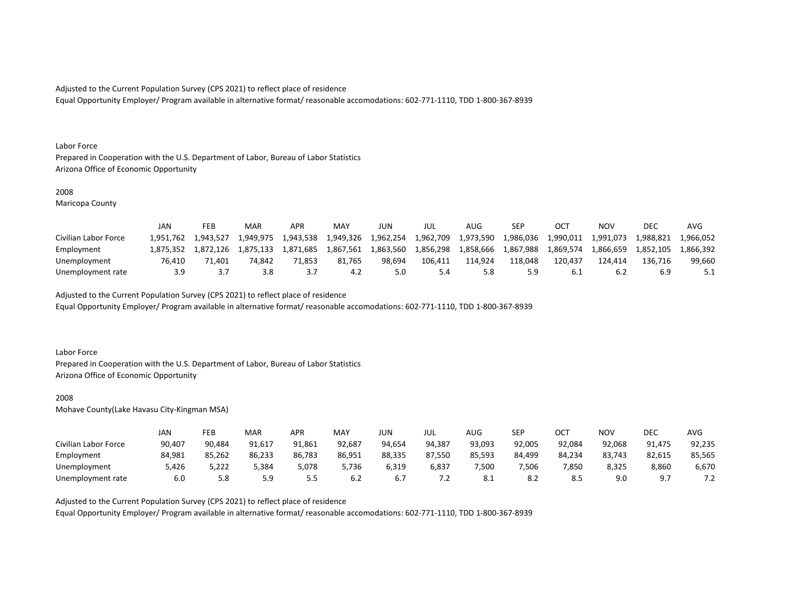Equal Opportunity Employer/ Program available in alternative format/ reasonable accomodations: 602-771-1110, TDD 1-800-367-8939

#### Labor Force

Prepared in Cooperation with the U.S. Department of Labor, Bureau of Labor Statistics Arizona Office of Economic Opportunity

## 2008

Maricopa County

|                      | JAN       | FEB       | MAR       | <b>APR</b> | <b>MAY</b> | JUN       | JUL       | AUG.      | <b>SEP</b> |           | NOV       | DEC       | AVG       |
|----------------------|-----------|-----------|-----------|------------|------------|-----------|-----------|-----------|------------|-----------|-----------|-----------|-----------|
| Civilian Labor Force | 1.951.762 | 1.943.527 | 1.949.975 | 1,943,538  | 1,949,326  | 1,962,254 | 1,962,709 | 1,973,590 | 1,986,036  | 1,990,011 | 1,991,073 | ⊥,988,821 | 1,966,052 |
| Employment           | 1.875.352 | 1.872.126 | 1.875.133 | 1.871.685  | 1.867.561  | 1,863,560 | 1,856,298 | 1.858.666 | 1.867.988  | 1.869.574 | 1.866.659 | 1.852.105 | .866.392  |
| Unemployment         | 76.410    | 71.401    | 74.842    | 71.853     | 81.765     | 98.694    | 106.411   | 114.924   | 118.048    | 120.437   | 124.414   | 136.716   | 99.660    |
| Unemployment rate    | 3.9       |           | 3.8       |            |            | 5.0       |           |           | 5.9        |           | 6.2       |           |           |

Adjusted to the Current Population Survey (CPS 2021) to reflect place of residence

Equal Opportunity Employer/ Program available in alternative format/ reasonable accomodations: 602-771-1110, TDD 1-800-367-8939

#### Labor Force

Prepared in Cooperation with the U.S. Department of Labor, Bureau of Labor Statistics Arizona Office of Economic Opportunity

## 2008

Mohave County(Lake Havasu City-Kingman MSA)

|                      | JAN    | FEB    | MAR    | APR    | <b>MAY</b> | JUN    | JUL    | AUG    | <b>SEP</b> | ост    | NOV    | DEC    | AVG        |
|----------------------|--------|--------|--------|--------|------------|--------|--------|--------|------------|--------|--------|--------|------------|
| Civilian Labor Force | 90,407 | 90,484 | 91,617 | 91,861 | 92,687     | 94,654 | 94,387 | 93,093 | 92,005     | 92,084 | 92,068 | 91.475 | 92,235     |
| Employment           | 84,981 | 85,262 | 86,233 | 86,783 | 86,951     | 88,335 | 87,550 | 85,593 | 84,499     | 84,234 | 83,743 | 82,615 | 85,565     |
| Unemployment         | 5,426  | 5,222  | 384,د  | 5,078  | 5,736      | 6,319  | 6,837  | 7,500  | 7,506      | 7,850  | 8,325  | 8,860  | 6,670      |
| Unemployment rate    | 6.0    | 5.8    | 5.9    |        | 6.2        | b.,    | ے ،    | 8.1    | 8.2        |        | 9.0    | Q      | ¬ ¬<br>ے ، |

Adjusted to the Current Population Survey (CPS 2021) to reflect place of residence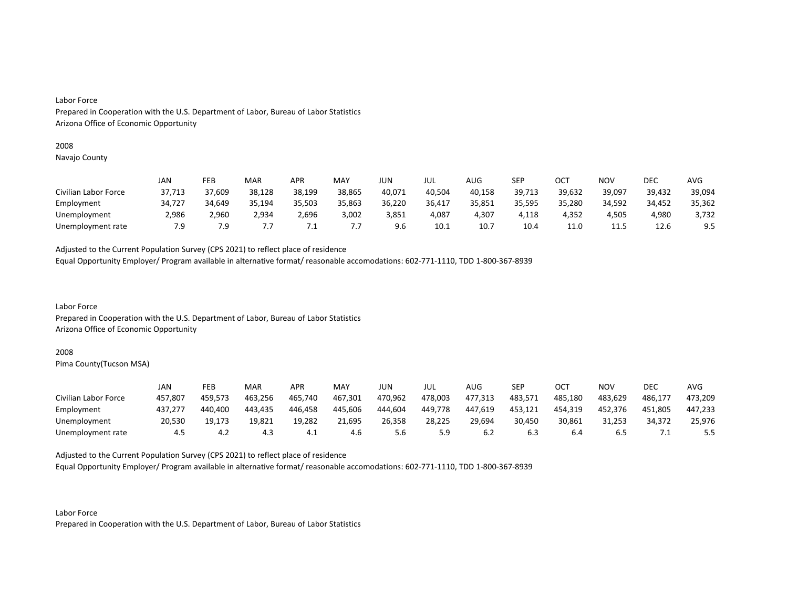# 2008

Navajo County

|                      | JAN    | FEB    | MAR    | <b>APR</b> | MAY    | JUN    | JUL    | AUG    | SEP    | ОСТ    | NOV    | <b>DEC</b> | AVG    |
|----------------------|--------|--------|--------|------------|--------|--------|--------|--------|--------|--------|--------|------------|--------|
| Civilian Labor Force | 37,713 | 37,609 | 38,128 | 38,199     | 38,865 | 40,071 | 40,504 | 40,158 | 39,713 | 39,632 | 39,097 | 39,432     | 39,094 |
| Employment           | 34,727 | 34,649 | 35,194 | 35,503     | 35,863 | 36,220 | 36,417 | 35,851 | 35,595 | 35,280 | 34,592 | 34,452     | 35,362 |
| Unemployment         | 2,986  | 2,960  | 2,934  | 2,696      | 3,002  | 3,851  | 4,087  | 4,307  | 4.118  | 4.352  | 4.505  | 4.980      | 3,732  |
| Unemployment rate    | 7.9    | 7.9    | .,     | ــــ       | , , ,  | 9.6    | 10.1   | 10.7   | 10.4   | 11.0   | 11.5   | 12.6       | 9.5    |

Adjusted to the Current Population Survey (CPS 2021) to reflect place of residence

Equal Opportunity Employer/ Program available in alternative format/ reasonable accomodations: 602-771-1110, TDD 1-800-367-8939

Labor Force Prepared in Cooperation with the U.S. Department of Labor, Bureau of Labor Statistics Arizona Office of Economic Opportunity

#### 2008

Pima County(Tucson MSA)

|                      | JAN     | FEB     | MAR     | <b>APR</b> | MAY     | JUN     | JUL     | AUG     | SEP     | ост     | <b>NOV</b> | DEC     | AVG     |
|----------------------|---------|---------|---------|------------|---------|---------|---------|---------|---------|---------|------------|---------|---------|
| Civilian Labor Force | 457,807 | 459.573 | 463,256 | 465,740    | 467,301 | 470,962 | 478,003 | 477,313 | 483,571 | 485.180 | 483,629    | 486.177 | 473,209 |
| Employment           | 437,277 | 440.400 | 443.435 | 446.458    | 445.606 | 444.604 | 449,778 | 447.619 | 453.121 | 454.319 | 452,376    | 451.805 | 447.233 |
| Unemployment         | 20,530  | 19.173  | 19,821  | 19,282     | 21,695  | 26,358  | 28,225  | 29,694  | 30,450  | 30,861  | 31,253     | 34,372  | 25,976  |
| Unemployment rate    | 4.5     | 4.∠     | 4.3     | ⊥. 4       | 4.6     | 5.6     | 5.9     | b.∠     | 6.3     | 6.4     | ხ.5        |         | 5.5     |

Adjusted to the Current Population Survey (CPS 2021) to reflect place of residence

Equal Opportunity Employer/ Program available in alternative format/ reasonable accomodations: 602-771-1110, TDD 1-800-367-8939

Labor Force Prepared in Cooperation with the U.S. Department of Labor, Bureau of Labor Statistics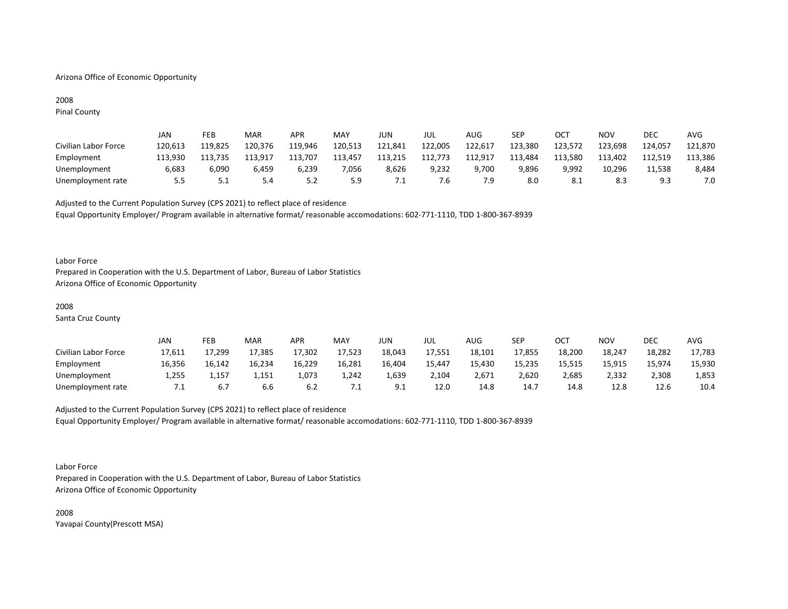# Arizona Office of Economic Opportunity

# 2008

Pinal County

|                      | <b>JAN</b> | FEB     | MAR     | APR     | MAY     | JUN     | jul     | AUG     | SEP     | ОСТ     | NOV     | DEC     | <b>AVG</b> |
|----------------------|------------|---------|---------|---------|---------|---------|---------|---------|---------|---------|---------|---------|------------|
| Civilian Labor Force | 120,613    | 119.825 | 120,376 | 119,946 | 120,513 | 121,841 | 122,005 | 122,617 | 123,380 | 123,572 | 123,698 | 124,057 | 121,870    |
| Employment           | 113,930    | 113,735 | 113,917 | 113,707 | 113,457 | 113,215 | 112,773 | 112,917 | 113,484 | 113,580 | 113,402 | 112,519 | 113,386    |
| Unemployment         | 6,683      | 6,090   | 6.459   | 6,239   | 7,056   | 8,626   | 9,232   | 9,700   | 9,896   | 9,992   | 10,296  | 11,538  | 8,484      |
| Unemployment rate    | 5.5        | ـ . ـ   | 5.4     | 5.2     | 5.9     | ٠.      | /.ხ     | 7.9     | 8.0     | 8.1     | 8.3     | Q 3<br> | 7.0        |

Adjusted to the Current Population Survey (CPS 2021) to reflect place of residence Equal Opportunity Employer/ Program available in alternative format/ reasonable accomodations: 602-771-1110, TDD 1-800-367-8939

#### Labor Force

Prepared in Cooperation with the U.S. Department of Labor, Bureau of Labor Statistics Arizona Office of Economic Opportunity

#### 2008

Santa Cruz County

|                      | JAN    | FEB    | MAR    | APR    | <b>MAY</b> | JUN -         | JUL    | AUG    | SEP    | ОСТ    | NOV    | <b>DEC</b> | AVG    |
|----------------------|--------|--------|--------|--------|------------|---------------|--------|--------|--------|--------|--------|------------|--------|
| Civilian Labor Force | 17,611 | 17,299 | 17,385 | 17,302 | 17,523     | 18,043        | 17,551 | 18,101 | 17,855 | 18,200 | 18,247 | 18,282     | 17,783 |
| Employment           | 16,356 | 16,142 | 16,234 | 16,229 | 16,281     | 16,404        | 15,447 | 15,430 | 15,235 | 15,515 | 15,915 | 15,974     | 15,930 |
| Unemployment         | 1,255  | 1,157  | 1,151  | 1,073  | 1,242      | 1,639         | 2,104  | 2,671  | 2,620  | 2,685  | 2,332  | 2,308      | 1,853  |
| Unemployment rate    | 7.1    | 6.7    | b.b    |        | .          | Q<br><u>.</u> | 12.0   | 14.8   | 14.7   | 14.8   | 12.8   | 12.6       | 10.4   |

# Adjusted to the Current Population Survey (CPS 2021) to reflect place of residence Equal Opportunity Employer/ Program available in alternative format/ reasonable accomodations: 602-771-1110, TDD 1-800-367-8939

Labor Force

Prepared in Cooperation with the U.S. Department of Labor, Bureau of Labor Statistics Arizona Office of Economic Opportunity

2008 Yavapai County(Prescott MSA)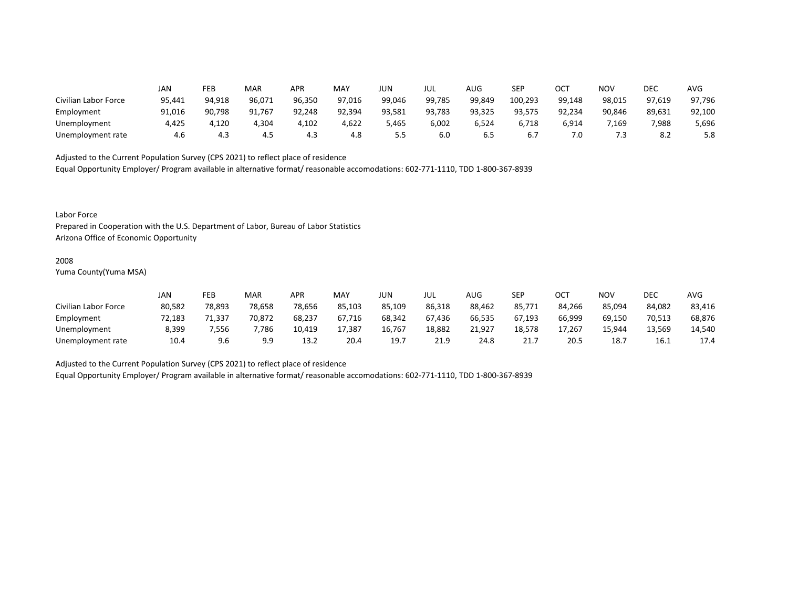|                      | JAN    | FEB    | MAR    | APR    | MAY    | JUN    | JUL    | AUG    | <b>SEP</b> | ОСТ    | NOV    | DEC    | AVG    |
|----------------------|--------|--------|--------|--------|--------|--------|--------|--------|------------|--------|--------|--------|--------|
| Civilian Labor Force | 95,441 | 94,918 | 96,071 | 96,350 | 97,016 | 99,046 | 99,785 | 99,849 | 100,293    | 99,148 | 98,015 | 97,619 | 97,796 |
| Employment           | 91,016 | 90,798 | 91,767 | 92,248 | 92,394 | 93,581 | 93,783 | 93,325 | 93,575     | 92,234 | 90,846 | 89,631 | 92,100 |
| Unemployment         | 4.425  | 4.120  | 4,304  | 1,102  | 4,622  | 5,465  | 6,002  | 6,524  | 6,718      | 6,914  | 7,169  | 7,988  | 5,696  |
| Unemployment rate    | 4.6    | 4.3    | 4.5    | 4.3    | 4.8    |        | 6.0    | 6.5    | 6.7        | 7.0    | 7.3    | 8.2    | 5.8    |

Equal Opportunity Employer/ Program available in alternative format/ reasonable accomodations: 602-771-1110, TDD 1-800-367-8939

Labor Force

Prepared in Cooperation with the U.S. Department of Labor, Bureau of Labor Statistics Arizona Office of Economic Opportunity

#### 2008

Yuma County(Yuma MSA)

|                      | Jan    | FEB    | <b>MAR</b> | APR    | <b>MAY</b> | JUN    | JUL    | AUG    | SEP    | ОСТ    | NOV    | DEC    | <b>AVG</b> |
|----------------------|--------|--------|------------|--------|------------|--------|--------|--------|--------|--------|--------|--------|------------|
| Civilian Labor Force | 80,582 | 78,893 | 78,658     | 78,656 | 85,103     | 85.109 | 86,318 | 88,462 | 85,771 | 84.266 | 85.094 | 84,082 | 83,416     |
| Employment           | 72.183 | 71.337 | 70,872     | 68,237 | 67.716     | 68,342 | 67.436 | 66,535 | 67.193 | 66,999 | 69,150 | 70,513 | 68,876     |
| Unemployment         | 8,399  | 7.556  | 7,786      | 10.419 | 17,387     | 16,767 | 18,882 | 21,927 | 18.578 | 17,267 | 15.944 | 13.569 | 14,540     |
| Unemployment rate    | 10.4   | 9.6    | 9.9        | 13.2   | 20.4       | 19.    | 21.9   | 24.8   | 21.7   | 20.5   | 18.7   | 16.1   | 17.4       |

Adjusted to the Current Population Survey (CPS 2021) to reflect place of residence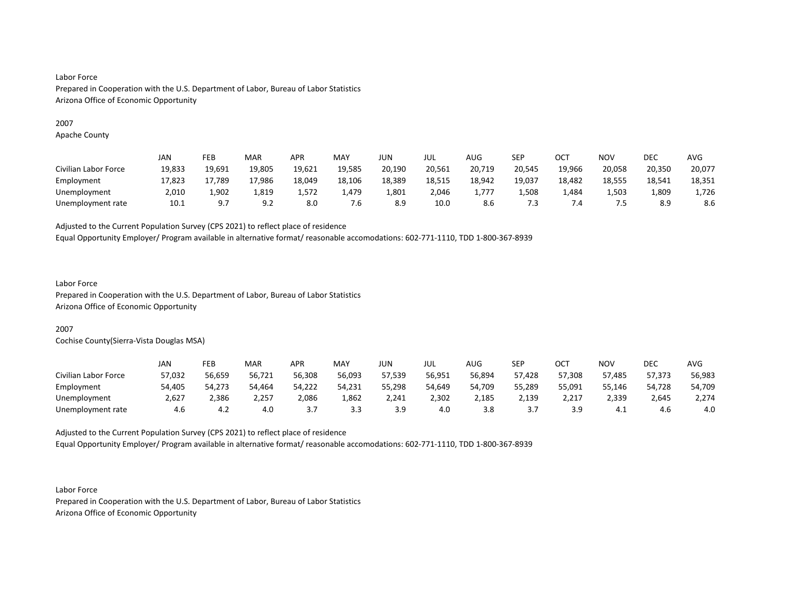# 2007

Apache County

|                      | JAN    | FEB            | <b>MAR</b>      | <b>APR</b> | <b>MAY</b> | JUN    | JUL    | AUG    | SEP    | ОСТ    | <b>NOV</b> | DEC    | <b>AVG</b> |
|----------------------|--------|----------------|-----------------|------------|------------|--------|--------|--------|--------|--------|------------|--------|------------|
| Civilian Labor Force | 19,833 | 19,691         | 19.805          | 19,621     | 19,585     | 20,190 | 20,561 | 20,719 | 20,545 | 19,966 | 20,058     | 20,350 | 20,077     |
| Employment           | 17,823 | 17,789         | 17,986          | 18.049     | 18,106     | 18,389 | 18,515 | 18.942 | 19.037 | 18,482 | 18.555     | 18,541 | 18,351     |
| Unemployment         | 2,010  | 1,902          | 1,819           | 1,572      | 1,479      | 1,801  | 2,046  | 1,777  | 1,508  | 484.ء  | 1,503      | 1,809  | 1,726      |
| Unemployment rate    | 10.1   | Q <sub>7</sub> | د ۹<br><u>.</u> | 8.0        | 7.6        |        | 10.0   | 8.6    | 7.3    |        | כ.י        | 8.9    | 8.6        |

Adjusted to the Current Population Survey (CPS 2021) to reflect place of residence

Equal Opportunity Employer/ Program available in alternative format/ reasonable accomodations: 602-771-1110, TDD 1-800-367-8939

# Labor Force

Prepared in Cooperation with the U.S. Department of Labor, Bureau of Labor Statistics Arizona Office of Economic Opportunity

# 2007

Cochise County(Sierra-Vista Douglas MSA)

|                      | JAN    | FEB    | <b>MAR</b> | APR    | <b>MAY</b> | JUN            | JUL    | AUG    | SEP    | ост            | NOV    | DEC    | AVG    |
|----------------------|--------|--------|------------|--------|------------|----------------|--------|--------|--------|----------------|--------|--------|--------|
| Civilian Labor Force | 57,032 | 56,659 | 56,721     | 56,308 | 56,093     | 57,539         | 56,951 | 56,894 | 57,428 | 57,308         | 57,485 | 57,373 | 56,983 |
| Employment           | 54,405 | 54,273 | 54,464     | 54,222 | 54,231     | 55,298         | 54.649 | 54,709 | 55,289 | 55,091         | 55,146 | 54,728 | 54,709 |
| Unemployment         | 2,627  | 2,386  | 2,257      | 2,086  | 1,862      | 2,241          | 2,302  | 2,185  | 2,139  | 2,217          | 2,339  | 2,645  | 2,274  |
| Unemployment rate    | 4.6    | 4.2    | 4.0        |        |            | 3 Q<br><u></u> | 4.0    | 3.8    | J.,    | зq<br><u>.</u> | 4.1    | 4.6    | 4.0    |

Adjusted to the Current Population Survey (CPS 2021) to reflect place of residence Equal Opportunity Employer/ Program available in alternative format/ reasonable accomodations: 602-771-1110, TDD 1-800-367-8939

Labor Force Prepared in Cooperation with the U.S. Department of Labor, Bureau of Labor Statistics Arizona Office of Economic Opportunity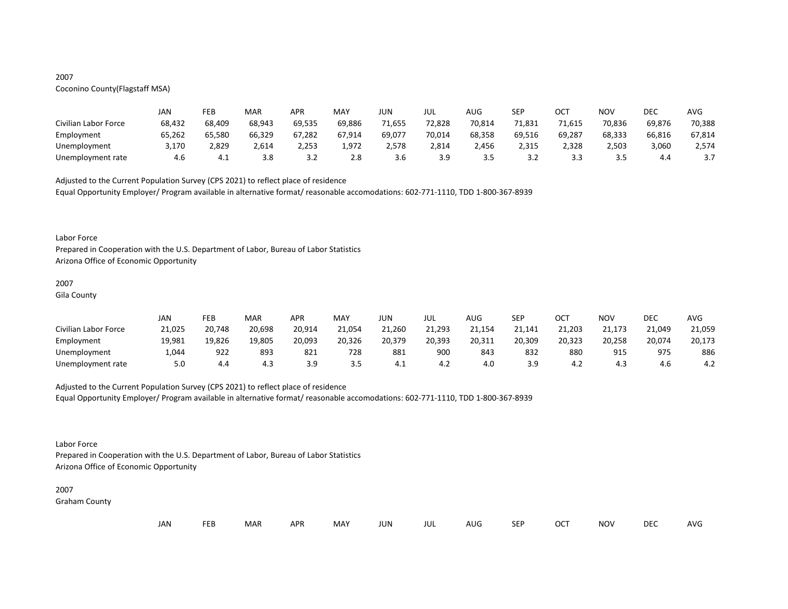# 2007

# Coconino County(Flagstaff MSA)

|                      | JAN    | FEB    | MAR    | APR    | MAY    | JUN    | JUL    | AUG     | <b>SEP</b> | ост    | NOV     | DEC    | AVG    |
|----------------------|--------|--------|--------|--------|--------|--------|--------|---------|------------|--------|---------|--------|--------|
| Civilian Labor Force | 68,432 | 68,409 | 68,943 | 69,535 | 69,886 | 71,655 | 72,828 | 70,814  | 71,831     | 71,615 | 70,836  | 69,876 | 70,388 |
| Employment           | 65,262 | 65,580 | 66,329 | 67,282 | 67,914 | 69,077 | 70,014 | 68,358  | 69,516     | 69,287 | 68,333  | 66,816 | 67,814 |
| Unemployment         | 3,170  | 2,829  | 2,614  | 2.253  | 1,972  | 2.578  | 2,814  | 2,456   | 2,315      | 2.328  | 2,503   | 3,060  | 2,574  |
| Unemployment rate    | 4.6    | - 4.⊥  | 3.8    | ے . ۔  | 2.8    | 3.b    | 3.9    | <u></u> | ے. ب       |        | っ に<br> | 4.4    | J.,    |

Adjusted to the Current Population Survey (CPS 2021) to reflect place of residence

Equal Opportunity Employer/ Program available in alternative format/ reasonable accomodations: 602-771-1110, TDD 1-800-367-8939

#### Labor Force

Prepared in Cooperation with the U.S. Department of Labor, Bureau of Labor Statistics Arizona Office of Economic Opportunity

# 2007

Gila County

|                      | JAN    | FEB    | MAR    | APR    | MAY    | JUN    | JUL    | AUG    | <b>SFD</b><br>ᅴ | OCT    | <b>NOV</b> | DEC    | <b>AVG</b> |
|----------------------|--------|--------|--------|--------|--------|--------|--------|--------|-----------------|--------|------------|--------|------------|
| Civilian Labor Force | 21,025 | 20,748 | 20,698 | 20,914 | 21,054 | 21,260 | 21,293 | 21,154 | 21,141          | 21,203 | 21,173     | 21,049 | 21,059     |
| Employment           | 19,981 | 19,826 | 19,805 | 20,093 | 20,326 | 20,379 | 20,393 | 20,311 | 20,309          | 20,323 | 20,258     | 20,074 | 20,173     |
| Unemployment         | 1,044  | 922    | 893    | 821    | 728    | 881    | 900    | 843    | 832             | 880    | 915        | 975    | 886        |
| Unemployment rate    | 5.0    | 4.4    | 4.3    | эq     | 3.5    | - 4.⊥  | 4.2    | 4.0    | 3.9             |        | 4.3        | 4.6    | 4.2        |

# Adjusted to the Current Population Survey (CPS 2021) to reflect place of residence

Equal Opportunity Employer/ Program available in alternative format/ reasonable accomodations: 602-771-1110, TDD 1-800-367-8939

# Labor Force

Prepared in Cooperation with the U.S. Department of Labor, Bureau of Labor Statistics Arizona Office of Economic Opportunity

# 2007

Graham County

| <b>FEB</b><br>JAN | <b>MAR</b> | <b>APR</b> | MAY | JUN | JUL | AUG | SEP | OCT | NOV | DEC | AVG |
|-------------------|------------|------------|-----|-----|-----|-----|-----|-----|-----|-----|-----|
|-------------------|------------|------------|-----|-----|-----|-----|-----|-----|-----|-----|-----|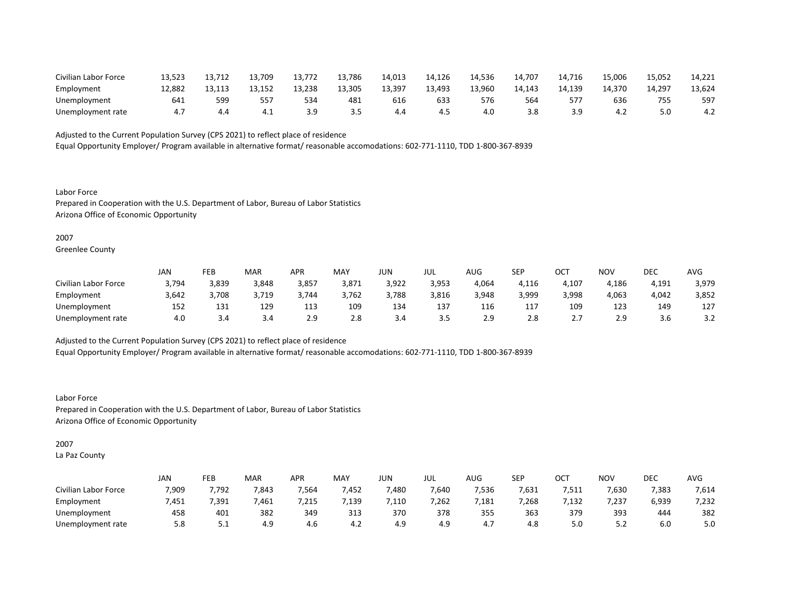| Civilian Labor Force | 13,523 |     | 13,709 | 13,772 | 13,786 | 14,013 | 14,126 | 14,536 | 14,707 | 14.716 | 15,006 | 15,052 | 14,221 |
|----------------------|--------|-----|--------|--------|--------|--------|--------|--------|--------|--------|--------|--------|--------|
| Employment           | 12.882 |     | 13.152 | 13,238 | 13,305 | 13,397 | 13,493 | 13,960 | 14,143 | 14,139 | 14,370 | 14.297 | 13,624 |
| Unemployment         | 641    | 599 | 557    | 534    | 481    | 616    | 633    | 576    | 564    |        | 636    | 755    | 597    |
| Unemployment rate    |        | 4.4 | - 4.⊥  |        |        | 4.4    | -4.5   | 4.0    | 3.8    | ιq<br> | 4.∠    |        | 4.∠    |

Equal Opportunity Employer/ Program available in alternative format/ reasonable accomodations: 602-771-1110, TDD 1-800-367-8939

Labor Force Prepared in Cooperation with the U.S. Department of Labor, Bureau of Labor Statistics Arizona Office of Economic Opportunity

2007

Greenlee County

|                      | JAN   | FEB   | <b>MAR</b> | APR   | <b>MAY</b> | JUN   | JUL   | AUG   | SEP   | ∩∩⊤<br>UC. | NO <sub>V</sub> | DEC   | <b>AVG</b>           |
|----------------------|-------|-------|------------|-------|------------|-------|-------|-------|-------|------------|-----------------|-------|----------------------|
| Civilian Labor Force | 3,794 | 3,839 | 3,848      | 3,857 | 3,871      | 3,922 | 3,953 | 4,064 | 4,116 | 4,107      | 4,186           | 4,191 | 3,979                |
| Employment           | 3,642 | 3,708 | 3,719      | 3.744 | 3,762      | 3,788 | 3,816 | 3,948 | 3,999 | 3,998      | 4,063           | 4,042 | 3,852                |
| Unemployment         | 152   | 131   | 129        | 113   | 109        | 134   | 137   | 116   | 117   | 109        | 123             | 149   | 127                  |
| Unemployment rate    | 4.0   | 3.4   | 3.4        | 2.9   | 2.8        | 3.4   | 3.5   | 2.9   | 2.8   | <u>.</u>   | 2.9             | 3.6   | $\sim$ $\sim$<br>3.Z |

Adjusted to the Current Population Survey (CPS 2021) to reflect place of residence

Equal Opportunity Employer/ Program available in alternative format/ reasonable accomodations: 602-771-1110, TDD 1-800-367-8939

Labor Force Prepared in Cooperation with the U.S. Department of Labor, Bureau of Labor Statistics Arizona Office of Economic Opportunity

2007

La Paz County

|                      | <b>JAN</b> | FEB   | MAR   | APR   | <b>MAY</b>    | JUN   | JUL   | AUG   | SEP   | ОСТ   | <b>NOV</b> | DEC   | <b>AVG</b> |
|----------------------|------------|-------|-------|-------|---------------|-------|-------|-------|-------|-------|------------|-------|------------|
| Civilian Labor Force | 7,909      | 7,792 | 7,843 | 7,564 | 452,          | 7,480 | 7,640 | 7,536 | 7,631 | 7,511 | 7,630      | 7,383 | 7,614      |
| Employment           | 451.'      | ,391  | ,461  | ,215  | ,139          | ,110  | 7,262 | ,181  | 7,268 | 7,132 | 7,237      | 6,939 | 7,232      |
| Unemployment         | 458        | 401   | 382   | 349   | 313           | 370   | 378   | 355   | 363   | 379   | 393        | 444   | 382        |
| Unemployment rate    | 5.8        | ـ . ـ | 4.9   | 4.6   | $\sim$<br>4.Z | 4.9   | 4.9   | 4.,   | 4.8   | 5.0   | ے . ۔      | 6.0   | 5.0        |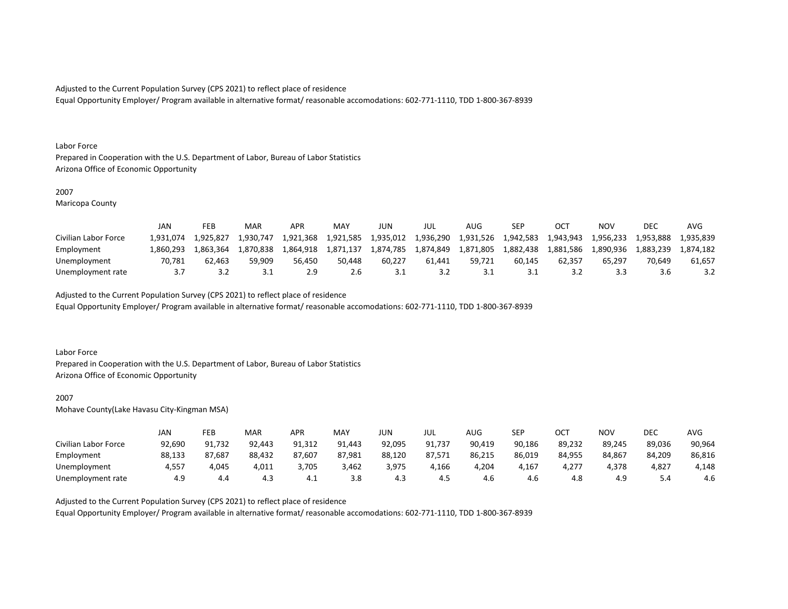Equal Opportunity Employer/ Program available in alternative format/ reasonable accomodations: 602-771-1110, TDD 1-800-367-8939

#### Labor Force

Prepared in Cooperation with the U.S. Department of Labor, Bureau of Labor Statistics Arizona Office of Economic Opportunity

## 2007

Maricopa County

|                      | JAN       | FEB       | MAR       | APR       | MAY       | JUN       | JUL       | AUG       | SEP       |           | ΝΟν       | DEC       | <b>AVC</b> |
|----------------------|-----------|-----------|-----------|-----------|-----------|-----------|-----------|-----------|-----------|-----------|-----------|-----------|------------|
| Civilian Labor Force | 1.931.074 | 1.925.827 | L.930.747 | 1,921,368 | 1,921,585 | 1,935,012 | 1,936,290 | 1,931,526 | 1,942,583 | 1,943,943 | 1,956,233 | 1,953,888 | 1.935.839  |
| Employment           | 1.860.293 | 1.863.364 | 1.870.838 | 1.864.918 | 1.871.137 | 1,874,785 | 1.874.849 | 1,871,805 | 1,882,438 | 1,881,586 | 1.890.936 | 1,883,239 | 1.874.182  |
| Unemployment         | 70.781    | 62.463    | 59.909    | 56.450    | 50.448    | 60.227    | 61.441    | 59.721    | 60.145    | 62.357    | 65.297    | 70.649    | 61.657     |
| Unemployment rate    |           | ے.د       | ⊥. ب      | 2.9       | 2.6       |           | 3.2       |           | <u>.</u>  |           |           |           |            |

Adjusted to the Current Population Survey (CPS 2021) to reflect place of residence

Equal Opportunity Employer/ Program available in alternative format/ reasonable accomodations: 602-771-1110, TDD 1-800-367-8939

#### Labor Force

Prepared in Cooperation with the U.S. Department of Labor, Bureau of Labor Statistics Arizona Office of Economic Opportunity

#### 2007

Mohave County(Lake Havasu City-Kingman MSA)

|                      | JAN    | FEB    | MAR    | <b>APR</b> | MAY    | JUN    | JUL    | AUG    | <b>SEP</b> | OCT    | NOV    | DEC      | <b>AVG</b> |
|----------------------|--------|--------|--------|------------|--------|--------|--------|--------|------------|--------|--------|----------|------------|
| Civilian Labor Force | 92,690 | 91,732 | 92,443 | 91,312     | 91,443 | 92,095 | 91,737 | 90,419 | 90,186     | 89,232 | 89,245 | 89,036   | 90,964     |
| Employment           | 88,133 | 87,687 | 88,432 | 87,607     | 87,981 | 88,120 | 87,571 | 86,215 | 86,019     | 84,955 | 84,867 | 84,209   | 86,816     |
| Unemployment         | 4,557  | 4,045  | 4,011  | 3,705      | 3,462  | 3,975  | 4,166  | 4,204  | 4,167      | 4,277  | 4.378  | 4,827    | 4,148      |
| Unemployment rate    | 4.9    | 4.4    | 4.3    | - 4.⊥      | 3.8    | 4.3    | 4.5    | 4.6    | 4.b        | 4.8    | 4.9    | 54<br>-⊶ | 4.6        |

Adjusted to the Current Population Survey (CPS 2021) to reflect place of residence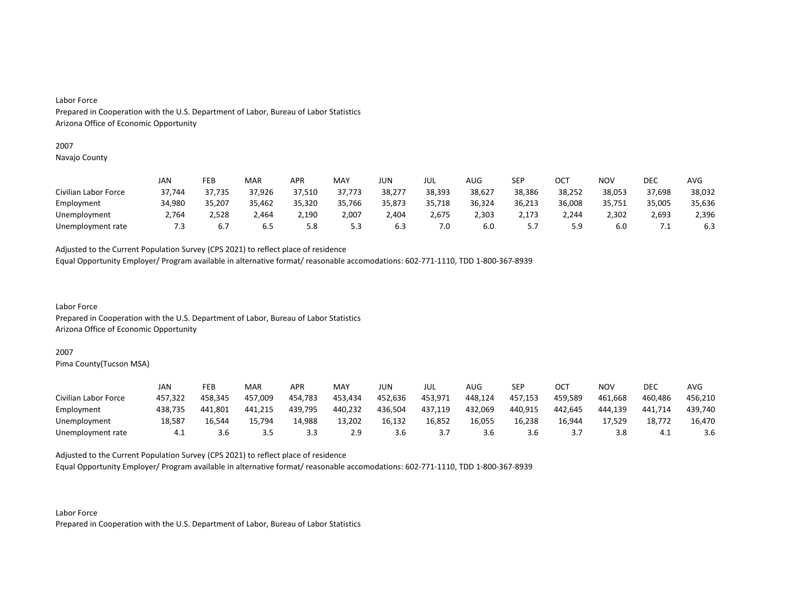#### 2007

Navajo County

|                      | JAN    | FEB    | MAR    | <b>APR</b> | MAY    | JUN    | JUL    | AUG    | SEP      | ОСТ    | NOV    | <b>DEC</b> | AVG    |
|----------------------|--------|--------|--------|------------|--------|--------|--------|--------|----------|--------|--------|------------|--------|
| Civilian Labor Force | 37,744 | 37,735 | 37,926 | 37,510     | 37,773 | 38,277 | 38,393 | 38,627 | 38,386   | 38,252 | 38,053 | 37,698     | 38,032 |
| Employment           | 34,980 | 35,207 | 35,462 | 35,320     | 35,766 | 35,873 | 35,718 | 36,324 | 36,213   | 36,008 | 35,751 | 35,005     | 35,636 |
| Unemployment         | 2,764  | 2,528  | 2,464  | 2,190      | 2,007  | 4,404  | 2,675  | 2,303  | 2,173    | 2.244  | 2,302  | 2,693      | 2,396  |
| Unemployment rate    | 7.3    | 6.7    | ხ.5    | 5.8        | 5.3    | 6.3    | 7.0    | 6.0    | <u>.</u> | 5.9    | 6.0    | . .        | 6.3    |

Adjusted to the Current Population Survey (CPS 2021) to reflect place of residence

Equal Opportunity Employer/ Program available in alternative format/ reasonable accomodations: 602-771-1110, TDD 1-800-367-8939

Labor Force Prepared in Cooperation with the U.S. Department of Labor, Bureau of Labor Statistics Arizona Office of Economic Opportunity

#### 2007

Pima County(Tucson MSA)

|                      | JAN     | FEB     | MAR     | APR     | MAY     | JUN     | JUL     | AUG     | SEP     | ост     | <b>NOV</b> | DEC     | AVG     |
|----------------------|---------|---------|---------|---------|---------|---------|---------|---------|---------|---------|------------|---------|---------|
| Civilian Labor Force | 457,322 | 458,345 | 457,009 | 454,783 | 453,434 | 452,636 | 453,971 | 448,124 | 457,153 | 459,589 | 461,668    | 460,486 | 456,210 |
| Employment           | 438.735 | 441.801 | 441.215 | 439,795 | 440,232 | 436,504 | 437,119 | 432,069 | 440,915 | 442.645 | 444.139    | 441,714 | 439,740 |
| Unemployment         | 18,587  | 16.544  | 15,794  | 14,988  | 13,202  | 16,132  | 16,852  | 16,055  | 16,238  | 16,944  | 17,529     | 18,772  | 16,470  |
| Unemployment rate    | 4.1     | 3.6     | 3.5     | 3.3     | 2.9     | 3.6     |         | 3.6     | 3.6     |         | 3.8        | —4.⊥    | 3.6     |

Adjusted to the Current Population Survey (CPS 2021) to reflect place of residence

Equal Opportunity Employer/ Program available in alternative format/ reasonable accomodations: 602-771-1110, TDD 1-800-367-8939

Labor Force Prepared in Cooperation with the U.S. Department of Labor, Bureau of Labor Statistics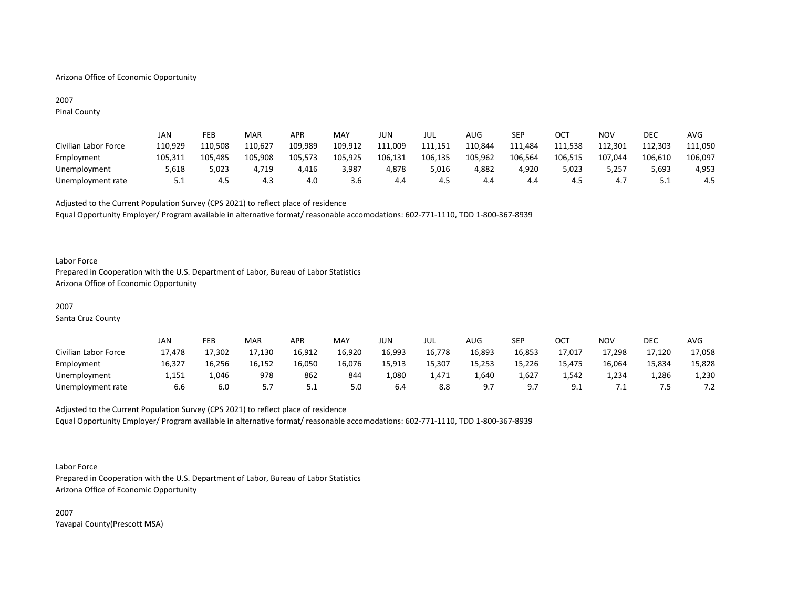# Arizona Office of Economic Opportunity

# 2007 Pinal County

|                      | JAN     | FEB     | MAR     | APR     | <b>MAY</b> | JUN     | JUL     | AUG     | <b>SEP</b> | ост     | NOV     | DEC     | AVG     |
|----------------------|---------|---------|---------|---------|------------|---------|---------|---------|------------|---------|---------|---------|---------|
| Civilian Labor Force | 110,929 | 110,508 | 110.627 | 109,989 | 109,912    | 111,009 | 111,151 | 110,844 | 111,484    | 111.538 | 112,301 | 112,303 | 111,050 |
| Employment           | 105,311 | 105.485 | 105,908 | 105,573 | 105,925    | 106,131 | 106,135 | 105,962 | 106,564    | 106.515 | 107,044 | 106,610 | 106,097 |
| Unemployment         | 5,618   | 5,023   | 4.719   | 4,416   | 3,987      | 4.878   | 5,016   | 4,882   | 4.920      | 5.023   | 5.257   | 5,693   | 4,953   |
| Unemployment rate    | 5.1     | 4.5     | 4.3     | 4.0     | 3.6        | 4.4     | 4.5     | 4.4     | 4.4        | 4.3     | 4.,     |         | 4.5     |

Adjusted to the Current Population Survey (CPS 2021) to reflect place of residence Equal Opportunity Employer/ Program available in alternative format/ reasonable accomodations: 602-771-1110, TDD 1-800-367-8939

#### Labor Force

Prepared in Cooperation with the U.S. Department of Labor, Bureau of Labor Statistics Arizona Office of Economic Opportunity

# 2007

Santa Cruz County

|                      | JAN    | FEB    | MAR    | APR      | <b>MAY</b> | JUN    | JUL    | AUG    | SEP            | ОСТ           | <b>NOV</b> | DEC    | <b>AVG</b>                        |
|----------------------|--------|--------|--------|----------|------------|--------|--------|--------|----------------|---------------|------------|--------|-----------------------------------|
| Civilian Labor Force | 17,478 | 17,302 | 17,130 | 16,912   | 16,920     | 16,993 | 16,778 | 16,893 | 16,853         | 17,017        | 17,298     | 17,120 | 17,058                            |
| Employment           | 16,327 | 16,256 | 16,152 | 16,050   | 16,076     | 15,913 | 15.307 | 15,253 | 15,226         | 15,475        | 16,064     | 15,834 | 15,828                            |
| Unemployment         | 1,151  | 1,046  | 978    | 862      | 844        | 1,080  | 1,471  | 1.640  | 1,627          | 1,542         | 4,234      | 1,286  | 1,230                             |
| Unemployment rate    | 6.6    | 6.0    |        | <u>.</u> | 5.0        | 6.4    | 8.8    | - Q 7  | Q <sub>7</sub> | Q<br><u>.</u> |            |        | $\overline{\phantom{a}}$<br>. . 2 |

# Adjusted to the Current Population Survey (CPS 2021) to reflect place of residence Equal Opportunity Employer/ Program available in alternative format/ reasonable accomodations: 602-771-1110, TDD 1-800-367-8939

#### Labor Force

Prepared in Cooperation with the U.S. Department of Labor, Bureau of Labor Statistics Arizona Office of Economic Opportunity

2007 Yavapai County(Prescott MSA)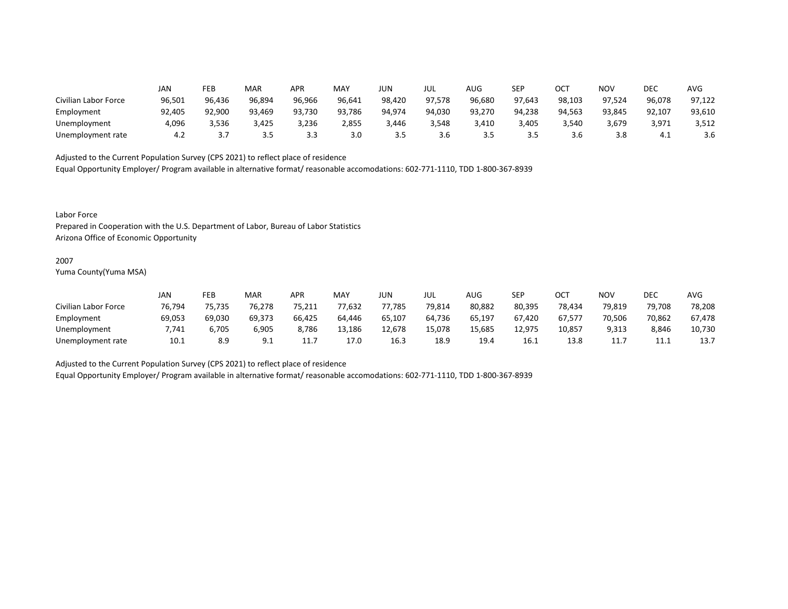|                      | JAN    | FEB    | MAR    | APR    | MAY    | JUN    | JUL    | AUG    | SEP    | ОСТ    | ΝΟν    | DEC    | AVG    |
|----------------------|--------|--------|--------|--------|--------|--------|--------|--------|--------|--------|--------|--------|--------|
| Civilian Labor Force | 96,501 | 96,436 | 96,894 | 96,966 | 96,641 | 98,420 | 97,578 | 96,680 | 97,643 | 98,103 | 97,524 | 96,078 | 97,122 |
| Employment           | 92,405 | 92,900 | 93,469 | 93,730 | 93,786 | 94,974 | 94,030 | 93,270 | 94,238 | 94,563 | 93,845 | 92,107 | 93,610 |
| Unemployment         | 4,096  | 3,536  | 3,425  | 3,236  | 2,855  | 3,446  | 3,548  | 3,410  | 3,405  | 3,540  | 3,679  | 3,971  | 3,512  |
| Unemployment rate    | 4.2    | .      | 3.5    | 3.3    | 3.0    | 3.5    | 3.6    | 3.5    | 3.5    | 3.6    | 3.8    | -4.1   | 3.6    |

Equal Opportunity Employer/ Program available in alternative format/ reasonable accomodations: 602-771-1110, TDD 1-800-367-8939

Labor Force

Prepared in Cooperation with the U.S. Department of Labor, Bureau of Labor Statistics Arizona Office of Economic Opportunity

#### 2007

Yuma County(Yuma MSA)

|                      | Jan    | FEB    | <b>MAR</b> | APR    | MAY    | JUN    | JUL    | AUG    | SEP    | OCT    | <b>NOV</b> | DEC     | AVG    |
|----------------------|--------|--------|------------|--------|--------|--------|--------|--------|--------|--------|------------|---------|--------|
| Civilian Labor Force | 76,794 | 75,735 | 76,278     | 75,211 | 77,632 | 77,785 | 79,814 | 80,882 | 80,395 | 78,434 | 79,819     | 79,708  | 78,208 |
| Employment           | 69,053 | 69,030 | 69,373     | 66,425 | 64.446 | 65,107 | 64,736 | 65,197 | 67,420 | 67,577 | 70,506     | 70,862  | 67,478 |
| Unemployment         | 7.741  | 6.705  | 6,905      | 8,786  | 13,186 | 12,678 | 15,078 | 15,685 | 12,975 | 10,857 | 9,313      | 8,846   | 10,730 |
| Unemployment rate    | 10.1   | 8.9    | 9.1        | 11.    | 17.0   | 16.3   | 18.9   | 19.4   | 16.1   | 13.8   | 11.7       | <b></b> | 13.7   |

Adjusted to the Current Population Survey (CPS 2021) to reflect place of residence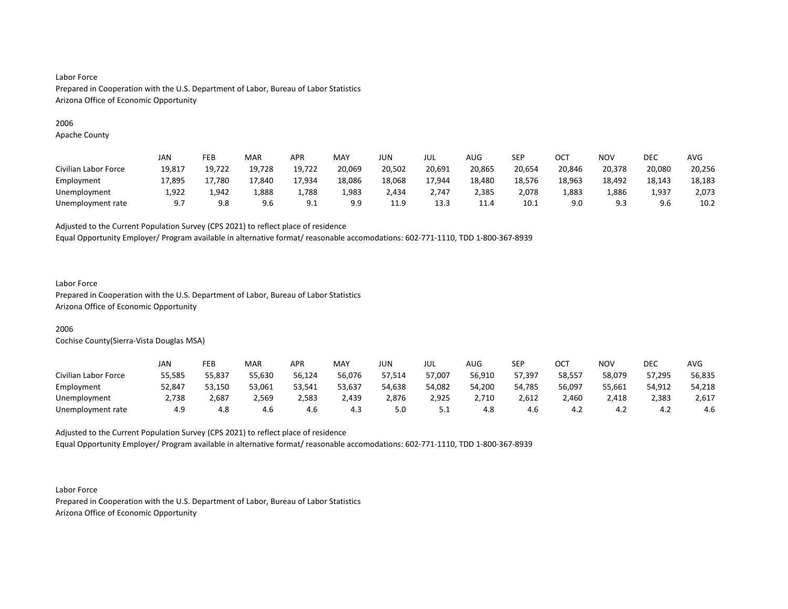# 2006

Apache County

|                      | JAN    | FEB    | <b>MAR</b> | APR    | <b>MAY</b> | JUN    | JUL    | <b>AUG</b> | SEP    | ОСТ    | NOV    | DEC    | <b>AVG</b> |
|----------------------|--------|--------|------------|--------|------------|--------|--------|------------|--------|--------|--------|--------|------------|
| Civilian Labor Force | 19,817 | 19,722 | 19,728     | 19,722 | 20,069     | 20,502 | 20,691 | 20,865     | 20,654 | 20,846 | 20,378 | 20,080 | 20,256     |
| Employment           | 17,895 | 17,780 | 17,840     | 17,934 | 18,086     | 18,068 | 17,944 | 18,480     | 18,576 | 18,963 | 18,492 | 18,143 | 18,183     |
| Unemployment         | 1.922  | 1.942  | 388,ء      | 1.788  | 1,983      | 2,434  | 2,747  | 2.385      | 2.078  | 1,883  | 1,886  | 1,937  | 2,073      |
| Unemployment rate    | - Q 7  | 9.8    | 9.6        | 9.1    | 9.9        | 11.9   | 13.3   | 11.4       | 10.1   | 9.0    | 9.3    | 9.6    | 10.2       |

Adjusted to the Current Population Survey (CPS 2021) to reflect place of residence

Equal Opportunity Employer/ Program available in alternative format/ reasonable accomodations: 602-771-1110, TDD 1-800-367-8939

# Labor Force

Prepared in Cooperation with the U.S. Department of Labor, Bureau of Labor Statistics Arizona Office of Economic Opportunity

# 2006

Cochise County(Sierra-Vista Douglas MSA)

|                      | JAN    | FEB    | <b>MAR</b> | APR    | MAY    | JUN    | JUL    | AUG    | SEP    | ост    | NOV    | DEC    | AVG    |
|----------------------|--------|--------|------------|--------|--------|--------|--------|--------|--------|--------|--------|--------|--------|
| Civilian Labor Force | 55,585 | 55,837 | 55,630     | 56,124 | 56,076 | 57,514 | 57,007 | 56,910 | 57,397 | 58,557 | 58,079 | 57,295 | 56,835 |
| Employment           | 52,847 | 53,150 | 53,061     | 53,541 | 53,637 | 54,638 | 54,082 | 54,200 | 54,785 | 56,097 | 55,661 | 54,912 | 54,218 |
| Unemployment         | 2,738  | 2,687  | 2,569      | 2,583  | 2,439  | 2,876  | 2,925  | 2,710  | 2,612  | 2,460  | 2,418  | 2,383  | 2,617  |
| Unemployment rate    | 4.9    | 4.8    | 4.6        | 4.6    | 4.3    | 5.0    | ــ.    | 4.8    | 4.6    | 4.4    | 4.Z    | 4.Z    | 4.6    |

Adjusted to the Current Population Survey (CPS 2021) to reflect place of residence Equal Opportunity Employer/ Program available in alternative format/ reasonable accomodations: 602-771-1110, TDD 1-800-367-8939

Labor Force Prepared in Cooperation with the U.S. Department of Labor, Bureau of Labor Statistics Arizona Office of Economic Opportunity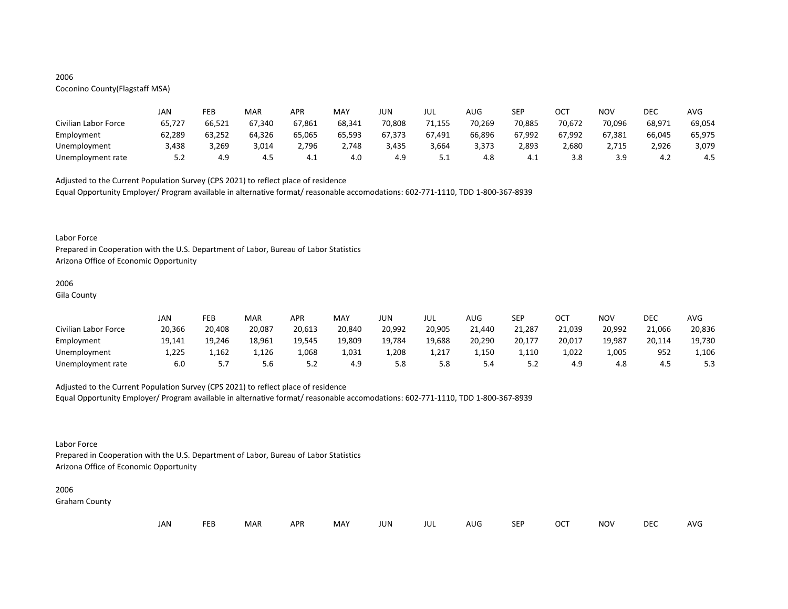# 2006

# Coconino County(Flagstaff MSA)

|                      | JAN    | FEB    | MAR    | <b>APR</b> | MAY    | JUN    | JUL    | AUG    | <b>SEP</b> | ОСТ    | NOV    | DEC    | AVG    |
|----------------------|--------|--------|--------|------------|--------|--------|--------|--------|------------|--------|--------|--------|--------|
| Civilian Labor Force | 65,727 | 66,521 | 67,340 | 67,861     | 68,341 | 70,808 | 71.155 | 70,269 | 70,885     | 70,672 | 70,096 | 68,971 | 69,054 |
| Employment           | 62,289 | 63,252 | 64,326 | 65,065     | 65,593 | 67,373 | 67,491 | 66,896 | 67,992     | 67,992 | 67,381 | 66,045 | 65,975 |
| Unemployment         | 3,438  | 3,269  | 3,014  | 2,796      | 2,748  | 3,435  | 3,664  | 3,373  | 2,893      | 2,680  | 2,715  | 2,926  | 3,079  |
| Unemployment rate    | 5.2    | 4.9    | 4.5    | — יו       | 4.0    | 4.9    | ــ.    | 4.8    | 4.⊥        | 3.8    | 3.9    | 4.∠    | 4.5    |

Adjusted to the Current Population Survey (CPS 2021) to reflect place of residence

Equal Opportunity Employer/ Program available in alternative format/ reasonable accomodations: 602-771-1110, TDD 1-800-367-8939

#### Labor Force

Prepared in Cooperation with the U.S. Department of Labor, Bureau of Labor Statistics Arizona Office of Economic Opportunity

## 2006

Gila County

|                      | JAN    | FEB    | MAR    | APR    | MAY    | JUN    | JUL    | AUG    | <b>SEP</b> | ОСТ    | <b>NOV</b> | DEC    | <b>AVG</b> |
|----------------------|--------|--------|--------|--------|--------|--------|--------|--------|------------|--------|------------|--------|------------|
| Civilian Labor Force | 20,366 | 20,408 | 20,087 | 20,613 | 20,840 | 20,992 | 20,905 | 21,440 | 21,287     | 21,039 | 20,992     | 21,066 | 20,836     |
| Employment           | 19,141 | 19,246 | 18,961 | 19,545 | 19,809 | 19,784 | 19,688 | 20,290 | 20,177     | 20,017 | 19,987     | 20,114 | 19,730     |
| Unemployment         | L,225  | 1,162  | 1,126  | 1,068  | 1,031  | 1,208  | 1,217  | 1,150  | 1,110      | 1,022  | 1,005      | 952    | 1,106      |
| Unemployment rate    | 6.0    |        | 5.6    | 5.2    | 4.9    | 5.8    | 5.8    | 4.ر    | ے . ۔      | 4.9    | 4.8        | 4.5    | 5.3        |

# Adjusted to the Current Population Survey (CPS 2021) to reflect place of residence

Equal Opportunity Employer/ Program available in alternative format/ reasonable accomodations: 602-771-1110, TDD 1-800-367-8939

# Labor Force

Prepared in Cooperation with the U.S. Department of Labor, Bureau of Labor Statistics Arizona Office of Economic Opportunity

#### 2006

Graham County

| JAN<br><b>FEB</b><br><b>OCT</b><br>MAR<br>MAY<br><b>APR</b><br><b>NOV</b><br>JUN<br><b>SEP</b><br>AUG<br>jul |  |  |  |  |  |  |  |  |  |  |  | DEC | <b>AVG</b> |
|--------------------------------------------------------------------------------------------------------------|--|--|--|--|--|--|--|--|--|--|--|-----|------------|
|--------------------------------------------------------------------------------------------------------------|--|--|--|--|--|--|--|--|--|--|--|-----|------------|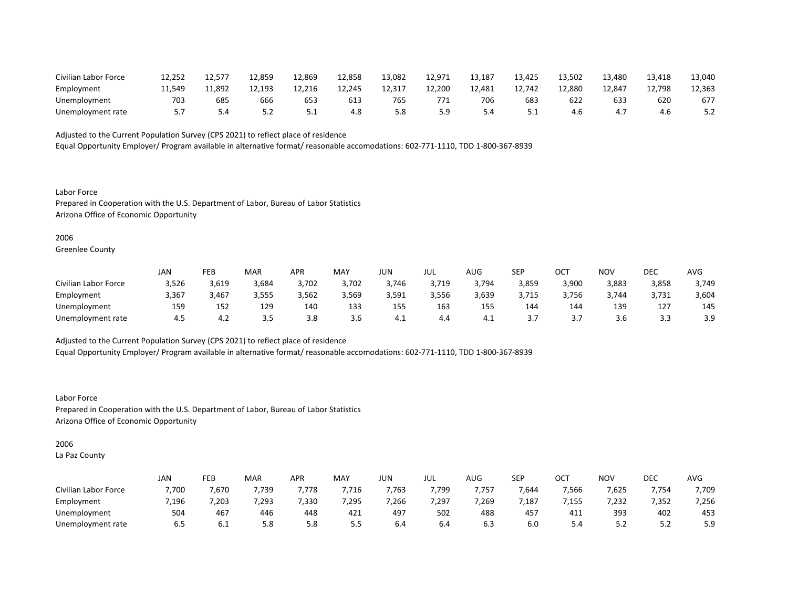| Civilian Labor Force | 12.252 |        | 12,859 | 12,869 | 12,858 | 13,082 | 12,971 | 13,187 | 13,425 | 13,502 | 13,480 | 13,418 | 13,040 |
|----------------------|--------|--------|--------|--------|--------|--------|--------|--------|--------|--------|--------|--------|--------|
| Employment           | 11.549 | 11.892 | 12.193 | 12.216 | 12,245 | 12,317 | 12,200 | 12,481 | 12.742 | 12.880 | 12.847 | 12,798 | 12,363 |
| Unemployment         | 703    | 685    | 666    | ხჂჺ    | 613    | 765    |        | 706    | 683    | 62.    | 633    | 620    | 677    |
| Unemployment rate    |        |        | 5.2    | ـ . ـ  | 4.8    | 5.8    | 5.9    | 4.د    | ـ . ـ  | 4.b    |        | 4.0    | 5.2    |

Equal Opportunity Employer/ Program available in alternative format/ reasonable accomodations: 602-771-1110, TDD 1-800-367-8939

Labor Force Prepared in Cooperation with the U.S. Department of Labor, Bureau of Labor Statistics Arizona Office of Economic Opportunity

#### 2006

Greenlee County

|                      | JAN   | FEB   | <b>MAR</b> | APR   | MAY   | JUN   | JUL   | AUG   | <b>SEP</b> | ост        | NOV   | DEC   | AVG   |
|----------------------|-------|-------|------------|-------|-------|-------|-------|-------|------------|------------|-------|-------|-------|
| Civilian Labor Force | 3,526 | 3,619 | 3,684      | 3,702 | 3,702 | 3,746 | 3,719 | 3,794 | 3,859      | 3,900      | 3,883 | 3,858 | 3,749 |
| Employment           | 3,367 | 3,467 | 3,555      | 3,562 | 3,569 | 3,591 | 3,556 | 3,639 | 3,715      | 3,756      | 3,744 | 3,731 | 3,604 |
| Unemployment         | 159   | 152   | 129        | 140   | 133   | 155   | 163   | 155   | 144        | 144        | 139   | 127   | 145   |
| Unemployment rate    | 4.5   | ່າ    | ---        | 3.8   | 3.b   | - 4.⊾ | 4.4   | 4.⊾   | .          | <u>. .</u> | 3.O   |       | 3.9   |

Adjusted to the Current Population Survey (CPS 2021) to reflect place of residence

Equal Opportunity Employer/ Program available in alternative format/ reasonable accomodations: 602-771-1110, TDD 1-800-367-8939

Labor Force Prepared in Cooperation with the U.S. Department of Labor, Bureau of Labor Statistics Arizona Office of Economic Opportunity

# 2006

La Paz County

|                      | JAN   | FEB  | MAR   | APR  | MAY   | JUN   | JUL  | <b>AUG</b> | SEP   | ∩∩⊤<br>◡◡  | <b>NOV</b> | DEC      | AVG   |
|----------------------|-------|------|-------|------|-------|-------|------|------------|-------|------------|------------|----------|-------|
| Civilian Labor Force | 7,700 | ,670 | ,739  | ,778 | ,716  | ,763  | ,799 | 757        | 7,644 | 7,566      | 7,625      | 7,754    | 7,709 |
| Employment           | 7,196 | ,203 | 7,293 | ,330 | 7,295 | 7,266 | ,297 | 7,269      | ,187  | ,155       | 7,232      | 7,352    | 7,256 |
| Unemployment         | 504   | 467  | 446   | 448  | 421   | 497   | 502  | 488        | 457   | 111<br>41. | 393        | 402      | 453   |
| Unemployment rate    | 6.5   | 0.T  | 5.8   | 5.8  | 5.5   | b.4   | b.4  | 6.3        | 6.0   | 5.4        | ے . ۔      | <u>.</u> | 5.9   |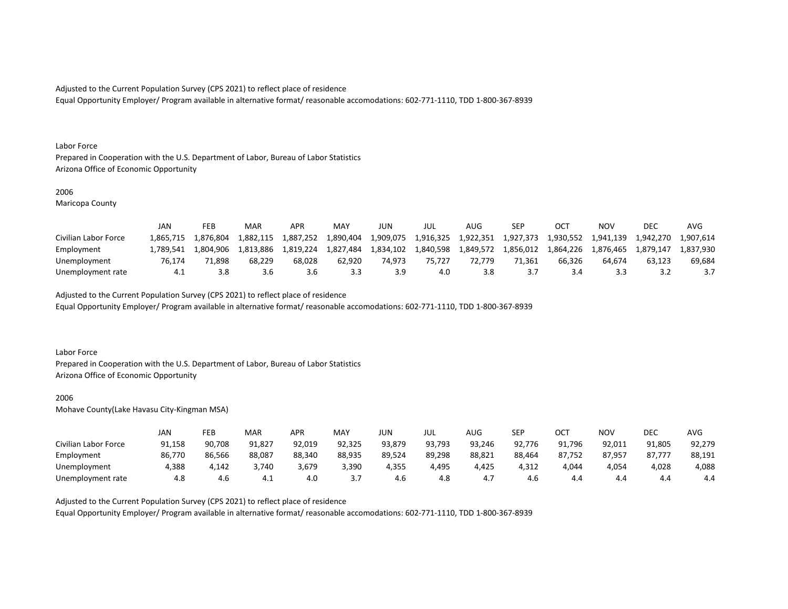Equal Opportunity Employer/ Program available in alternative format/ reasonable accomodations: 602-771-1110, TDD 1-800-367-8939

#### Labor Force

Prepared in Cooperation with the U.S. Department of Labor, Bureau of Labor Statistics Arizona Office of Economic Opportunity

#### 2006

Maricopa County

|                      | JAN       | FEB       | MAR       | <b>APR</b> | <b>MAY</b> | JUN       | JUL       | AUG.      | SEP       |           | NOV       | DEC       | AVG       |
|----------------------|-----------|-----------|-----------|------------|------------|-----------|-----------|-----------|-----------|-----------|-----------|-----------|-----------|
| Civilian Labor Force | 1.865.715 | 1.876.804 | 1,882,115 | 1,887,252  | 1,890,404  | 1,909,075 | 1,916,325 | 1,922,351 | 1.927.373 | 1,930,552 | 1,941,139 | 1.942.270 | 1,907,614 |
| Employment           | L.789.541 | 1.804.906 | 1.813.886 | 1.819.224  | 1.827.484  | 1,834,102 | 1,840,598 | 1,849,572 | 1.856.012 | 1.864.226 | 1.876.465 | 1.879.147 | L.837.930 |
| Unemployment         | 76.174    | 71.898    | 68.229    | 68.028     | 62.920     | 74.973    | 75.727    | 72.779    | 71.361    | 66.326    | 64.674    | 63.123    | 69.684    |
| Unemployment rate    | 4.1       | 3.8       | 3.6       | 3.b        | 3.3        |           | 4.0       | 3.8       |           |           | 3.3       |           |           |

Adjusted to the Current Population Survey (CPS 2021) to reflect place of residence

Equal Opportunity Employer/ Program available in alternative format/ reasonable accomodations: 602-771-1110, TDD 1-800-367-8939

#### Labor Force

Prepared in Cooperation with the U.S. Department of Labor, Bureau of Labor Statistics Arizona Office of Economic Opportunity

#### 2006

Mohave County(Lake Havasu City-Kingman MSA)

|                      | JAN    | FEB    | MAR    | APR    | <b>MAY</b> | JUN    | JUL    | AUG    | <b>SFP</b><br>ᅴ | ост    | NOV    | DEC    | AVG    |
|----------------------|--------|--------|--------|--------|------------|--------|--------|--------|-----------------|--------|--------|--------|--------|
| Civilian Labor Force | 91,158 | 90,708 | 91,827 | 92,019 | 92,325     | 93,879 | 93,793 | 93,246 | 92,776          | 91,796 | 92,011 | 91,805 | 92,279 |
| Employment           | 86,770 | 86,566 | 88,087 | 88,340 | 88,935     | 89,524 | 89,298 | 88,821 | 88,464          | 87,752 | 87,957 | 87,777 | 88,191 |
| Unemployment         | 4,388  | 4.142  | 3,740  | 3,679  | 3,390      | 4,355  | 4,495  | 4,425  | 4,312           | 4,044  | 4,054  | 4,028  | 4,088  |
| Unemployment rate    | 4.8    | 4.6    | 4.1    | 4.0    | <u>.,</u>  | 4.6    | 4.8    | 4.,    | 4.6             | 4.4    | 4.4    | 4.4    | 4.4    |

Adjusted to the Current Population Survey (CPS 2021) to reflect place of residence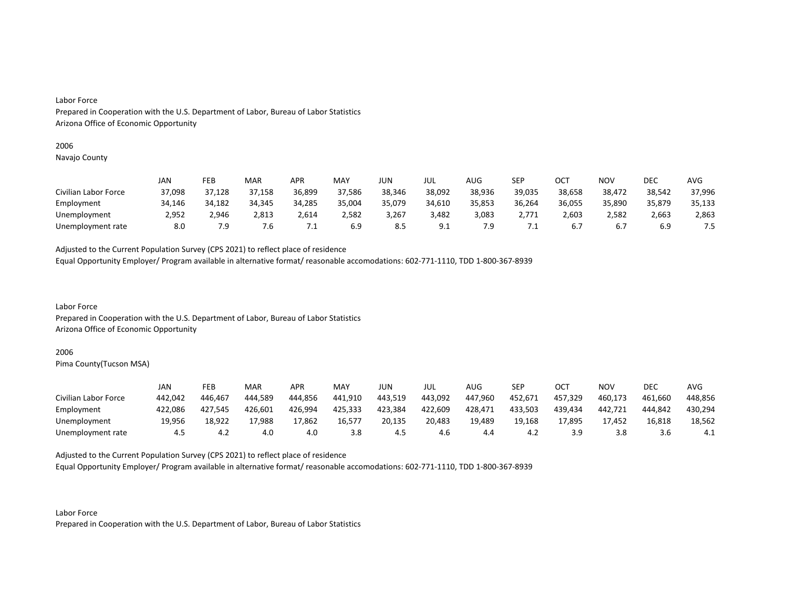# 2006

Navajo County

|                      | JAN    | FEB    | MAR    | <b>APR</b> | MAY    | JUN    | JUL    | AUG    | <b>SEP</b> | ост    | NOV    | DEC    | AVG    |
|----------------------|--------|--------|--------|------------|--------|--------|--------|--------|------------|--------|--------|--------|--------|
| Civilian Labor Force | 37,098 | 37,128 | 37,158 | 36,899     | 37,586 | 38,346 | 38,092 | 38,936 | 39,035     | 38,658 | 38,472 | 38,542 | 37,996 |
| Employment           | 34,146 | 34,182 | 34,345 | 34,285     | 35,004 | 35,079 | 34,610 | 35,853 | 36,264     | 36,055 | 35,890 | 35,879 | 35,133 |
| Unemployment         | 2,952  | 2.946  | 2,813  | 2,614      | 2,582  | 3,267  | 3.482  | 3,083  | 2,771      | 2,603  | 2.582  | 2,663  | 2,863  |
| Unemployment rate    | 8.0    | 7.9    | 7.6    | .          | 6.9    | ୪.১    | ، ۵    | 7.9    | . L        |        | 6.7    |        | 7.5    |

Adjusted to the Current Population Survey (CPS 2021) to reflect place of residence

Equal Opportunity Employer/ Program available in alternative format/ reasonable accomodations: 602-771-1110, TDD 1-800-367-8939

Labor Force Prepared in Cooperation with the U.S. Department of Labor, Bureau of Labor Statistics Arizona Office of Economic Opportunity

#### 2006

Pima County(Tucson MSA)

|                      | JAN     | FEB     | MAR     | APR     | MAY     | JUN     | JUL     | AUG     | SEP     | ост     | <b>NOV</b> | DEC     | AVG     |
|----------------------|---------|---------|---------|---------|---------|---------|---------|---------|---------|---------|------------|---------|---------|
| Civilian Labor Force | 442,042 | 446.467 | 444,589 | 444,856 | 441,910 | 443,519 | 443,092 | 447,960 | 452,671 | 457,329 | 460,173    | 461.660 | 448,856 |
| Employment           | 422,086 | 427.545 | 426,601 | 426,994 | 425,333 | 423,384 | 422,609 | 428,471 | 433,503 | 439.434 | 442,721    | 444.842 | 430,294 |
| Unemployment         | 19.956  | 18,922  | 17,988  | 17,862  | 16,577  | 20,135  | 20,483  | 19,489  | 19,168  | 17,895  | 17.452     | 16,818  | 18,562  |
| Unemployment rate    | 4.5     | ے.4     | 4.0     | 4.0     | 3.8     | 4.5     | 4.6     | 4.4     | 4.2     |         |            | 3.6     | 4.1     |

Adjusted to the Current Population Survey (CPS 2021) to reflect place of residence

Equal Opportunity Employer/ Program available in alternative format/ reasonable accomodations: 602-771-1110, TDD 1-800-367-8939

Labor Force Prepared in Cooperation with the U.S. Department of Labor, Bureau of Labor Statistics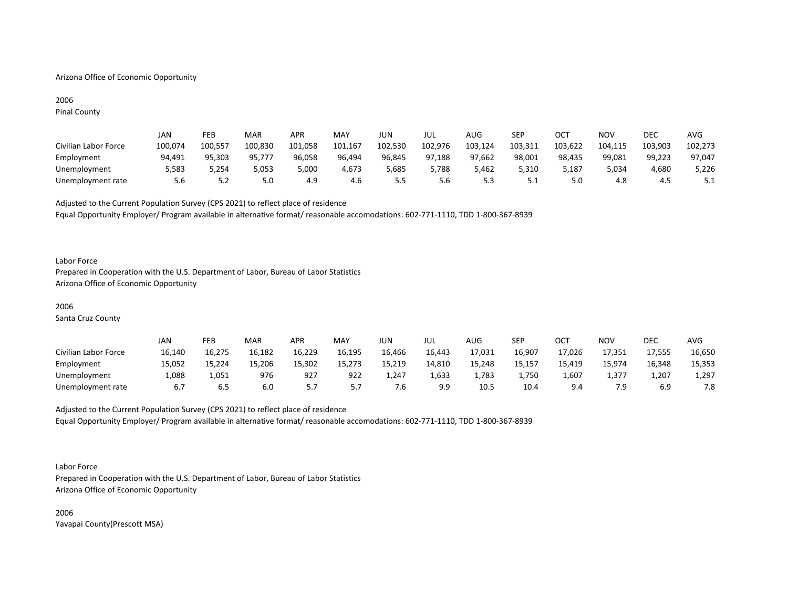# Arizona Office of Economic Opportunity

# 2006

Pinal County

|                      | JAN     | FEB     | MAR     | APR     | MAY     | JUN     | jul     | AUG     | SEP     | ОСТ     | NOV     | DEC     | <b>AVG</b> |
|----------------------|---------|---------|---------|---------|---------|---------|---------|---------|---------|---------|---------|---------|------------|
| Civilian Labor Force | 100,074 | 100,557 | 100,830 | 101.058 | 101,167 | 102,530 | 102,976 | 103,124 | 103,311 | 103,622 | 104,115 | 103,903 | 102,273    |
| Employment           | 94,491  | 95,303  | 95,777  | 96,058  | 96,494  | 96,845  | 97,188  | 97,662  | 98,001  | 98,435  | 99,081  | 99,223  | 97,047     |
| Unemployment         | 5,583   | 254,د   | 5,053   | 5,000   | 4.673   | 5,685   | 5,788   | 5.462   | 5.310   | 5,187   | 5.034   | 4,680   | 5,226      |
| Unemployment rate    | 5.6     | 5.2     | 5.0     | -4.9    | 4.6     | ں ۔     | 5.6     |         | ـ . ـ   | 5.0     | 4.8     | 4.5     | 5.1        |

Adjusted to the Current Population Survey (CPS 2021) to reflect place of residence Equal Opportunity Employer/ Program available in alternative format/ reasonable accomodations: 602-771-1110, TDD 1-800-367-8939

#### Labor Force

Prepared in Cooperation with the U.S. Department of Labor, Bureau of Labor Statistics Arizona Office of Economic Opportunity

#### 2006

Santa Cruz County

|                      | JAN    | FEB    | MAR    | APR    | <b>MAY</b> | JUN    | JUL    | AUG    | SEP    | ОСТ        | <b>NOV</b> | DEC    | <b>AVG</b> |
|----------------------|--------|--------|--------|--------|------------|--------|--------|--------|--------|------------|------------|--------|------------|
| Civilian Labor Force | 16,140 | 16,275 | 16,182 | 16,229 | 16,195     | 16,466 | 16,443 | 17,031 | 16,907 | 17,026     | 17,351     | 17,555 | 16,650     |
| Employment           | 15,052 | 15,224 | 15.206 | 15,302 | 15.273     | 15,219 | 14,810 | 15,248 | 15,157 | 15,419     | 15,974     | 16,348 | 15,353     |
| Unemployment         | 1,088  | 1,051  | 976    | 927    | 922        | 1,247  | 1,633  | 1,783  | 1,750  | 760,⊥      | 1,377      | 1,207  | 1,297      |
| Unemployment rate    | 6.7    | b.5    | 6.0    |        |            | ⁄.Ե⊺   | 9.9    | 10.5   | 10.4   | $Q \Delta$ | 7.9        | 6.9    | 7.8        |

Adjusted to the Current Population Survey (CPS 2021) to reflect place of residence Equal Opportunity Employer/ Program available in alternative format/ reasonable accomodations: 602-771-1110, TDD 1-800-367-8939

#### Labor Force

Prepared in Cooperation with the U.S. Department of Labor, Bureau of Labor Statistics Arizona Office of Economic Opportunity

2006 Yavapai County(Prescott MSA)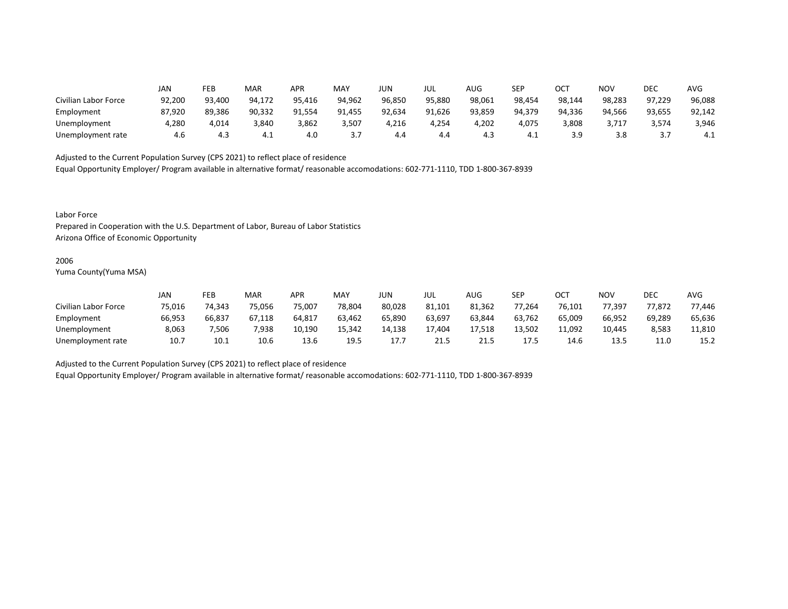|                      | JAN    | FEB    | MAR    | <b>APR</b> | MAY    | <b>JUN</b> | JUL    | AUG    | <b>SEP</b> | ∩∩⊤<br>UC. | NOV    | DEC    | <b>AVG</b> |
|----------------------|--------|--------|--------|------------|--------|------------|--------|--------|------------|------------|--------|--------|------------|
| Civilian Labor Force | 92,200 | 93,400 | 94.172 | 95,416     | 94,962 | 96,850     | 95,880 | 98,061 | 98,454     | 98,144     | 98,283 | 97,229 | 96,088     |
| Employment           | 87,920 | 89,386 | 90,332 | 91,554     | 91,455 | 92,634     | 91,626 | 93,859 | 94,379     | 94,336     | 94,566 | 93,655 | 92,142     |
| Unemployment         | 4,280  | 4,014  | 3,840  | 3,862      | 3,507  | 4,216      | 4,254  | 4,202  | 4,075      | 3,808      | 3,717  | 3,574  | 3,946      |
| Unemployment rate    | 4.6    | 4.3    | 4.1    | 4.0        | ,      | 4.4        | 4.4    | 4.3    | 4.1        | 3.9        | 3.8    |        | 4.1        |

Equal Opportunity Employer/ Program available in alternative format/ reasonable accomodations: 602-771-1110, TDD 1-800-367-8939

Labor Force

Prepared in Cooperation with the U.S. Department of Labor, Bureau of Labor Statistics Arizona Office of Economic Opportunity

#### 2006

Yuma County(Yuma MSA)

|                      | JAN    | FEB    | MAR    | APR    | <b>MAY</b> | JUN    | JUL    | AUG        | SEP    | ОСТ    | <b>NOV</b> | DEC    | <b>AVG</b> |
|----------------------|--------|--------|--------|--------|------------|--------|--------|------------|--------|--------|------------|--------|------------|
| Civilian Labor Force | 75,016 | 74,343 | 75,056 | 75,007 | 78,804     | 80,028 | 81,101 | 81,362     | 77,264 | 76,101 | 77,397     | 77,872 | 77,446     |
| Employment           | 66,953 | 66,837 | 67,118 | 64,817 | 63,462     | 65,890 | 63,697 | 63,844     | 63,762 | 65,009 | 66,952     | 69,289 | 65,636     |
| Unemployment         | 8,063  | ,506   | 7,938  | 10,190 | 15,342     | 14.138 | 17.404 | 17,518     | 13.502 | 11,092 | 10.445     | 8,583  | 11,810     |
| Unemployment rate    | 10.7   | 10.1   | 10.6   | 13.6   | 19.5       | 17.7   | 21.5   | าง<br>21.3 | 17.5   | 14.6   | 13.5       | 11.0   | 15.2       |

Adjusted to the Current Population Survey (CPS 2021) to reflect place of residence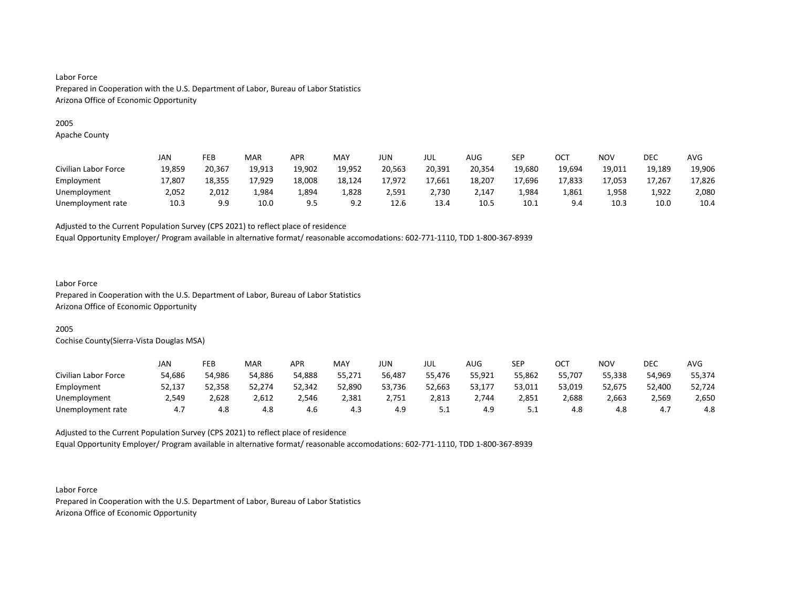# 2005

Apache County

|                      | JAN    | <b>FEB</b> | MAR    | APR    | <b>MAY</b> | JUN    | JUL    | AUG    | SEP    | ОСТ    | NOV    | DEC    | AVG    |
|----------------------|--------|------------|--------|--------|------------|--------|--------|--------|--------|--------|--------|--------|--------|
| Civilian Labor Force | 19,859 | 20,367     | 19,913 | 19,902 | 19,952     | 20,563 | 20,391 | 20,354 | 19,680 | 19,694 | 19,011 | 19,189 | 19,906 |
| Employment           | 17,807 | 18,355     | 17,929 | 18,008 | 18,124     | 17,972 | 17,661 | 18,207 | 17,696 | 17,833 | 17,053 | 17,267 | 17,826 |
| Unemployment         | 2,052  | 2,012      | 4,984  | 4,894  | 1,828      | 2.591  | 2,730  | 2.147  | 984,ء  | 1,861  | 1,958  | 1,922  | 2,080  |
| Unemployment rate    | 10.3   | 9.9        | 10.0   | q =    | <u>.</u>   | 12.6   | 13.4   | 10.5   | 10.1   | 9 A    | 10.3   | 10.0   | 10.4   |

Adjusted to the Current Population Survey (CPS 2021) to reflect place of residence

Equal Opportunity Employer/ Program available in alternative format/ reasonable accomodations: 602-771-1110, TDD 1-800-367-8939

## Labor Force

Prepared in Cooperation with the U.S. Department of Labor, Bureau of Labor Statistics Arizona Office of Economic Opportunity

# 2005

Cochise County(Sierra-Vista Douglas MSA)

|                      | JAN    | FEB    | <b>MAR</b> | APR    | MAY    | JUN    | JUL      | AUG    | SEP      | ОСТ    | NOV    | DEC    | AVG    |
|----------------------|--------|--------|------------|--------|--------|--------|----------|--------|----------|--------|--------|--------|--------|
| Civilian Labor Force | 54,686 | 54,986 | 54,886     | 54,888 | 55,271 | 56,487 | 55,476   | 55,921 | 55,862   | 55,707 | 55,338 | 54,969 | 55,374 |
| Employment           | 52,137 | 52,358 | 52,274     | 52,342 | 52,890 | 53,736 | 52,663   | 53,177 | 53,011   | 53,019 | 52,675 | 52,400 | 52,724 |
| Unemployment         | 2,549  | 2,628  | 2,612      | 2,546  | 2,381  | 2,751  | 2,813    | 2,744  | 2,851    | 2,688  | 2,663  | 2,569  | 2,650  |
| Unemployment rate    | 4.,    | 4.8    | 4.8        | 4.6    | 4.3    | 4.9    | <u>.</u> | 4.9    | <u>.</u> | 4.8    | 4.8    | 4.7    | 4.8    |

Adjusted to the Current Population Survey (CPS 2021) to reflect place of residence Equal Opportunity Employer/ Program available in alternative format/ reasonable accomodations: 602-771-1110, TDD 1-800-367-8939

Labor Force Prepared in Cooperation with the U.S. Department of Labor, Bureau of Labor Statistics Arizona Office of Economic Opportunity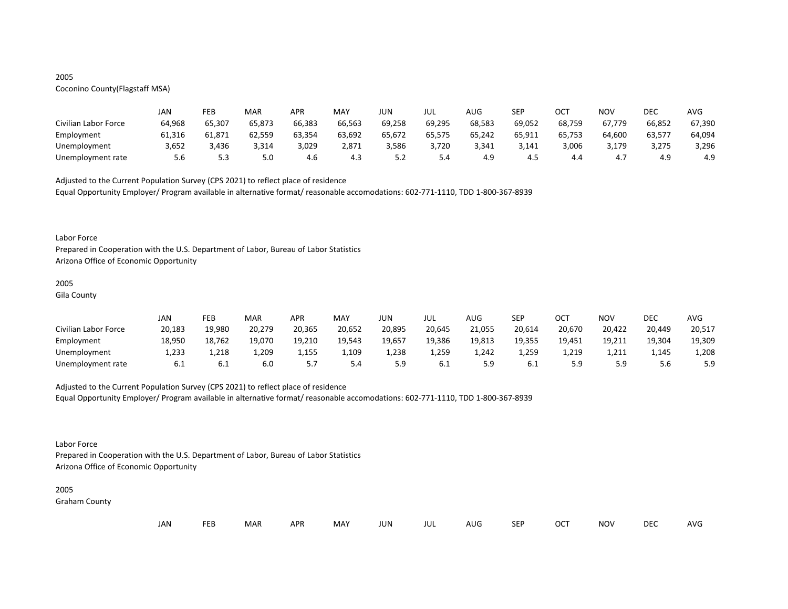# 2005

# Coconino County(Flagstaff MSA)

|                      | JAN    | FEB    | MAR    | APR    | MAY    | JUN    | JUL    | AUG    | <b>SEP</b> | ост    | NOV    | DEC    | AVG    |
|----------------------|--------|--------|--------|--------|--------|--------|--------|--------|------------|--------|--------|--------|--------|
| Civilian Labor Force | 64,968 | 65,307 | 65,873 | 66,383 | 66,563 | 69,258 | 69,295 | 68,583 | 69,052     | 68,759 | 67,779 | 66,852 | 67,390 |
| Employment           | 61,316 | 61,871 | 62,559 | 63,354 | 63,692 | 65,672 | 65,575 | 65,242 | 65,911     | 65,753 | 64,600 | 63,577 | 64,094 |
| Unemployment         | 3,652  | 3,436  | 3,314  | 3,029  | 2.871  | 3,586  | 3,720  | 3,341  | 3.141      | 3,006  | 3,179  | 3,275  | 3,296  |
| Unemployment rate    | 5.6    | 5.3    | 5.0    | 4.6    | 4.3    | ے . د  | 5.4    | 4.9    | 4.J        | 4.4    | 4.,    | 4.9    | 4.9    |

Adjusted to the Current Population Survey (CPS 2021) to reflect place of residence

Equal Opportunity Employer/ Program available in alternative format/ reasonable accomodations: 602-771-1110, TDD 1-800-367-8939

#### Labor Force

Prepared in Cooperation with the U.S. Department of Labor, Bureau of Labor Statistics Arizona Office of Economic Opportunity

## 2005

Gila County

|                      | JAN    | FEB    | MAR    | APR    | MAY    | JUN    | JUL    | AUG    | <b>SEP</b> | OCT    | <b>NOV</b> | DEC    | <b>AVG</b> |
|----------------------|--------|--------|--------|--------|--------|--------|--------|--------|------------|--------|------------|--------|------------|
| Civilian Labor Force | 20,183 | 19,980 | 20,279 | 20,365 | 20,652 | 20,895 | 20,645 | 21,055 | 20,614     | 20,670 | 20,422     | 20,449 | 20,517     |
| Employment           | 18,950 | 18,762 | 19,070 | 19,210 | 19,543 | 19,657 | 19,386 | 19,813 | 19,355     | 19,451 | 19,211     | 19,304 | 19,309     |
| Unemployment         | L,233  | 1,218  | 1,209  | 1,155  | 1,109  | 1,238  | 1,259  | 1,242  | 1,259      | 1,219  | 1,211      | 1,145  | 1,208      |
| Unemployment rate    | 6.1    | 6.1    | 6.0    |        | 5.4    | 5.9    | 6.1    | . Q    | 6.1        |        | 5.9        |        | 5.9        |

# Adjusted to the Current Population Survey (CPS 2021) to reflect place of residence

Equal Opportunity Employer/ Program available in alternative format/ reasonable accomodations: 602-771-1110, TDD 1-800-367-8939

# Labor Force

Prepared in Cooperation with the U.S. Department of Labor, Bureau of Labor Statistics Arizona Office of Economic Opportunity

#### 2005

Graham County

| JAN<br><b>FEB</b><br><b>OCT</b><br>MAR<br>MAY<br><b>APR</b><br><b>NOV</b><br>JUN<br><b>SEP</b><br>AUG<br>jul |  |  |  |  |  |  |  |  |  |  |  | DEC | <b>AVG</b> |
|--------------------------------------------------------------------------------------------------------------|--|--|--|--|--|--|--|--|--|--|--|-----|------------|
|--------------------------------------------------------------------------------------------------------------|--|--|--|--|--|--|--|--|--|--|--|-----|------------|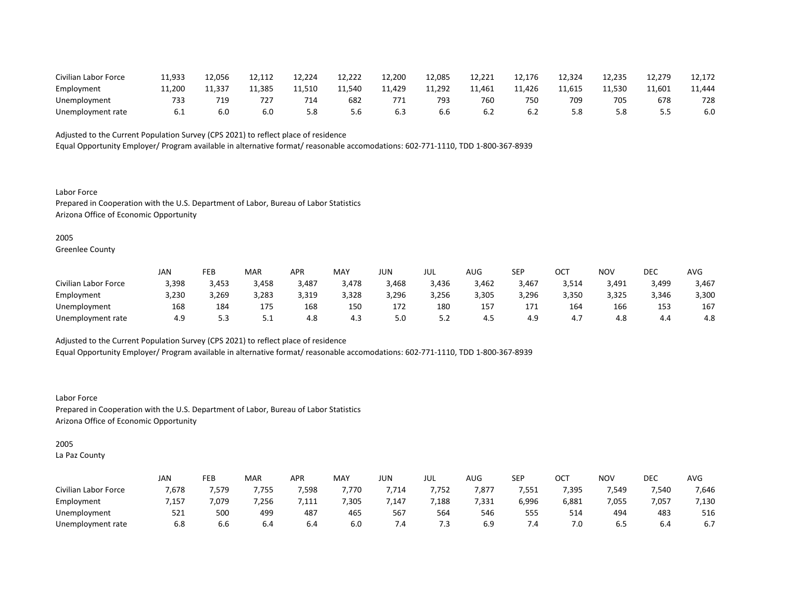| Civilian Labor Force | 11,933 | 12.056 | 12,112 | 12,224 | 12,222 | 12,200 | 12,085 | 12,221 | 12,176 | 12,324 | 12,235 | 12,279 | 12,172 |
|----------------------|--------|--------|--------|--------|--------|--------|--------|--------|--------|--------|--------|--------|--------|
| Employment           | 11.200 | 11.337 | 11.385 | 11,510 | 11.540 | 11,429 | 11,292 | 11,461 | 11,426 | 11,615 | 11,530 | 11,601 | 11,444 |
| Unemployment         | 733    | 719    | 727    | 714    | 682    | 771    | 793    | 760    | 750    | 70S    | 705    | 678    | 728    |
| Unemployment rate    | ∪.⊥    | 6.0    | 6.0    | 5.8    | 5.6    | 6.3    | 6.6    |        |        |        | 5.8    | --     | 6.0    |

Equal Opportunity Employer/ Program available in alternative format/ reasonable accomodations: 602-771-1110, TDD 1-800-367-8939

Labor Force Prepared in Cooperation with the U.S. Department of Labor, Bureau of Labor Statistics Arizona Office of Economic Opportunity

2005

Greenlee County

|                      | JAN   | FEB   | <b>MAR</b> | APR   | MAY   | JUN   | JUL   | AUG   | <b>SEP</b> | ост   | NOV   | DEC   | AVG   |
|----------------------|-------|-------|------------|-------|-------|-------|-------|-------|------------|-------|-------|-------|-------|
| Civilian Labor Force | 3,398 | 3,453 | 3,458      | 3,487 | 3,478 | 3,468 | 3,436 | 3,462 | 3,467      | 3,514 | 3,491 | 3,499 | 3,467 |
| Employment           | 3,230 | 3,269 | 3,283      | 3,319 | 3,328 | 3,296 | 3,256 | 3,305 | 3,296      | 3,350 | 3,325 | 3,346 | 3,300 |
| Unemployment         | 168   | 184   | 175        | 168   | 150   | 172   | 180   | 157   | 171        | 164   | 166   | 153   | 167   |
| Unemployment rate    | 4.9   |       | ـ . ـ      | 4.8   | 4.3   | 5.0   | 5.2   | 4.5   | 4.9        | 4.,   | 4.8   | 4.4   | 4.8   |

Adjusted to the Current Population Survey (CPS 2021) to reflect place of residence

Equal Opportunity Employer/ Program available in alternative format/ reasonable accomodations: 602-771-1110, TDD 1-800-367-8939

Labor Force Prepared in Cooperation with the U.S. Department of Labor, Bureau of Labor Statistics Arizona Office of Economic Opportunity

# 2005

La Paz County

|                      | <b>JAN</b> | FEB  | MAR   | <b>APR</b> | <b>MAY</b> | JUN  | JUL   | $\sim$ $\sim$<br>AUG | SEP   | ⌒⌒⊤<br>vc. | <b>NOV</b> | DEC   | <b>AVC</b> |
|----------------------|------------|------|-------|------------|------------|------|-------|----------------------|-------|------------|------------|-------|------------|
| Civilian Labor Force | 7,678      | 579, | 7,755 | 7,598      | 7,770      | ,714 | 7,752 | 7,877                | 7,551 | 7,395      | 7,549      | 7,540 | 7,646      |
| Employment           | 7,157      | ,079 | 7,256 | 111<br>.   | 7,305      | ,147 | ,188  | 7,331                | 6,996 | 6,881      | 7,055      | 7,057 | 7,130      |
| Unemployment         | 521        | 500  | 499   | 487        | 465        | 567  | 564   | 546                  | 555   | 514        | 494        | 483   | 516        |
| Unemployment rate    | 6.8        | b.b  | 6.4   | b.4        | 6.0        | 7.4  | 5. /  | 6.9                  | 7.4   | 7.0        | 6.5        | b.4   | 6.7        |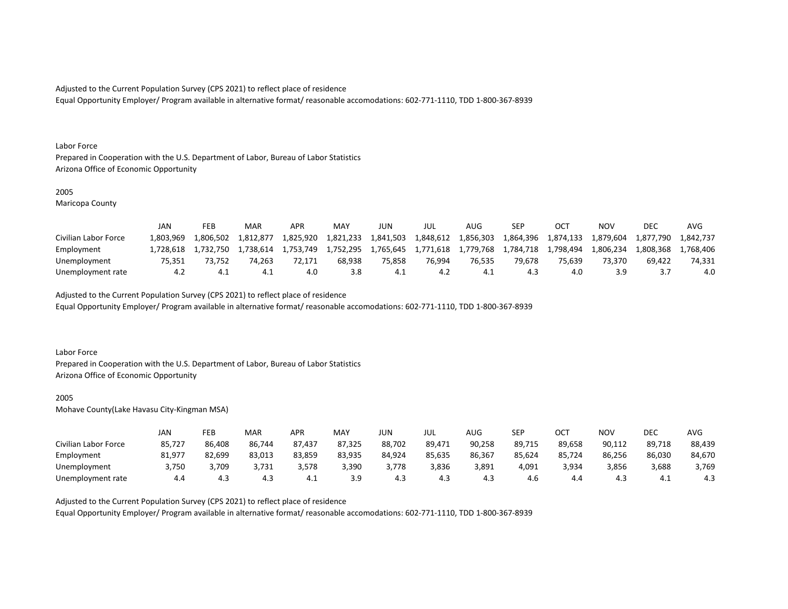Equal Opportunity Employer/ Program available in alternative format/ reasonable accomodations: 602-771-1110, TDD 1-800-367-8939

#### Labor Force

Prepared in Cooperation with the U.S. Department of Labor, Bureau of Labor Statistics Arizona Office of Economic Opportunity

#### 2005

Maricopa County

|                      | JAN       | FEB       | MAR       | <b>APR</b> | <b>MAY</b> | JUN       | JUL       | AUG.      | SEP       |           | NOV       | DEC       | AVG       |
|----------------------|-----------|-----------|-----------|------------|------------|-----------|-----------|-----------|-----------|-----------|-----------|-----------|-----------|
| Civilian Labor Force | L.803.969 | .806.502  | 1.812.877 | 1,825,920  | 1,821,233  | 1,841,503 | 1,848,612 | 1,856,303 | 1,864,396 | 1,874,133 | 1,879,604 | 1,877,790 | 1,842,737 |
| Employment           | L.728.618 | 1.732.750 | 1.738.614 | 1.753.749  | 1,752,295  | 1.765.645 | 1,771,618 | 1.779.768 | 1.784.718 | 1.798.494 | 1.806.234 | ⊥,808,368 | 768.406   |
| Unemployment         | 75.351    | 73.752    | 74.263    | 72.171     | 68.938     | 75.858    | 76.994    | 76.535    | 79.678    | 75.639    | 73.370    | 69.422    | 74.331    |
| Unemployment rate    | 4.2       | 4.1       |           | 4.0        | 3.8        | - 4. 1    | 4.Z       | -4.1      | 4.3       |           | 3.9       |           | 4.0       |

Adjusted to the Current Population Survey (CPS 2021) to reflect place of residence

Equal Opportunity Employer/ Program available in alternative format/ reasonable accomodations: 602-771-1110, TDD 1-800-367-8939

#### Labor Force

Prepared in Cooperation with the U.S. Department of Labor, Bureau of Labor Statistics Arizona Office of Economic Opportunity

#### 2005

Mohave County(Lake Havasu City-Kingman MSA)

|                      | JAN    | FEB    | MAR    | APR    | <b>MAY</b> | JUN    | JUL    | AUG    | SEP    | ост    | NOV    | DEC    | AVG    |
|----------------------|--------|--------|--------|--------|------------|--------|--------|--------|--------|--------|--------|--------|--------|
| Civilian Labor Force | 85,727 | 86,408 | 86,744 | 87,437 | 87,325     | 88,702 | 89,471 | 90,258 | 89,715 | 89,658 | 90,112 | 89,718 | 88,439 |
| Employment           | 81,977 | 82,699 | 83,013 | 83,859 | 83,935     | 84,924 | 85,635 | 86,367 | 85,624 | 85,724 | 86,256 | 86,030 | 84,670 |
| Unemployment         | 3,750  | 3,709  | 3,731  | 3,578  | 3,390      | 3,778  | 3,836  | 3,891  | 4,091  | 3,934  | 3,856  | 3,688  | 3,769  |
| Unemployment rate    | 4.4    | 4.3    | 4.3    | 4.1    | 3.9        | 4.3    | 4.3    | 4.3    | 4.6    | 4.4    | 4.3    | 4.⊥    | 4.3    |

Adjusted to the Current Population Survey (CPS 2021) to reflect place of residence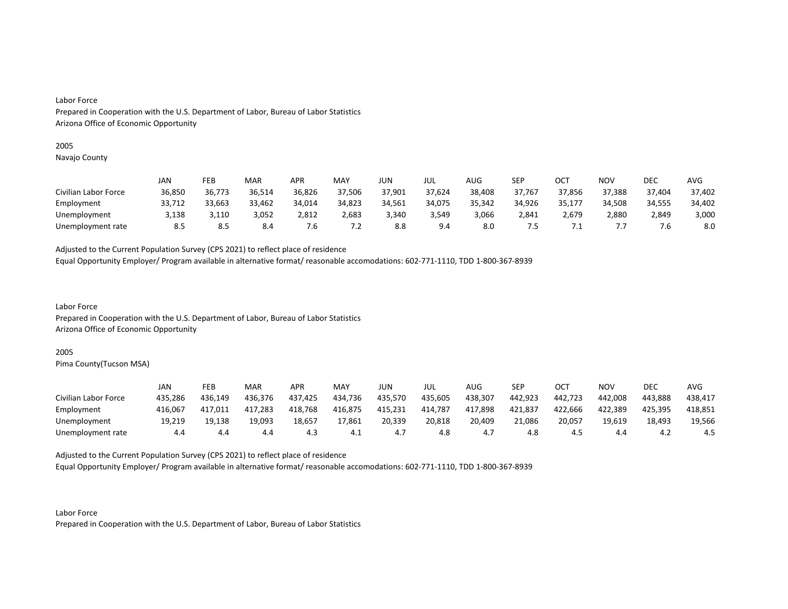# 2005

Navajo County

|                      | JAN    | FEB    | MAR    | <b>APR</b> | MAY    | JUN    | JUL    | AUG    | SEP    | ОСТ    | NOV    | <b>DEC</b> | AVG    |
|----------------------|--------|--------|--------|------------|--------|--------|--------|--------|--------|--------|--------|------------|--------|
| Civilian Labor Force | 36,850 | 36,773 | 36,514 | 36,826     | 37,506 | 37,901 | 37,624 | 38,408 | 37,767 | 37,856 | 37,388 | 37,404     | 37,402 |
| Employment           | 33,712 | 33,663 | 33,462 | 34,014     | 34,823 | 34,561 | 34,075 | 35,342 | 34,926 | 35,177 | 34,508 | 34,555     | 34,402 |
| Unemployment         | 3,138  | 3,110  | 3,052  | 2,812      | 2,683  | 3,340  | 3.549  | 3.066  | 2.841  | 2,679  | 2,880  | 2,849      | 3,000  |
| Unemployment rate    | 8.5    | 8.5    | 8.4    | /.ხ        | ∡. ا   | 8.8    | 9.4    | 8.0    | .5     | . .    |        | .b         | 8.0    |

Adjusted to the Current Population Survey (CPS 2021) to reflect place of residence

Equal Opportunity Employer/ Program available in alternative format/ reasonable accomodations: 602-771-1110, TDD 1-800-367-8939

Labor Force Prepared in Cooperation with the U.S. Department of Labor, Bureau of Labor Statistics Arizona Office of Economic Opportunity

# 2005

Pima County(Tucson MSA)

|                      | JAN     | FEB     | MAR     | APR     | MAY     | JUN     | JUL     | AUG     | <b>SEP</b> | ост     | NOV     | DEC     | AVG     |
|----------------------|---------|---------|---------|---------|---------|---------|---------|---------|------------|---------|---------|---------|---------|
| Civilian Labor Force | 435,286 | 436.149 | 436,376 | 437,425 | 434,736 | 435,570 | 435,605 | 438,307 | 442,923    | 442,723 | 442,008 | 443,888 | 438,417 |
| Employment           | 416,067 | 417,011 | 417,283 | 418,768 | 416,875 | 415,231 | 414,787 | 417,898 | 421,837    | 422,666 | 422,389 | 425.395 | 418,851 |
| Unemployment         | 19,219  | 19.138  | 19,093  | 18,657  | 17,861  | 20,339  | 20,818  | 20,409  | 21.086     | 20,057  | 19.619  | 18,493  | 19,566  |
| Unemployment rate    | 4.4     | 4.4     | 4.4     | 4.3     | -4.1    |         | 4.8     | 4.,     | 4.8        |         | 4.4     | ے.4     | 4.5     |

Adjusted to the Current Population Survey (CPS 2021) to reflect place of residence

Equal Opportunity Employer/ Program available in alternative format/ reasonable accomodations: 602-771-1110, TDD 1-800-367-8939

Labor Force Prepared in Cooperation with the U.S. Department of Labor, Bureau of Labor Statistics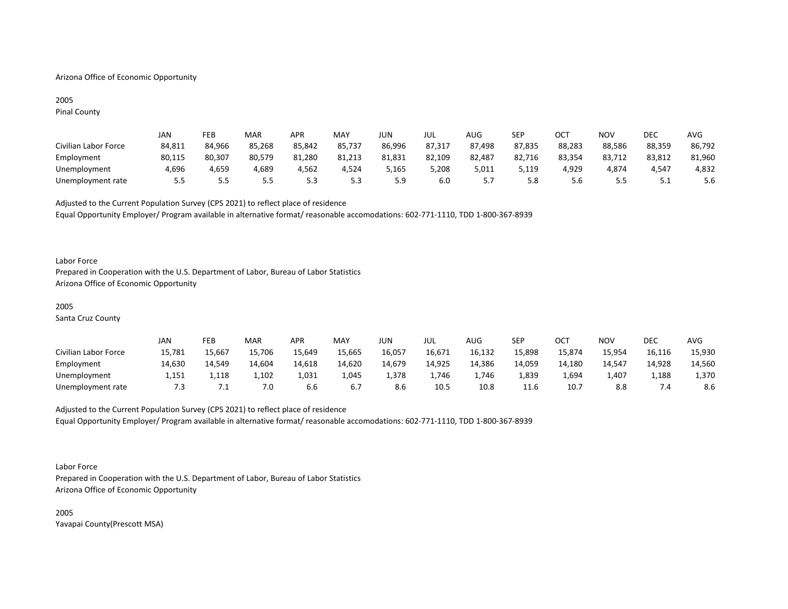# Arizona Office of Economic Opportunity

# 2005 Pinal County

|                      | Jan    | FEB    | MAR        | <b>APR</b> | MAY        | JUN    | JUL    | AUG    | <b>SEP</b> | ост    | NOV    | DEC    | AVG    |
|----------------------|--------|--------|------------|------------|------------|--------|--------|--------|------------|--------|--------|--------|--------|
| Civilian Labor Force | 84,811 | 84.966 | 85,268     | 85.842     | 85,737     | 86,996 | 87,317 | 87,498 | 87,835     | 88,283 | 88,586 | 88,359 | 86,792 |
| Employment           | 80,115 | 80,307 | 80,579     | 81,280     | 81,213     | 81,831 | 82,109 | 82,487 | 82,716     | 83,354 | 83,712 | 83,812 | 81,960 |
| Unemployment         | 4.696  | 4.659  | 4.689      | 4,562      | 4.524      | 5.165  | 5,208  | 5,011  | 5.119      | 4,929  | 4.874  | 4,547  | 4,832  |
| Unemployment rate    | 55     | ں ۔    | ר ה<br>ر.ر |            | ≻ ה<br>ر.ر | 5.9    | 6.0    |        | 5.8        |        |        | ـ . ـ  | 5.6    |

Adjusted to the Current Population Survey (CPS 2021) to reflect place of residence Equal Opportunity Employer/ Program available in alternative format/ reasonable accomodations: 602-771-1110, TDD 1-800-367-8939

#### Labor Force

Prepared in Cooperation with the U.S. Department of Labor, Bureau of Labor Statistics Arizona Office of Economic Opportunity

#### 2005

Santa Cruz County

|                      | JAN    | FEB    | MAR    | APR    | <b>MAY</b> | JUN    | JUL    | AUG    | SEP    | ОСТ    | <b>NOV</b> | <b>DEC</b> | <b>AVG</b> |
|----------------------|--------|--------|--------|--------|------------|--------|--------|--------|--------|--------|------------|------------|------------|
| Civilian Labor Force | 15,781 | 15,667 | 15,706 | 15,649 | 15,665     | 16,057 | 16,671 | 16,132 | 15,898 | 15,874 | 15,954     | 16,116     | 15,930     |
| Employment           | 14,630 | 14.549 | 14.604 | 14,618 | 14,620     | 14.679 | 14,925 | 14,386 | 14.059 | 14.180 | 14.547     | 14,928     | 14,560     |
| Unemployment         | 1,151  | 1,118  | 1,102  | 1,031  | 1.045      | 1,378  | ⊥,746  | 1.746  | 1,839  | 4,694  | 407.ء      | 1,188      | 1,370      |
| Unemployment rate    | 7.3    |        | 7.0    | b.b    |            | 8.6    | 10.5   | 10.8   | 11.6   | 10.7   | 8.8        |            | 8.6        |

# Adjusted to the Current Population Survey (CPS 2021) to reflect place of residence Equal Opportunity Employer/ Program available in alternative format/ reasonable accomodations: 602-771-1110, TDD 1-800-367-8939

#### Labor Force

Prepared in Cooperation with the U.S. Department of Labor, Bureau of Labor Statistics Arizona Office of Economic Opportunity

2005 Yavapai County(Prescott MSA)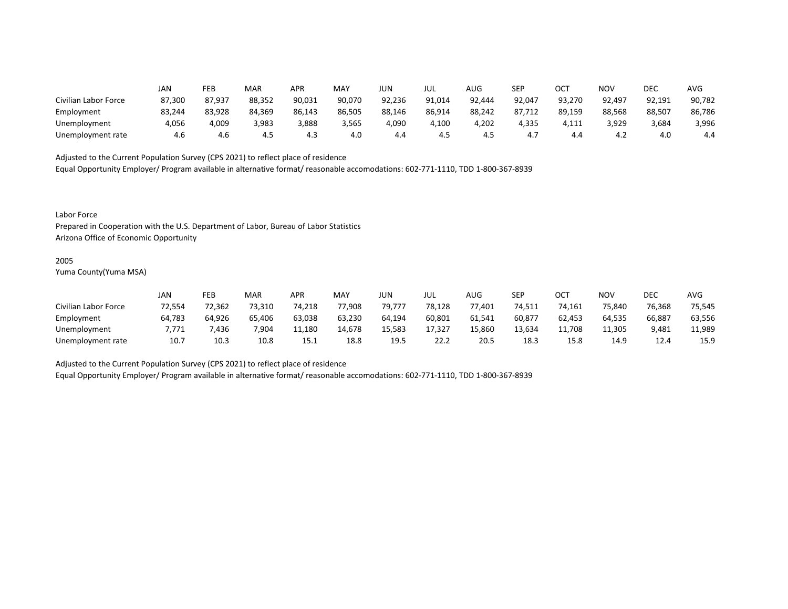|                      | JAN    | FEB    | MAR    | APR    | <b>MAY</b> | JUN    | JUL    | AUG    | <b>SEP</b> | OCT    | <b>NOV</b> | DEC    | <b>AVG</b> |
|----------------------|--------|--------|--------|--------|------------|--------|--------|--------|------------|--------|------------|--------|------------|
| Civilian Labor Force | 87,300 | 87,937 | 88,352 | 90,031 | 90,070     | 92,236 | 91,014 | 92,444 | 92,047     | 93,270 | 92,497     | 92,191 | 90,782     |
| Employment           | 83,244 | 83,928 | 84,369 | 86,143 | 86,505     | 88,146 | 86,914 | 88,242 | 87,712     | 89,159 | 88,568     | 88,507 | 86,786     |
| Unemployment         | 4,056  | 4,009  | 3,983  | 3,888  | 3,565      | 4,090  | 4,100  | 4,202  | 4,335      | 4,111  | 3,929      | 3,684  | 3,996      |
| Unemployment rate    | 4.6    | 4.6    | 4.5    | 4.3    | 4.0        | 4.4    | 4.5    | 4.5    | 4.7        | 4.4    | 4.2        | 4.0    | 4.4        |

Equal Opportunity Employer/ Program available in alternative format/ reasonable accomodations: 602-771-1110, TDD 1-800-367-8939

Labor Force

Prepared in Cooperation with the U.S. Department of Labor, Bureau of Labor Statistics Arizona Office of Economic Opportunity

#### 2005

Yuma County(Yuma MSA)

|                      | JAN    | FEB    | <b>MAR</b> | <b>APR</b> | <b>MAY</b> | JUN    | JUL    | AUG    | SEP    | ОСТ    | <b>NOV</b> | DEC    | <b>AVG</b> |
|----------------------|--------|--------|------------|------------|------------|--------|--------|--------|--------|--------|------------|--------|------------|
| Civilian Labor Force | 72,554 | 72,362 | 73,310     | 74.218     | 77,908     | 79,777 | 78,128 | 77,401 | 74,511 | 74,161 | 75,840     | 76,368 | 75,545     |
| Employment           | 64,783 | 64,926 | 65,406     | 63,038     | 63,230     | 64.194 | 60,801 | 61,541 | 60,877 | 62,453 | 64,535     | 66,887 | 63,556     |
| Unemployment         | 7.771  | ,436   | 7,904      | 11,180     | 14,678     | 15,583 | 17,327 | 15,860 | 13,634 | 11,708 | 11,305     | 9,481  | 11,989     |
| Unemployment rate    | 10.7   | 10.3   | 10.8       | 15.1       | 18.8       | 19.5   | 22.2   | 20.5   | 18.3   | 15.8   | 14.9       | 12.4   | 15.9       |

Adjusted to the Current Population Survey (CPS 2021) to reflect place of residence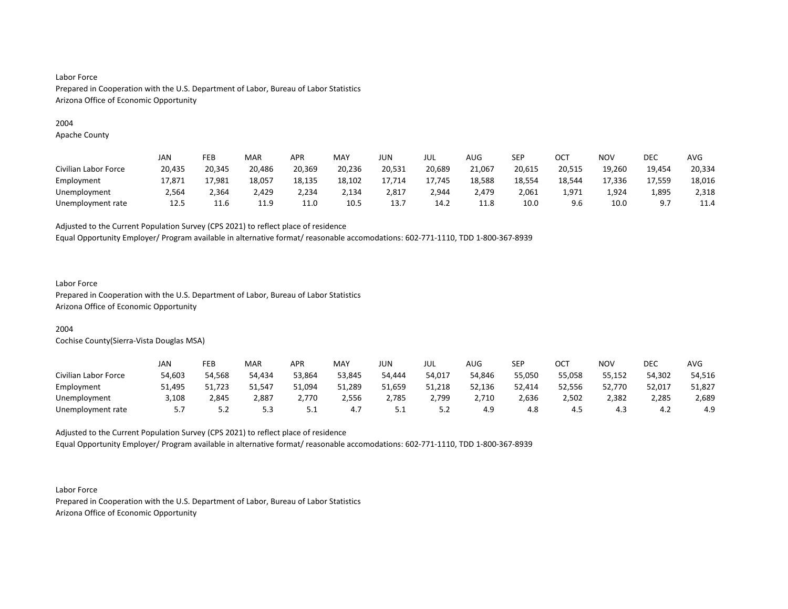# 2004

Apache County

|                      | JAN    | FEB    | <b>MAR</b> | APR    | MAY    | JUN    | JUL    | AUG    | SEP    | ост    | <b>NOV</b> | DEC      | AVG    |
|----------------------|--------|--------|------------|--------|--------|--------|--------|--------|--------|--------|------------|----------|--------|
| Civilian Labor Force | 20,435 | 20,345 | 20,486     | 20,369 | 20,236 | 20,531 | 20,689 | 21,067 | 20,615 | 20,515 | 19,260     | 19.454   | 20,334 |
| Employment           | 17,871 | 17,981 | 18,057     | 18,135 | 18,102 | 17,714 | 17,745 | 18,588 | 18,554 | 18,544 | 17,336     | 17,559   | 18,016 |
| Unemployment         | 2,564  | 2,364  | 2,429      | 2,234  | 2,134  | 2,817  | 2,944  | 2,479  | 2,061  | 1,971  | 924ء       | 1,895    | 2,318  |
| Unemployment rate    | 12.5   | 11.6   | 11.9       | 11.0   | 10.5   | 13.7   | 14.2   | 11.8   | 10.0   | 9.6    | 10.0       | Q<br>J.I | 11.4   |

Adjusted to the Current Population Survey (CPS 2021) to reflect place of residence

Equal Opportunity Employer/ Program available in alternative format/ reasonable accomodations: 602-771-1110, TDD 1-800-367-8939

# Labor Force

Prepared in Cooperation with the U.S. Department of Labor, Bureau of Labor Statistics Arizona Office of Economic Opportunity

# 2004

Cochise County(Sierra-Vista Douglas MSA)

|                      | JAN    | FEB    | <b>MAR</b> | APR    | MAY    | JUN      | JUL    | AUG    | SEP    | ОСТ    | NOV    | DEC    | AVG    |
|----------------------|--------|--------|------------|--------|--------|----------|--------|--------|--------|--------|--------|--------|--------|
| Civilian Labor Force | 54,603 | 54,568 | 54.434     | 53,864 | 53,845 | 54.444   | 54,017 | 54,846 | 55,050 | 55,058 | 55,152 | 54,302 | 54,516 |
| Employment           | 51,495 | 51,723 | 51,547     | 51,094 | 51,289 | 51,659   | 51,218 | 52,136 | 52,414 | 52,556 | 52,770 | 52,01  | 51,827 |
| Unemployment         | 3,108  | 2,845  | 2,887      | 2,770  | 2,556  | 2,785    | 2,799  | 2,710  | 2,636  | 2,502  | 2,382  | 2,285  | 2,689  |
| Unemployment rate    | 5.7    | ے . د  | 5.3        | ـ . ـ  | 4.1    | <u>.</u> | J.L    | 4.9    | 4.8    | 4.5    | 4.5    | 4.2    | 4.9    |

Adjusted to the Current Population Survey (CPS 2021) to reflect place of residence Equal Opportunity Employer/ Program available in alternative format/ reasonable accomodations: 602-771-1110, TDD 1-800-367-8939

Labor Force Prepared in Cooperation with the U.S. Department of Labor, Bureau of Labor Statistics Arizona Office of Economic Opportunity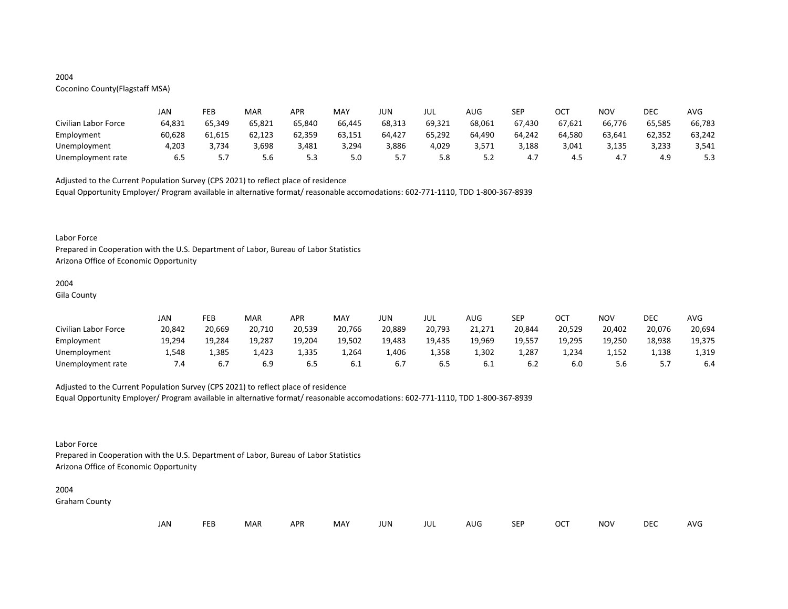# 2004

# Coconino County(Flagstaff MSA)

|                      | JAN    | FEB    | MAR    | <b>APR</b> | MAY    | JUN    | JUL    | AUG    | SEP    | ОСТ    | NOV    | DEC    | AVG    |
|----------------------|--------|--------|--------|------------|--------|--------|--------|--------|--------|--------|--------|--------|--------|
| Civilian Labor Force | 64,831 | 65,349 | 65,821 | 65,840     | 66,445 | 68,313 | 69,321 | 68,061 | 67,430 | 67,621 | 66,776 | 65.585 | 66,783 |
| Employment           | 60,628 | 61,615 | 62,123 | 62,359     | 63,151 | 64,427 | 65,292 | 64,490 | 64,242 | 64,580 | 63,641 | 62,352 | 63,242 |
| Unemployment         | 4,203  | 3,734  | 3,698  | 3,481      | 3,294  | 3,886  | 4,029  | 3,571  | 3,188  | 3,041  | 3,135  | 3,233  | 3,541  |
| Unemployment rate    | 6.5    | J.,    | 5.6    | 5.3        | 5.0    | .      | 5.8    | ے . ۔  | 4.,    | 4.5    | 4.,    | 4.9    | 5.3    |

Adjusted to the Current Population Survey (CPS 2021) to reflect place of residence

Equal Opportunity Employer/ Program available in alternative format/ reasonable accomodations: 602-771-1110, TDD 1-800-367-8939

#### Labor Force

Prepared in Cooperation with the U.S. Department of Labor, Bureau of Labor Statistics Arizona Office of Economic Opportunity

## 2004

Gila County

|                      | JAN    | FEB    | MAR    | APR    | <b>MAY</b> | JUN    | JUL    | AUG    | <b>SED</b><br>ᅴ | ост    | <b>NOV</b> | DEC    | <b>AVG</b> |
|----------------------|--------|--------|--------|--------|------------|--------|--------|--------|-----------------|--------|------------|--------|------------|
| Civilian Labor Force | 20,842 | 20,669 | 20,710 | 20,539 | 20,766     | 20,889 | 20,793 | 21,271 | 20,844          | 20,529 | 20,402     | 20,076 | 20,694     |
| Employment           | 19,294 | 19,284 | 19,287 | 19,204 | 19,502     | 19,483 | 19,435 | 19,969 | 19,557          | 19,295 | 19,250     | 18,938 | 19,375     |
| Unemployment         | 1,548  | 1,385  | 1,423  | 1,335  | 1,264      | 1,406  | 1,358  | 1,302  | 1,287           | 1,234  | 1,152      | 1,138  | 1,319      |
| Unemployment rate    | .4     | 6.7    | 6.9    | 6.5    | 6.1        | b.,    | 6.5    | 0.1    | 6.2             |        | 5.b        |        | 6.4        |

# Adjusted to the Current Population Survey (CPS 2021) to reflect place of residence

Equal Opportunity Employer/ Program available in alternative format/ reasonable accomodations: 602-771-1110, TDD 1-800-367-8939

# Labor Force

Prepared in Cooperation with the U.S. Department of Labor, Bureau of Labor Statistics Arizona Office of Economic Opportunity

# 2004

Graham County

| JAN<br><b>FEB</b><br><b>OCT</b><br>MAR<br>MAY<br><b>APR</b><br><b>NOV</b><br>JUN<br><b>SEP</b><br>AUG<br>jul |  |  |  |  |  |  |  |  |  |  |  | DEC | <b>AVG</b> |
|--------------------------------------------------------------------------------------------------------------|--|--|--|--|--|--|--|--|--|--|--|-----|------------|
|--------------------------------------------------------------------------------------------------------------|--|--|--|--|--|--|--|--|--|--|--|-----|------------|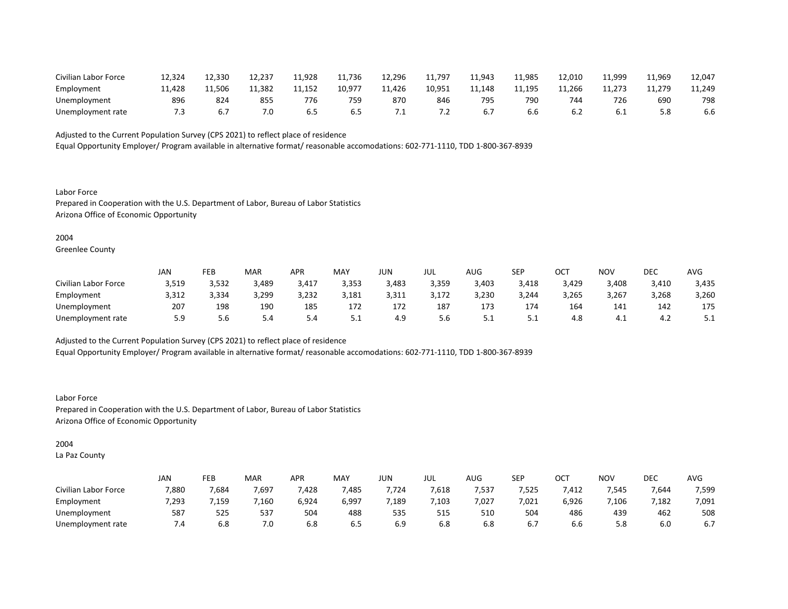| Civilian Labor Force | 12,324 | 12,330 | 12,237 | 11,928 | 11,736 | 12,296 | 11,797       | 11,943 | 11,985 | 12,010 | 11,999 | 11,969 | 12,047 |
|----------------------|--------|--------|--------|--------|--------|--------|--------------|--------|--------|--------|--------|--------|--------|
| Employment           | 11.428 | 11,506 | 11.382 | 11.152 | 10.977 | 11,426 | 10.951       | 11.148 | 11,195 | 11.266 | 11.273 | 11.279 | 11,249 |
| Unemployment         | 896    | 824    | 855    | 776    | 759    | 870    | 846          | 795    | 790    | 744    | 726    | 690    | 798    |
| Unemployment rate    |        |        | 7.0    | 6.5    | .b 5   |        | . . <u>.</u> |        | b.b    | .∠     | 6.1    |        | 6.6    |

Equal Opportunity Employer/ Program available in alternative format/ reasonable accomodations: 602-771-1110, TDD 1-800-367-8939

Labor Force Prepared in Cooperation with the U.S. Department of Labor, Bureau of Labor Statistics Arizona Office of Economic Opportunity

#### 2004

Greenlee County

|                      | JAN   | FEB   | <b>MAR</b> | APR   | MAY   | JUN   | JUL   | AUG   | <b>SEP</b> | OCT   | <b>NOV</b> | DEC   | AVG   |
|----------------------|-------|-------|------------|-------|-------|-------|-------|-------|------------|-------|------------|-------|-------|
| Civilian Labor Force | 3,519 | 3,532 | 3,489      | 3,417 | 3,353 | 3,483 | 3,359 | 3,403 | 3,418      | 3,429 | 3,408      | 3,410 | 3,435 |
| Employment           | 3,312 | 3,334 | 3,299      | 3,232 | 3,181 | 3,311 | 3,172 | 3,230 | 3,244      | 3,265 | 3,267      | 3,268 | 3,260 |
| Unemployment         | 207   | 198   | 190        | 185   | 172   | 172   | 187   | 173   | 174        | 164   | 141        | 142   | 175   |
| Unemployment rate    | 5.9   | 5.6   | 5.4        | 5.4   | ـ . ـ | 4.9   | 5.6   | ـ . ـ | ـ . ـ      | 4.8   | 4.⊥        | 4.∠   | ـ     |

Adjusted to the Current Population Survey (CPS 2021) to reflect place of residence

Equal Opportunity Employer/ Program available in alternative format/ reasonable accomodations: 602-771-1110, TDD 1-800-367-8939

Labor Force Prepared in Cooperation with the U.S. Department of Labor, Bureau of Labor Statistics Arizona Office of Economic Opportunity

# 2004

La Paz County

|                      | JAN   | FEB   | MAR   | APR   | MAY   | <b>JUN</b> | JUL  | AUG   | SEP               | ∩∩⊤<br>◡◡ | <b>NOV</b> | DEC   | AVG   |
|----------------------|-------|-------|-------|-------|-------|------------|------|-------|-------------------|-----------|------------|-------|-------|
| Civilian Labor Force | 7,880 | 7,684 | 7,697 | ,428  | ,485  | 7,724      | ,618 | 7,537 | $- - - -$<br>ל7לי | 412,      | 7,545      | 7,644 | 7,599 |
| Employment           | 7,293 | ,159  | 7,160 | 6,924 | 6,997 | ,189       | ,103 | 7,027 | 7,021             | 6,926     | 7,106      | 7,182 | 7,091 |
| Unemployment         | 587   | 525   | 537   | 504   | 488   | 535        | 515  | 510   | 504               | 486       | 439        | 462   | 508   |
| Unemployment rate    | .4    | 6.8   | 7.0   | 6.8   | ხ.5   | 6.9        | 6.8  | 6.8   | 6.7               | b.b       | 5.8        | 6.0   | 6.7   |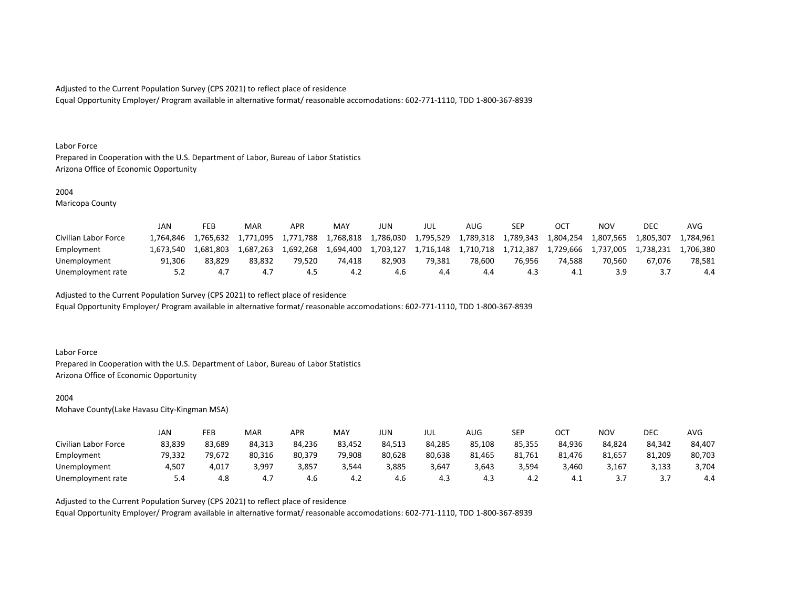Equal Opportunity Employer/ Program available in alternative format/ reasonable accomodations: 602-771-1110, TDD 1-800-367-8939

#### Labor Force

Prepared in Cooperation with the U.S. Department of Labor, Bureau of Labor Statistics Arizona Office of Economic Opportunity

#### 2004

Maricopa County

|                      | JAN       | FEB       | MAR       | APR       | MAY       | JUN       | JUL       | AUG       | SEP       |           | ΝΟν       | <b>DEC</b> | AVG       |
|----------------------|-----------|-----------|-----------|-----------|-----------|-----------|-----------|-----------|-----------|-----------|-----------|------------|-----------|
| Civilian Labor Force | 1.764.846 | 1,765,632 | 1.771.095 | 1,771,788 | 1,768,818 | 1,786,030 | 1,795,529 | 1,789,318 | 1,789,343 | 1,804,254 | 1,807,565 | 1.805.307  | 1.784.961 |
| Employment           | 1.673.540 | 1.681.803 | 1.687.263 | 1.692.268 | 1.694.400 | 1,703,127 | 1.716.148 | 1,710,718 | 1,712,387 | 1.729.666 | 1.737.005 | 1.738.231  | 1.706.380 |
| Unemployment         | 91.306    | 83.829    | 83.832    | 79.520    | 74.418    | 82.903    | 79.381    | 78.600    | 76.956    | 74.588    | 70.560    | 67.076     | 78.581    |
| Unemployment rate    | 5.2       |           |           | 4.5       | 4.2       | 4.6       |           | 4.4       | 4.3       |           | 3.9       |            | 4.4       |

Adjusted to the Current Population Survey (CPS 2021) to reflect place of residence

Equal Opportunity Employer/ Program available in alternative format/ reasonable accomodations: 602-771-1110, TDD 1-800-367-8939

#### Labor Force

Prepared in Cooperation with the U.S. Department of Labor, Bureau of Labor Statistics Arizona Office of Economic Opportunity

## 2004

Mohave County(Lake Havasu City-Kingman MSA)

|                      | JAN    | FEB    | MAR    | APR    | <b>MAY</b> | JUN    | JUL    | AUG    | <b>SEP</b> | OCT    | NOV       | DEC        | AVG    |
|----------------------|--------|--------|--------|--------|------------|--------|--------|--------|------------|--------|-----------|------------|--------|
| Civilian Labor Force | 83,839 | 83,689 | 84,313 | 84,236 | 83,452     | 84,513 | 84,285 | 85.108 | 85,355     | 84,936 | 84.824    | 84,342     | 84,407 |
| Employment           | 79,332 | 79,672 | 80,316 | 80,379 | 79,908     | 80,628 | 80,638 | 81,465 | 81,761     | 81.476 | 81,657    | 81,209     | 80,703 |
| Unemployment         | 4,507  | 4,017  | 3,997  | 3,857  | 3,544      | 3,885  | 3,647  | 3,643  | 3,594      | 460,8  | 3,167     | 3,133      | 3,704  |
| Unemployment rate    | 5.4    | 4.8    | 4.7    | 4.6    | 4.Z        | 4.6    | 4.3    | 4.3    | 4.∠        | 4. 1   | <u>.,</u> | <u>. .</u> | 4.4    |

Adjusted to the Current Population Survey (CPS 2021) to reflect place of residence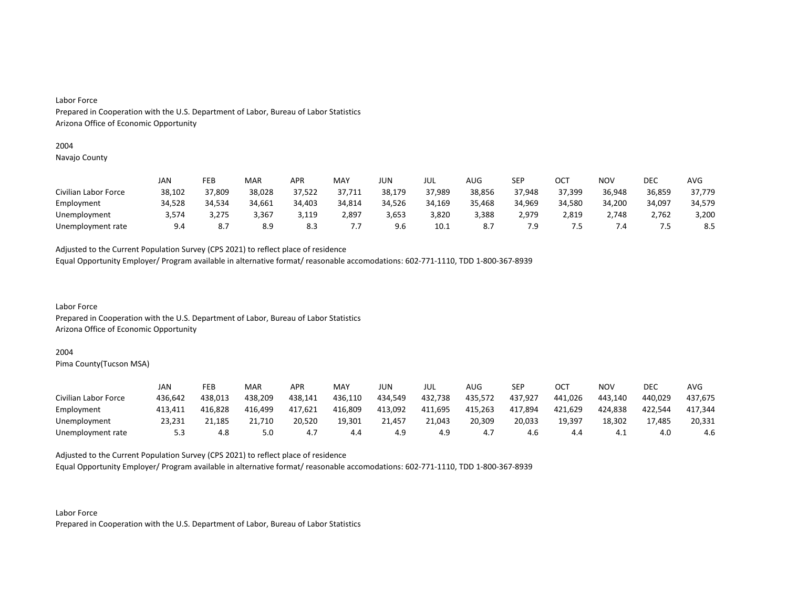# 2004

Navajo County

|                      | JAN    | FEB    | MAR    | <b>APR</b> | MAY    | JUN    | JUL    | AUG    | <b>SEP</b> | <b>OCT</b> | <b>NOV</b> | DEC    | AVG    |
|----------------------|--------|--------|--------|------------|--------|--------|--------|--------|------------|------------|------------|--------|--------|
| Civilian Labor Force | 38,102 | 37,809 | 38,028 | 37,522     | 37,711 | 38,179 | 37,989 | 38,856 | 37,948     | 37,399     | 36,948     | 36,859 | 37,779 |
| Employment           | 34,528 | 34,534 | 34,661 | 34,403     | 34,814 | 34,526 | 34,169 | 35,468 | 34,969     | 34,580     | 34,200     | 34,097 | 34,579 |
| Unemployment         | 3.574  | 3,275  | 3,367  | 3,119      | 2,897  | 3,653  | 3,820  | 3,388  | 2.979      | 2,819      | 2,748      | 2.762  | 3,200  |
| Unemployment rate    | 9.4    | 8.7    | 8.9    | 8.3        | , , ,  | 9.6    | 10.1   |        | 7.9        |            | . .4       | -      | 8.5    |

Adjusted to the Current Population Survey (CPS 2021) to reflect place of residence

Equal Opportunity Employer/ Program available in alternative format/ reasonable accomodations: 602-771-1110, TDD 1-800-367-8939

Labor Force Prepared in Cooperation with the U.S. Department of Labor, Bureau of Labor Statistics Arizona Office of Economic Opportunity

# 2004

Pima County(Tucson MSA)

|                      | JAN     | FEB     | MAR     | APR     | MAY     | JUN     | JUL     | AUG.    | <b>SEP</b> | ост     | NOV     | DEC     | AVG     |
|----------------------|---------|---------|---------|---------|---------|---------|---------|---------|------------|---------|---------|---------|---------|
| Civilian Labor Force | 436,642 | 438,013 | 438,209 | 438,141 | 436,110 | 434,549 | 432,738 | 435,572 | 437,927    | 441.026 | 443,140 | 440,029 | 437,675 |
| Employment           | 413.411 | 416,828 | 416,499 | 417,621 | 416,809 | 413,092 | 411,695 | 415,263 | 417,894    | 421,629 | 424,838 | 422.544 | 417,344 |
| Unemployment         | 23,231  | 21,185  | .710    | 20,520  | 19,301  | 21,457  | 21.043  | 20,309  | 20,033     | 19,397  | 18,302  | 17.485  | 20,331  |
| Unemployment rate    | 5.3     | 4.8     | 5.0     | 4.,     | 4.4     | 4.9     | 4.9     | 4.,     | 4.6        | 4.4     | 4.1     | 4.0     | 4.6     |

Adjusted to the Current Population Survey (CPS 2021) to reflect place of residence

Equal Opportunity Employer/ Program available in alternative format/ reasonable accomodations: 602-771-1110, TDD 1-800-367-8939

Labor Force Prepared in Cooperation with the U.S. Department of Labor, Bureau of Labor Statistics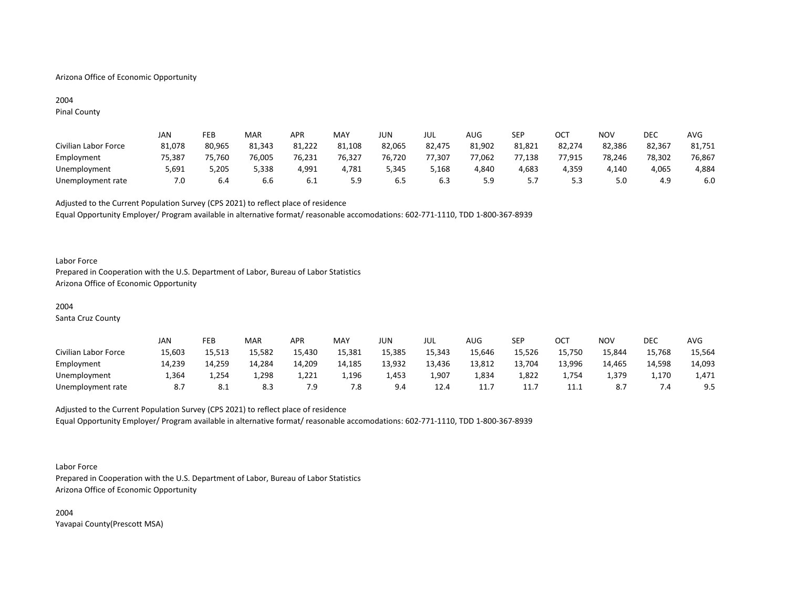# Arizona Office of Economic Opportunity

# 2004

Pinal County

|                      | JAN    | FEB    | MAR    | APR    | MAY    | JUN    | JUL    | AUG    | SEP    | ост    | <b>NOV</b> | DEC    | <b>AVG</b> |
|----------------------|--------|--------|--------|--------|--------|--------|--------|--------|--------|--------|------------|--------|------------|
| Civilian Labor Force | 81,078 | 80,965 | 81,343 | 81,222 | 81,108 | 82,065 | 82,475 | 81,902 | 81,821 | 82,274 | 82,386     | 82,367 | 81,751     |
| Employment           | 75,387 | 75,760 | 76,005 | 76,231 | 76,327 | 76,720 | 77,307 | 77,062 | 77,138 | 77,915 | 78,246     | 78,302 | 76,867     |
| Unemployment         | 5,691  | 5,205  | 5,338  | 4,991  | 4,781  | 5,345  | 5,168  | 4,840  | 4,683  | 4,359  | 4,140      | 4,065  | 4,884      |
| Unemployment rate    | 7.0    | 6.4    | 6.6    | 6.1    | 5.9    | 6.5    | 6.3    | 5.9    | .      | 5.3    | 5.0        | 4.9    | 6.0        |

Adjusted to the Current Population Survey (CPS 2021) to reflect place of residence Equal Opportunity Employer/ Program available in alternative format/ reasonable accomodations: 602-771-1110, TDD 1-800-367-8939

#### Labor Force

Prepared in Cooperation with the U.S. Department of Labor, Bureau of Labor Statistics Arizona Office of Economic Opportunity

#### 2004

Santa Cruz County

|                      | JAN    | FEB    | <b>MAR</b> | APR    | MAY    | JUN    | JUL    | <b>AUG</b> | <b>SEP</b> | ОСТ    | <b>NOV</b> | <b>DEC</b> | <b>AVG</b> |
|----------------------|--------|--------|------------|--------|--------|--------|--------|------------|------------|--------|------------|------------|------------|
| Civilian Labor Force | 15,603 | 15,513 | 15,582     | 15,430 | 15,381 | 15,385 | 15,343 | 15,646     | 15,526     | 15,750 | 15,844     | 15,768     | 15,564     |
| Employment           | 14,239 | 14,259 | 14,284     | 14,209 | 14,185 | 13,932 | 13,436 | 13,812     | 13,704     | 13,996 | 14,465     | 14,598     | 14,093     |
| Unemployment         | 364,ء  | 4,254  | 1,298      | 1,221  | 1,196  | 1,453  | 1,907  | 334.ء      | 1,822      | 754ء   | 1,379      | 1,170      | 1,471      |
| Unemployment rate    | 8.7    | -8.1   | 8.3        | 7.9    | 7.8    | 9.4    | 12.4   | 11.7       | 11.7       | 11.1   | <b>ه.</b>  |            | 9.5        |

# Adjusted to the Current Population Survey (CPS 2021) to reflect place of residence Equal Opportunity Employer/ Program available in alternative format/ reasonable accomodations: 602-771-1110, TDD 1-800-367-8939

Labor Force

Prepared in Cooperation with the U.S. Department of Labor, Bureau of Labor Statistics Arizona Office of Economic Opportunity

2004 Yavapai County(Prescott MSA)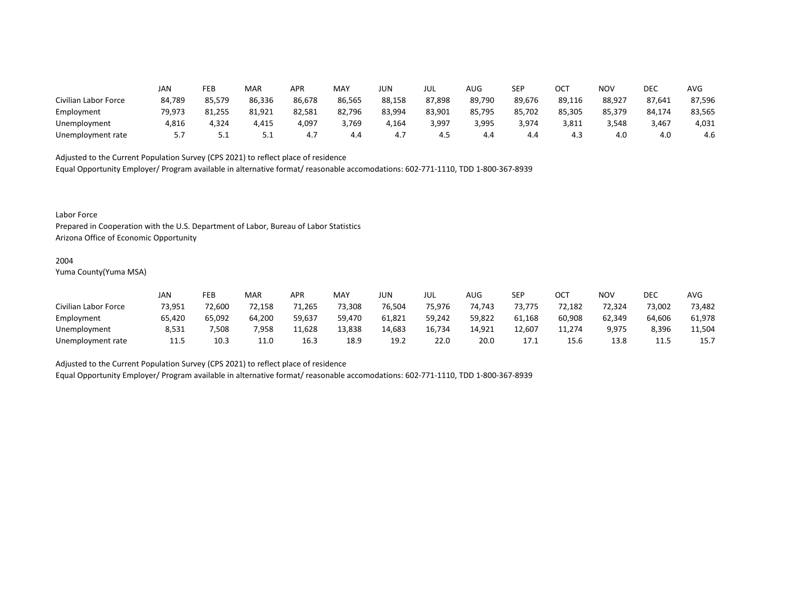|                      | JAN    | FEB    | MAR    | APR    | MAY    | <b>JUN</b> | JUL    | AUG    | SEP    | ∩∩⊤<br>UC. | NOV    | DEC    | <b>AVG</b> |
|----------------------|--------|--------|--------|--------|--------|------------|--------|--------|--------|------------|--------|--------|------------|
| Civilian Labor Force | 84,789 | 85.579 | 86,336 | 86,678 | 86,565 | 88,158     | 87,898 | 89,790 | 89,676 | 89,116     | 88,927 | 87,641 | 87,596     |
| Employment           | 79,973 | 81,255 | 81,921 | 82,581 | 82,796 | 83,994     | 83,901 | 85,795 | 85,702 | 85,305     | 85,379 | 84,174 | 83,565     |
| Unemployment         | 4,816  | 4,324  | 4,415  | 4,097  | 3,769  | 4,164      | 3,997  | 3,995  | 3,974  | 3,811      | 3,548  | 3,467  | 4,031      |
| Unemployment rate    | 5.7    | ـ . ـ  | ـ . ـ  | 4.7    | 4.4    | 4.1        | 4.5    | 4.4    | 4.4    | 4.3        | 4.0    | 4.0    | 4.6        |

Equal Opportunity Employer/ Program available in alternative format/ reasonable accomodations: 602-771-1110, TDD 1-800-367-8939

Labor Force

Prepared in Cooperation with the U.S. Department of Labor, Bureau of Labor Statistics Arizona Office of Economic Opportunity

#### 2004

Yuma County(Yuma MSA)

|                      | Jan    | FEB    | <b>MAR</b> | APR    | MAY    | JUN    | JUL    | AUG    | SEP    | OCT    | <b>NOV</b> | <b>DEC</b> | AVG    |
|----------------------|--------|--------|------------|--------|--------|--------|--------|--------|--------|--------|------------|------------|--------|
| Civilian Labor Force | 73,951 | 72,600 | 72,158     | 71,265 | 73,308 | 76,504 | 75,976 | 74,743 | 73,775 | 72,182 | 72,324     | 73,002     | 73,482 |
| Employment           | 65,420 | 65,092 | 64,200     | 59,637 | 59,470 | 61,821 | 59,242 | 59,822 | 61,168 | 60,908 | 62,349     | 64,606     | 61,978 |
| Unemployment         | 8,531  | 7,508  | 7,958      | 11,628 | 13,838 | 14,683 | 16,734 | 14,921 | 12,607 | 11.274 | 9,975      | 8,396      | 11,504 |
| Unemployment rate    | 11.5   | 10.3   | 11.0       | 16.3   | 18.9   | 19.2   | 22.0   | 20.0   | 17.1   | 15.6   | 13.8       | 11.5       | 15.7   |

Adjusted to the Current Population Survey (CPS 2021) to reflect place of residence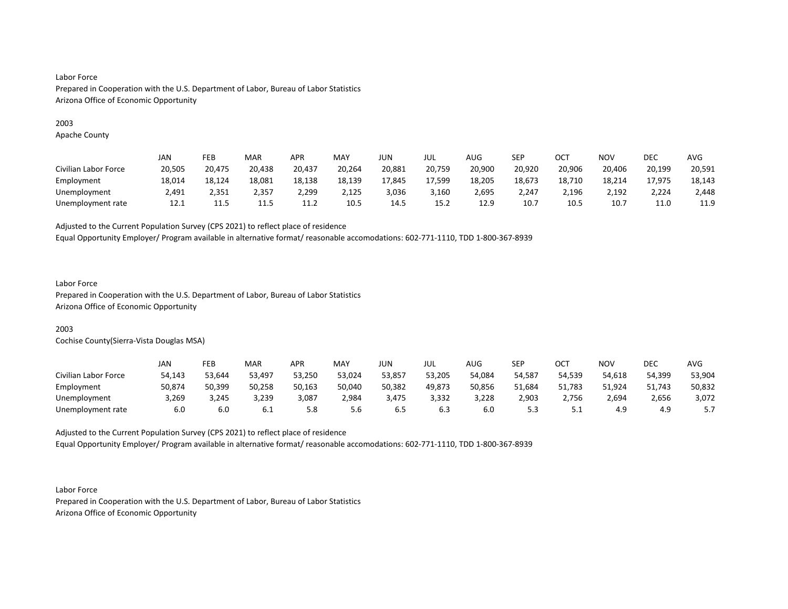# 2003

Apache County

|                      | JAN    | FEB    | <b>MAR</b> | APR    | <b>MAY</b> | JUN    | JUL    | <b>AUG</b> | SEP    | ОСТ    | NOV    | DEC    | <b>AVG</b> |
|----------------------|--------|--------|------------|--------|------------|--------|--------|------------|--------|--------|--------|--------|------------|
| Civilian Labor Force | 20,505 | 20,475 | 20,438     | 20,437 | 20,264     | 20,881 | 20,759 | 20,900     | 20,920 | 20,906 | 20,406 | 20,199 | 20,591     |
| Employment           | 18,014 | 18,124 | 18,081     | 18,138 | 18,139     | 17,845 | 17,599 | 18,205     | 18,673 | 18,710 | 18,214 | 17,975 | 18,143     |
| Unemployment         | 2.491  | 2.351  | 2.357      | 2,299  | 2,125      | 3,036  | 3.160  | 2.695      | 2.247  | 2,196  | 2,192  | 2.224  | 2,448      |
| Unemployment rate    | 12.1   | 11.5   | 11.5       | 11.2   | 10.5       | 14.5   | 15.2   | 12.9       | 10.7   | 10.5   | 10.7   | 11.0   | 11.9       |

Adjusted to the Current Population Survey (CPS 2021) to reflect place of residence

Equal Opportunity Employer/ Program available in alternative format/ reasonable accomodations: 602-771-1110, TDD 1-800-367-8939

# Labor Force

Prepared in Cooperation with the U.S. Department of Labor, Bureau of Labor Statistics Arizona Office of Economic Opportunity

# 2003

Cochise County(Sierra-Vista Douglas MSA)

|                      | JAN    | FEB    | <b>MAR</b> | APR    | MAY    | JUN    | JUL    | AUG    | SEP    | ост      | NOV    | DEC    | AVG    |
|----------------------|--------|--------|------------|--------|--------|--------|--------|--------|--------|----------|--------|--------|--------|
| Civilian Labor Force | 54,143 | 53,644 | 53,497     | 53,250 | 53,024 | 53,857 | 53,205 | 54,084 | 54.587 | 54,539   | 54,618 | 54,399 | 53,904 |
| Employment           | 50,874 | 50,399 | 50,258     | 50,163 | 50,040 | 50,382 | 49,873 | 50,856 | 51,684 | 51,783   | 51,924 | 51,743 | 50,832 |
| Unemployment         | 3,269  | 3,245  | 3,239      | 3,087  | 2,984  | 3,475  | 3,332  | 3,228  | 2,903  | 2,756    | 2,694  | 2,656  | 3,072  |
| Unemployment rate    | 6.0    | 6.0    | 6.1        | 5.8    | 5.6    | 6.5    | 6.3    | 6.C    | 5.3    | <u>.</u> | 4.9    | 4.9    | J.I    |

Adjusted to the Current Population Survey (CPS 2021) to reflect place of residence Equal Opportunity Employer/ Program available in alternative format/ reasonable accomodations: 602-771-1110, TDD 1-800-367-8939

Labor Force Prepared in Cooperation with the U.S. Department of Labor, Bureau of Labor Statistics Arizona Office of Economic Opportunity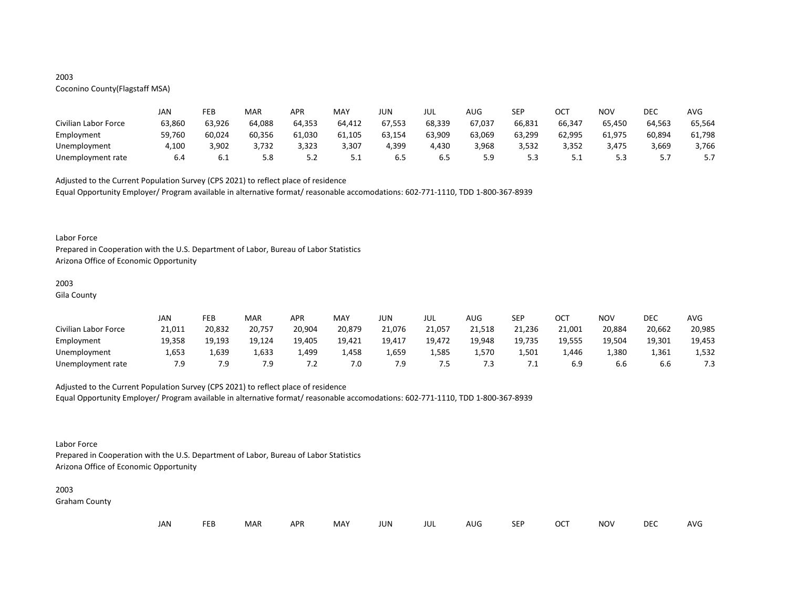# 2003

# Coconino County(Flagstaff MSA)

|                      | JAN    | FEB    | MAR    | <b>APR</b> | MAY    | JUN    | JUL    | AUG    | SEP    | ОСТ    | NOV    | DEC    | AVG    |
|----------------------|--------|--------|--------|------------|--------|--------|--------|--------|--------|--------|--------|--------|--------|
| Civilian Labor Force | 63,860 | 63,926 | 64,088 | 64,353     | 64,412 | 67,553 | 68,339 | 67,037 | 66,831 | 66,347 | 65,450 | 64,563 | 65,564 |
| Employment           | 59,760 | 60,024 | 60,356 | 61,030     | 61,105 | 63,154 | 63,909 | 63,069 | 63,299 | 62,995 | 61,975 | 60,894 | 61,798 |
| Unemployment         | 4,100  | 3,902  | 3,732  | 3,323      | 3,307  | 4,399  | 4,430  | 3,968  | 3,532  | 3,352  | 3,475  | 3,669  | 3,766  |
| Unemployment rate    | 6.4    | b.l    | 5.8    | ے . د      | ـ . ـ  | ხ.5    | 6.5    | 5.9    | 5.3    | ـ . ـ  |        |        |        |

Adjusted to the Current Population Survey (CPS 2021) to reflect place of residence

Equal Opportunity Employer/ Program available in alternative format/ reasonable accomodations: 602-771-1110, TDD 1-800-367-8939

#### Labor Force

Prepared in Cooperation with the U.S. Department of Labor, Bureau of Labor Statistics Arizona Office of Economic Opportunity

# 2003

Gila County

|                      | JAN    | FEB    | MAR    | APR    | <b>MAY</b> | JUN    | JUL    | AUG    | <b>SFP</b><br>ᅴ | ост    | <b>NOV</b> | <b>DEC</b> | <b>AVG</b> |
|----------------------|--------|--------|--------|--------|------------|--------|--------|--------|-----------------|--------|------------|------------|------------|
| Civilian Labor Force | 21,011 | 20,832 | 20,757 | 20,904 | 20,879     | 21,076 | 21,057 | 21,518 | 21,236          | 21,001 | 20,884     | 20,662     | 20,985     |
| Employment           | 19,358 | 19,193 | 19,124 | 19,405 | 19,421     | 19,417 | 19,472 | 19,948 | 19,735          | 19,555 | 19,504     | 19,301     | 19,453     |
| Unemployment         | 1,653  | 1,639  | 1,633  | 1,499  | 1,458      | 659,ء  | 1,585  | 1,570  | 1,501           | 1,446  | 1,380      | 1,361      | 1,532      |
| Unemployment rate    | 7.9    | 7.9    | 7.9    |        | 7.0        | 7.9    | כ. י   | 7.3    | . . L           |        | 6.6        | b.b        | 1.3        |

# Adjusted to the Current Population Survey (CPS 2021) to reflect place of residence

Equal Opportunity Employer/ Program available in alternative format/ reasonable accomodations: 602-771-1110, TDD 1-800-367-8939

#### Labor Force

Prepared in Cooperation with the U.S. Department of Labor, Bureau of Labor Statistics Arizona Office of Economic Opportunity

#### 2003

Graham County

| JAN<br>UC |  | ᄄᄄ | MAR | <b>APP</b> | MAY | JUN | JUL | AUC | SEP | $\sim$ | NOV | DEC | AVG |
|-----------|--|----|-----|------------|-----|-----|-----|-----|-----|--------|-----|-----|-----|
|-----------|--|----|-----|------------|-----|-----|-----|-----|-----|--------|-----|-----|-----|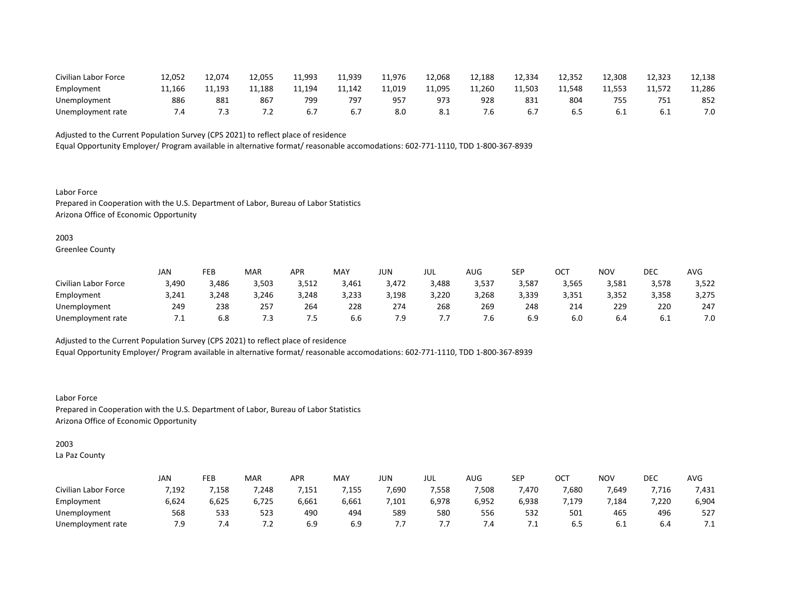| Civilian Labor Force | 12,052 | 12.074 | 12,055                   | 11,993 | 11,939 | 11,976 | 12,068 | 12,188 | 12,334 | 12,352 | 12,308 | 12,323 | 12,138 |
|----------------------|--------|--------|--------------------------|--------|--------|--------|--------|--------|--------|--------|--------|--------|--------|
| Employment           | 11.166 | 11.193 | 11.188                   | 1,194  | 11.142 | 11,019 | 11,095 | 11.260 | 11,503 | 11.548 | 11.553 | 11.572 | 11,286 |
| Unemployment         | 886    | 881    | 867                      | 799    | 797    | 95     | 973    | 928    | 831    | 804    | 755    | 75⊥    | 852    |
| Unemployment rate    | . 4    | د.     | $\overline{\phantom{a}}$ |        |        | 8.0    | 8.1    | ס. י   |        |        | 6.1    | 0.1    | 7.0    |

Equal Opportunity Employer/ Program available in alternative format/ reasonable accomodations: 602-771-1110, TDD 1-800-367-8939

Labor Force Prepared in Cooperation with the U.S. Department of Labor, Bureau of Labor Statistics Arizona Office of Economic Opportunity

2003

Greenlee County

|                      | JAN   | FEB   | <b>MAR</b> | APR   | <b>MAY</b> | JUN   | JUL   | AUG   | SEP   | ∩∩⊤<br>UC. | <b>NOV</b> | DEC   | <b>AVG</b> |
|----------------------|-------|-------|------------|-------|------------|-------|-------|-------|-------|------------|------------|-------|------------|
| Civilian Labor Force | 3,490 | 3,486 | 3,503      | 3,512 | 3,461      | 3,472 | 3,488 | 3,537 | 3,587 | 3,565      | 3,581      | 3,578 | 3,522      |
| Employment           | 3,241 | 3,248 | 3,246      | 3,248 | 3,233      | 3,198 | 3,220 | 3,268 | 3,339 | 3,351      | 3,352      | 3,358 | 3,275      |
| Unemployment         | 249   | 238   | 257        | 264   | 228        | 274   | 268   | 269   | 248   | 214        | 229        | 220   | 247        |
| Unemployment rate    | . .   | 6.8   | 7.3        | ر.    | 6.6        | 7.9   | , , , | ٥.    | 6.9   | 6.0        | 6.4        | b.l   | 7.0        |

Adjusted to the Current Population Survey (CPS 2021) to reflect place of residence

Equal Opportunity Employer/ Program available in alternative format/ reasonable accomodations: 602-771-1110, TDD 1-800-367-8939

Labor Force Prepared in Cooperation with the U.S. Department of Labor, Bureau of Labor Statistics Arizona Office of Economic Opportunity

2003

La Paz County

|                      | JAN   | FEB   | MAR   | <b>APR</b> | <b>MAY</b> | JUN   | JUL   | $\sim$ $\sim$<br>AUG | <b>SEP</b>   | ⌒⌒⊤<br>UC. | <b>NOV</b> | DEC   | <b>AVG</b> |
|----------------------|-------|-------|-------|------------|------------|-------|-------|----------------------|--------------|------------|------------|-------|------------|
| Civilian Labor Force | 7,192 | 7,158 | 7,248 | 1,151      | 1,155      | 7,690 | 7,558 | 7,508                | 470,'        | 7,680      | 7,649      | 7,716 | 7,431      |
| Employment           | 6,624 | 6,625 | 6,725 | 6,661      | 6,661      | ,101  | 6,978 | 6,952                | 6,938        | ,179       | 7,184      | 7,220 | 6,904      |
| Unemployment         | 568   | 533   | 523   | 490        | 494        | 589   | 580   | 556                  | 532          | 501        | 465        | 496   | 527        |
| Unemployment rate    | 7.9   | 4. ا  | ے. '  | 6.9        | 6.9        | , , , | , , , | 7.4                  | , <u>. .</u> | 6.5        | b.l        | b.4   | .          |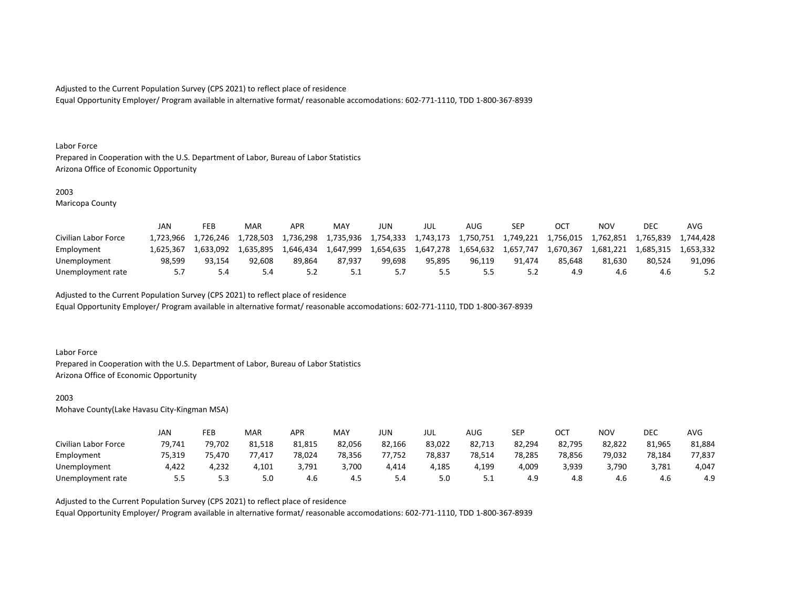Equal Opportunity Employer/ Program available in alternative format/ reasonable accomodations: 602-771-1110, TDD 1-800-367-8939

#### Labor Force

Prepared in Cooperation with the U.S. Department of Labor, Bureau of Labor Statistics Arizona Office of Economic Opportunity

## 2003

Maricopa County

|                      | JAN       | FEB       | MAR       | <b>APR</b> | <b>MAY</b> | JUN       | JUL       | AUG.      | SEP       |           | NOV       | DEC       | AVG       |
|----------------------|-----------|-----------|-----------|------------|------------|-----------|-----------|-----------|-----------|-----------|-----------|-----------|-----------|
| Civilian Labor Force | 1.723.966 | 1,726,246 | 1,728,503 | 1,736,298  | 1,735,936  | 1,754,333 | 1.743.173 | 1,750,751 | 1,749,221 | 1,756,015 | 1,762,851 | 1,765,839 | 1.744.428 |
| Employment           | 1.625.367 | 1.633.092 | 1.635.895 | 1.646.434  | 1.647.999  | 1,654,635 | 1.647.278 | 1,654,632 | 1.657.747 | 1.670.367 | 1.681.221 | 1.685.315 | 1.653.332 |
| Unemployment         | 98.599    | 93.154    | 92.608    | 89.864     | 87.937     | 99.698    | 95.895    | 96.119    | 91.474    | 85.648    | 81.630    | 80.524    | 91.096    |
| Unemployment rate    | 57        |           | 5.4       |            | ـ . ـ      |           | 5.5       |           |           |           | 4.6       | 4.6       |           |

Adjusted to the Current Population Survey (CPS 2021) to reflect place of residence

Equal Opportunity Employer/ Program available in alternative format/ reasonable accomodations: 602-771-1110, TDD 1-800-367-8939

#### Labor Force

Prepared in Cooperation with the U.S. Department of Labor, Bureau of Labor Statistics Arizona Office of Economic Opportunity

## 2003

Mohave County(Lake Havasu City-Kingman MSA)

|                      | JAN    | FEB    | MAR    | <b>APR</b> | MAY    | JUN    | JUL    | AUG    | <b>SEP</b> | ост    | NOV    | DEC    | <b>AVG</b> |
|----------------------|--------|--------|--------|------------|--------|--------|--------|--------|------------|--------|--------|--------|------------|
| Civilian Labor Force | 79,741 | 79,702 | 81,518 | 81,815     | 82,056 | 82,166 | 83,022 | 82,713 | 82,294     | 82,795 | 82,822 | 81,965 | 81,884     |
| Employment           | 75,319 | 75.470 | 77,417 | 78,024     | 78,356 | 77,752 | 78,837 | 78,514 | 78,285     | 78,856 | 79,032 | 78,184 | 77,837     |
| Unemployment         | 4,422  | 4,232  | 4,101  | 3,791      | 3,700  | 4,414  | 4,185  | 4,199  | 4,009      | 3,939  | 3,790  | 3,781  | 4,047      |
| Unemployment rate    | 5.5    | 5.3    | 5.0    | 4.6        | 4.5    | 5.4    | 5.0    | ـ . ـ  | 4.9        | 4.8    | 4.6    | 4.6    | 4.9        |

Adjusted to the Current Population Survey (CPS 2021) to reflect place of residence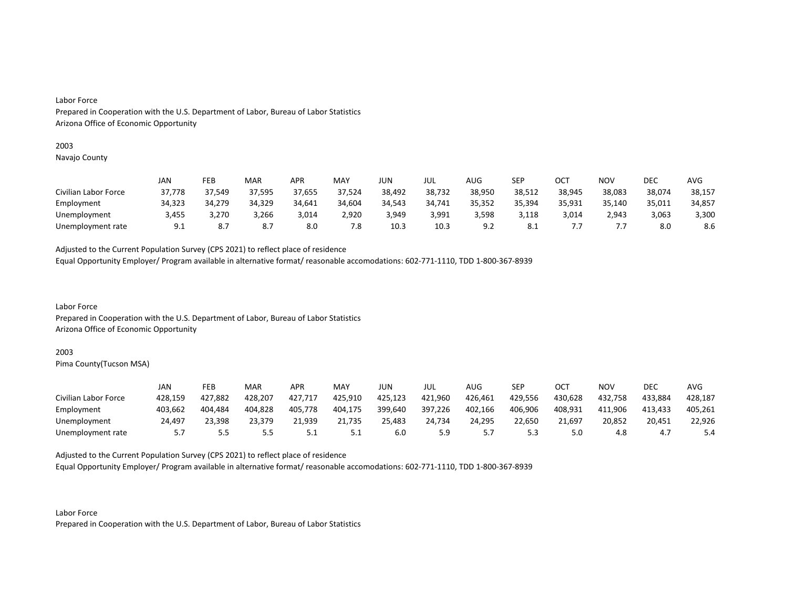#### 2003

Navajo County

|                      | JAN    | FEB    | MAR    | APR    | MAY    | JUN    | JUL    | AUG    | SEP    | OCT    | ΝΟν    | DEC    | AVG    |
|----------------------|--------|--------|--------|--------|--------|--------|--------|--------|--------|--------|--------|--------|--------|
| Civilian Labor Force | 37,778 | 37,549 | 37,595 | 37,655 | 37,524 | 38,492 | 38,732 | 38,950 | 38,512 | 38,945 | 38,083 | 38,074 | 38,157 |
| Employment           | 34,323 | 34.279 | 34,329 | 34,641 | 34,604 | 34,543 | 34,741 | 35,352 | 35,394 | 35,931 | 35,140 | 35,011 | 34,857 |
| Unemployment         | 3,455  | 3,270  | 3,266  | 3,014  | 2,920  | 3,949  | 3,991  | 3,598  | 3,118  | 3,014  | 2,943  | 3,063  | 3,300  |
| Unemployment rate    | 9.1    | 8.7    | 8.7    | 8.0    | 7.8    | 10.3   | 10.3   |        | -8.1   |        |        | 8.0    | 8.6    |

Adjusted to the Current Population Survey (CPS 2021) to reflect place of residence

Equal Opportunity Employer/ Program available in alternative format/ reasonable accomodations: 602-771-1110, TDD 1-800-367-8939

Labor Force Prepared in Cooperation with the U.S. Department of Labor, Bureau of Labor Statistics Arizona Office of Economic Opportunity

#### 2003

Pima County(Tucson MSA)

|                      | JAN     | FEB     | MAR     | <b>APR</b> | MAY     | JUN     | JUL     | AUG     | SEP     | ост     | <b>NOV</b> | DEC     | AVG     |
|----------------------|---------|---------|---------|------------|---------|---------|---------|---------|---------|---------|------------|---------|---------|
| Civilian Labor Force | 428.159 | 427,882 | 428,207 | 427,717    | 425,910 | 425,123 | 421,960 | 426,461 | 429,556 | 430.628 | 432,758    | 433.884 | 428,187 |
| Employment           | 403.662 | 404.484 | 404.828 | 405.778    | 404.175 | 399,640 | 397,226 | 402.166 | 406,906 | 408.931 | 411.906    | 413.433 | 405.261 |
| Unemployment         | 24,497  | 23,398  | 23,379  | 21,939     | 21,735  | 25,483  | 24,734  | 24,295  | 22,650  | 21,697  | 20,852     | 20,451  | 22,926  |
| Unemployment rate    |         | ر.ر     | 5.5     | ـ . ـ      | ــ.     | 6.0     | 5.9     |         |         |         | 4.O        | 4.,     | 5.4     |

Adjusted to the Current Population Survey (CPS 2021) to reflect place of residence

Equal Opportunity Employer/ Program available in alternative format/ reasonable accomodations: 602-771-1110, TDD 1-800-367-8939

Labor Force Prepared in Cooperation with the U.S. Department of Labor, Bureau of Labor Statistics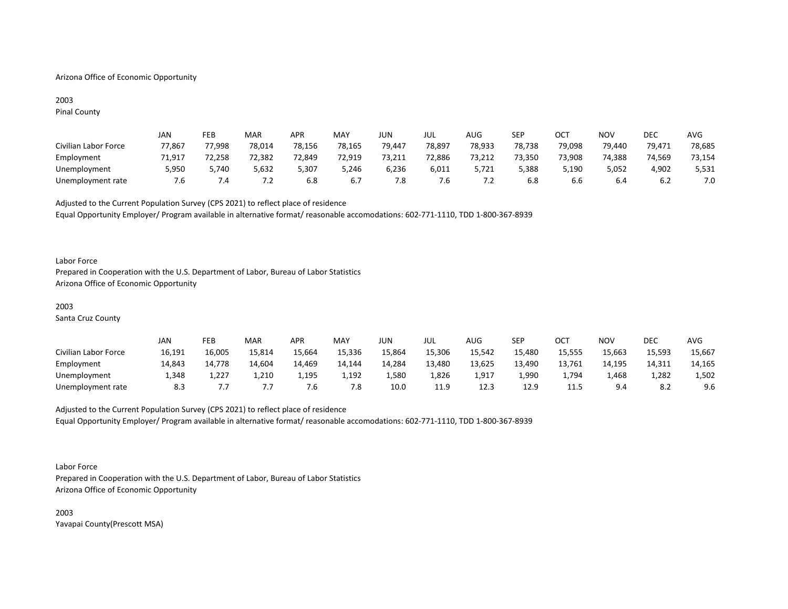# Arizona Office of Economic Opportunity

# 2003 Pinal County

|                      | JAN    | FEB    | MAR          | APR    | MAY    | JUN    | JUL    | AUG    | <b>SEP</b> | ОСТ    | NOV    | DEC    | AVG    |
|----------------------|--------|--------|--------------|--------|--------|--------|--------|--------|------------|--------|--------|--------|--------|
| Civilian Labor Force | 77,867 | 77,998 | 78,014       | 78,156 | 78,165 | 79,447 | 78,897 | 78,933 | 78,738     | 79,098 | 79,440 | 79,471 | 78,685 |
| Employment           | 71,917 | 72,258 | 72,382       | 72,849 | 72,919 | 73,211 | 72,886 | 73,212 | 73,350     | 73,908 | 74,388 | 74,569 | 73,154 |
| Unemployment         | 5,950  | 5,740  | 5,632        | 5,307  | 5,246  | 6,236  | 6,011  | 5,721  | 5,388      | 5,190  | 5,052  | 4,902  | 5,531  |
| Unemployment rate    | '.ხ    | . 4    | . . <u>.</u> | ხ.შ    | 6.7    | 7.8    | '.ხ    | .      | 6.8        | b.b    | 6.4    | 6.Z    |        |

Adjusted to the Current Population Survey (CPS 2021) to reflect place of residence Equal Opportunity Employer/ Program available in alternative format/ reasonable accomodations: 602-771-1110, TDD 1-800-367-8939

#### Labor Force

Prepared in Cooperation with the U.S. Department of Labor, Bureau of Labor Statistics Arizona Office of Economic Opportunity

# 2003

Santa Cruz County

|                      | JAN    | FEB    | MAR    | <b>APR</b> | MAY    | JUN    | JUL    | AUG    | SEP    | ост    | <b>NOV</b> | <b>DEC</b> | <b>AVG</b> |
|----------------------|--------|--------|--------|------------|--------|--------|--------|--------|--------|--------|------------|------------|------------|
| Civilian Labor Force | 16,191 | 16,005 | 15,814 | 15,664     | 15,336 | 15,864 | 15,306 | 15,542 | 15,480 | 15,555 | 15,663     | 15,593     | 15,667     |
| Employment           | 14,843 | 14,778 | 14.604 | 14,469     | 14.144 | 14,284 | 13,480 | 13,625 | 13,490 | 13,761 | 14.195     | 14,311     | 14,165     |
| Unemployment         | 1,348  | 227,⊾  | 1,210  | 1,195      | 1,192  | 1,580  | 1,826  | 1,917  | 1,990  | 4,794  | 1,468      | 1,282      | 1,502      |
| Unemployment rate    | 8.3    |        |        | / .ხ       | 7.8    | 10.0   | 11.9   | 12.3   | 12.9   | 11.5   | 9.4        | 8.Z        | 9.6        |

# Adjusted to the Current Population Survey (CPS 2021) to reflect place of residence Equal Opportunity Employer/ Program available in alternative format/ reasonable accomodations: 602-771-1110, TDD 1-800-367-8939

Labor Force

Prepared in Cooperation with the U.S. Department of Labor, Bureau of Labor Statistics Arizona Office of Economic Opportunity

2003 Yavapai County(Prescott MSA)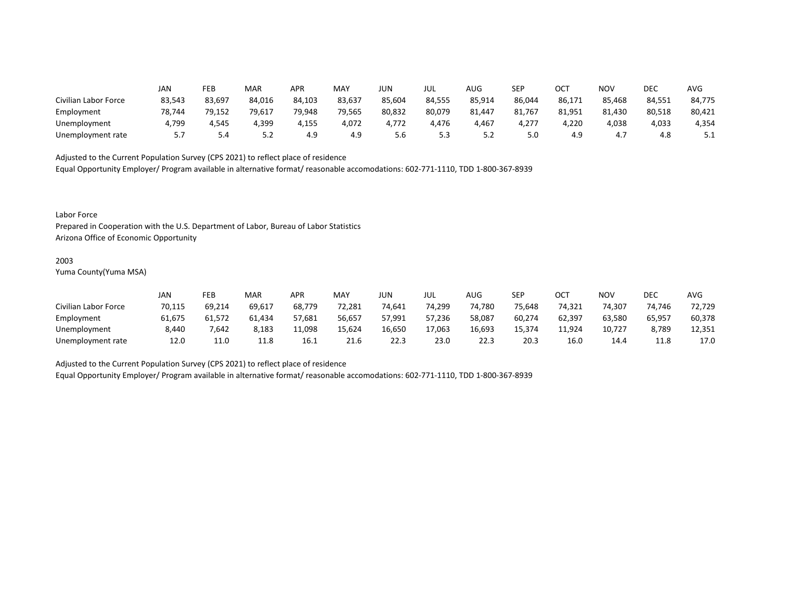|                      | JAN    | FEB    | MAR    | APR    | MAY    | <b>JUN</b> | JUL    | AUG    | <b>SEP</b> | OCT    | <b>NOV</b> | DEC    | <b>AVG</b> |
|----------------------|--------|--------|--------|--------|--------|------------|--------|--------|------------|--------|------------|--------|------------|
| Civilian Labor Force | 83,543 | 83,697 | 84,016 | 84,103 | 83,637 | 85,604     | 84,555 | 85,914 | 86,044     | 86,171 | 85,468     | 84,551 | 84,775     |
| Employment           | 78,744 | 79,152 | 79,617 | 79,948 | 79,565 | 80,832     | 80,079 | 81,447 | 81,767     | 81,951 | 81,430     | 80,518 | 80,421     |
| Unemployment         | 4,799  | 4,545  | 4,399  | 4,155  | 4,072  | 4,772      | 4,476  | 4,467  | 4,277      | 4,220  | 4,038      | 4,033  | 4,354      |
| Unemployment rate    | 5.7    | 5.4    | 5.2    | 4.9    | 4.9    | 5.6        | 5.3    | ے . ۔  | 5.0        | 4.9    | ר ו<br>4., | 4.8    | ـ . ـ      |

Equal Opportunity Employer/ Program available in alternative format/ reasonable accomodations: 602-771-1110, TDD 1-800-367-8939

Labor Force

Prepared in Cooperation with the U.S. Department of Labor, Bureau of Labor Statistics Arizona Office of Economic Opportunity

#### 2003

Yuma County(Yuma MSA)

|                      | JAN    | FEB    | <b>MAR</b> | APR    | MAY    | JUN    | JUL    | AUG    | SEP    | ОСТ    | NOV    | DEC    | <b>AVG</b> |
|----------------------|--------|--------|------------|--------|--------|--------|--------|--------|--------|--------|--------|--------|------------|
| Civilian Labor Force | 70,115 | 69.214 | 69,617     | 68,779 | 72,281 | 74.641 | 74,299 | 74,780 | 75.648 | 74.321 | 74.307 | 74,746 | 72,729     |
| Employment           | 61.675 | 61.572 | 61.434     | 57,681 | 56,657 | 57,991 | 57.236 | 58,087 | 60,274 | 62,397 | 63.580 | 65,957 | 60,378     |
| Unemployment         | 8,440  | 7,642  | 8,183      | 11,098 | 15,624 | 16,650 | 17,063 | 16,693 | 15.374 | 11,924 | 10,727 | 8,789  | 12,351     |
| Unemployment rate    | 12.0   | 11.0   | 11.8       | 16.1   | 21.6   | 22.3   | 23.0   | 22.3   | 20.3   | 16.0   | 14.4   | 11.8   | 17.0       |

Adjusted to the Current Population Survey (CPS 2021) to reflect place of residence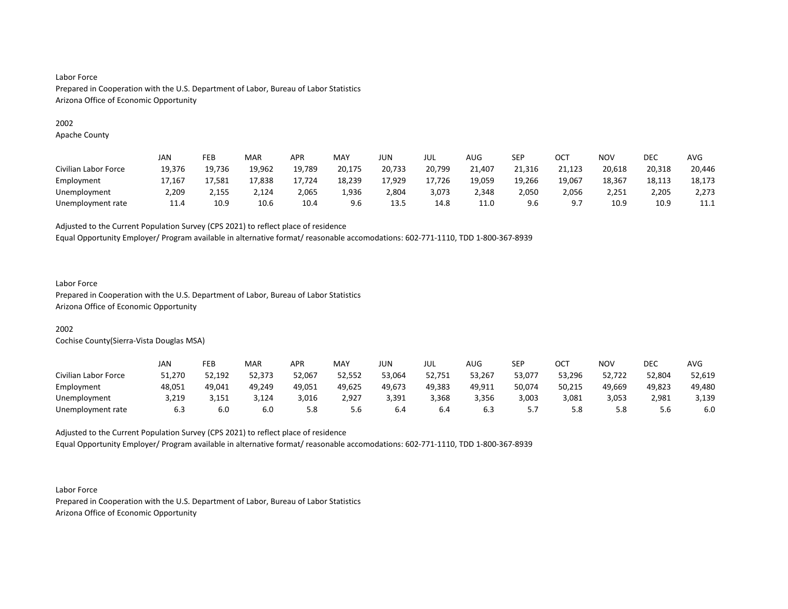# 2002

Apache County

|                      | JAN    | FEB    | <b>MAR</b> | APR    | MAY    | JUN    | JUL    | AUG    | SEP    | ОСТ    | <b>NOV</b> | DEC    | AVG    |
|----------------------|--------|--------|------------|--------|--------|--------|--------|--------|--------|--------|------------|--------|--------|
| Civilian Labor Force | 19,376 | 19,736 | 19,962     | 19,789 | 20,175 | 20,733 | 20,799 | 21,407 | 21,316 | 21,123 | 20,618     | 20,318 | 20,446 |
| Employment           | 17,167 | 17,581 | 17,838     | 17,724 | 18,239 | 17,929 | 17,726 | 19,059 | 19,266 | 19,067 | 18,367     | 18,113 | 18,173 |
| Unemployment         | 2,209  | 2,155  | 2.124      | 2,065  | 1,936  | 2.804  | 3,073  | 2,348  | 2,050  | 2,056  | 2.251      | 2,205  | 2,273  |
| Unemployment rate    | 11.4   | 10.9   | 10.6       | 10.4   | 9.6    | 13.5   | 14.8   | 11.0   | 9.6    | Q      | 10.9       | 10.9   | 11.1   |

Adjusted to the Current Population Survey (CPS 2021) to reflect place of residence

Equal Opportunity Employer/ Program available in alternative format/ reasonable accomodations: 602-771-1110, TDD 1-800-367-8939

# Labor Force

Prepared in Cooperation with the U.S. Department of Labor, Bureau of Labor Statistics Arizona Office of Economic Opportunity

# 2002

Cochise County(Sierra-Vista Douglas MSA)

|                      | JAN    | FEB    | <b>MAR</b> | APR    | MAY    | JUN    | JUL    | AUG    | SEP    | ост    | NOV    | DEC    | AVG    |
|----------------------|--------|--------|------------|--------|--------|--------|--------|--------|--------|--------|--------|--------|--------|
| Civilian Labor Force | 51,270 | 52,192 | 52,373     | 52,067 | 52,552 | 53,064 | 52,751 | 53,267 | 53,077 | 53,296 | 52,722 | 52,804 | 52,619 |
| Employment           | 48,051 | 49,041 | 49,249     | 49,051 | 49,625 | 49,673 | 49,383 | 49,911 | 50,074 | 50,215 | 49,669 | 49,823 | 49,480 |
| Unemployment         | 3,219  | 3,151  | 3,124      | 3,016  | 2,927  | 3,391  | 3,368  | 3,356  | 3,003  | 3,081  | 3,053  | 2,981  | 3,139  |
| Unemployment rate    | 6.3    | 6.0    | 6.0        | 5.8    | 5.6    | 6.4    | 6.4    | b.3    | J.I    | 5.8    | 5.8    | 5.6    | 6.0    |

Adjusted to the Current Population Survey (CPS 2021) to reflect place of residence Equal Opportunity Employer/ Program available in alternative format/ reasonable accomodations: 602-771-1110, TDD 1-800-367-8939

Labor Force Prepared in Cooperation with the U.S. Department of Labor, Bureau of Labor Statistics Arizona Office of Economic Opportunity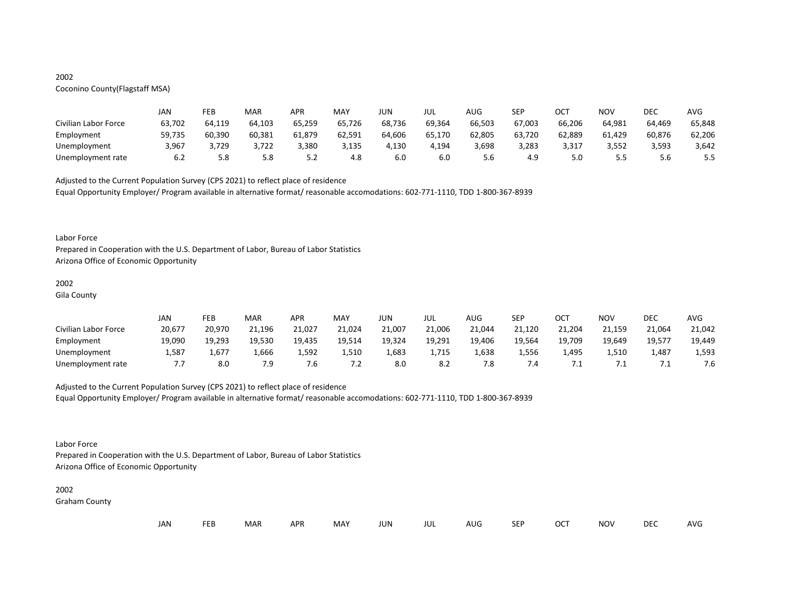# 2002

# Coconino County(Flagstaff MSA)

|                      | JAN    | FEB    | MAR    | <b>APR</b> | MAY    | JUN    | JUL    | AUG    | SEP    | ОСТ    | NOV    | DEC    | AVG    |
|----------------------|--------|--------|--------|------------|--------|--------|--------|--------|--------|--------|--------|--------|--------|
| Civilian Labor Force | 63,702 | 64,119 | 64,103 | 65,259     | 65,726 | 68,736 | 69,364 | 66,503 | 67,003 | 66,206 | 64,981 | 64,469 | 65,848 |
| Employment           | 59,735 | 60,390 | 60,381 | 61,879     | 62,591 | 64,606 | 65,170 | 62,805 | 63,720 | 62,889 | 61,429 | 60,876 | 62,206 |
| Unemployment         | 3,967  | 3,729  | 3,722  | 3,380      | 3,135  | 4,130  | 4,194  | 3,698  | 3,283  | 3,317  | 3,552  | 3,593  | 3,642  |
| Unemployment rate    | 6.2    | 5.8    | 5.8    | ے. ب       | 4.8    | 6.0    | 6.0    | 5.6    | 4.9    | 5.0    |        | 5.6    | 5.5    |

Adjusted to the Current Population Survey (CPS 2021) to reflect place of residence

Equal Opportunity Employer/ Program available in alternative format/ reasonable accomodations: 602-771-1110, TDD 1-800-367-8939

#### Labor Force

Prepared in Cooperation with the U.S. Department of Labor, Bureau of Labor Statistics Arizona Office of Economic Opportunity

# 2002

Gila County

|                      | JAN    | FEB    | MAR    | APR    | MAY    | JUN    | JUL    | AUG    | <b>SEP</b> | OCT    | <b>NOV</b> | DEC    | <b>AVG</b> |
|----------------------|--------|--------|--------|--------|--------|--------|--------|--------|------------|--------|------------|--------|------------|
| Civilian Labor Force | 20,677 | 20,970 | 21,196 | 21,027 | 21,024 | 21,007 | 21,006 | 21,044 | 21,120     | 21,204 | 21,159     | 21,064 | 21,042     |
| Employment           | 19,090 | 19,293 | 19,530 | 19,435 | 19,514 | 19,324 | 19,291 | 19,406 | 19,564     | 19,709 | 19,649     | 19,577 | 19,449     |
| Unemployment         | 1,587  | 1,677  | 1,666  | 1,592  | 1,510  | 1,683  | 1,715  | 1,638  | 1,556      | 1,495  | 1,510      | 487ء   | 1,593      |
| Unemployment rate    |        | 8.0    | 7.9    | ∵.ხ    | 7.2    | 8.0    | 8.2    | 7.8    | $\cdot$ .4 |        |            |        | 7.6        |

# Adjusted to the Current Population Survey (CPS 2021) to reflect place of residence

Equal Opportunity Employer/ Program available in alternative format/ reasonable accomodations: 602-771-1110, TDD 1-800-367-8939

# Labor Force

Prepared in Cooperation with the U.S. Department of Labor, Bureau of Labor Statistics Arizona Office of Economic Opportunity

#### 2002

Graham County

| JAN<br><b>FEB</b><br><b>OCT</b><br>MAR<br>MAY<br><b>APR</b><br><b>NOV</b><br>JUN<br><b>SEP</b><br>AUG<br>jul |  |  |  |  |  |  |  |  |  |  |  | DEC | <b>AVG</b> |
|--------------------------------------------------------------------------------------------------------------|--|--|--|--|--|--|--|--|--|--|--|-----|------------|
|--------------------------------------------------------------------------------------------------------------|--|--|--|--|--|--|--|--|--|--|--|-----|------------|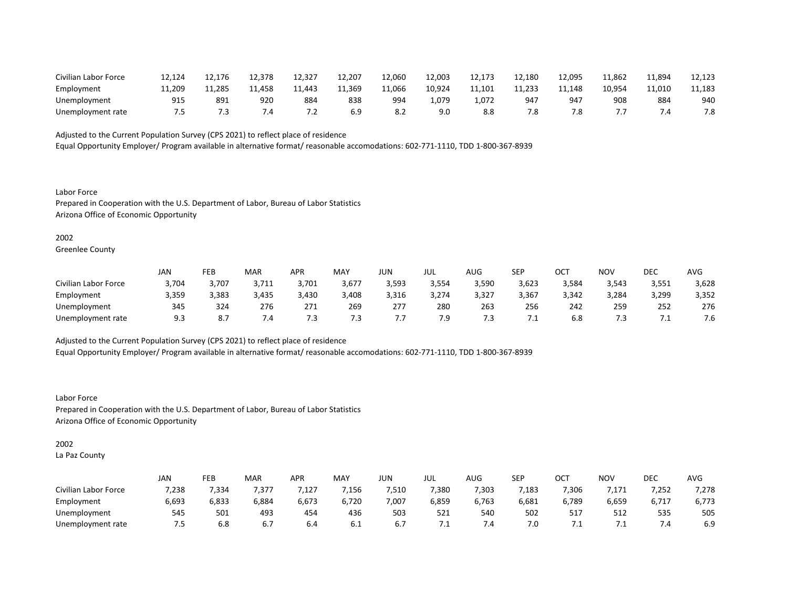| Civilian Labor Force | 12,124 | 12,176 | 12,378 | 12,327    | 12,207 | 12,060 | 12,003 | 12,173 | 12,180 | 12,095 | 11.862 | 11,894 | 12,123 |
|----------------------|--------|--------|--------|-----------|--------|--------|--------|--------|--------|--------|--------|--------|--------|
| Employment           | 11.209 | 11,285 | 11.458 | 11.443    | 11,369 | 11,066 | 10.924 | 11,101 | 11.233 | 11.148 | 10.954 | 11.010 | 11,183 |
| Unemployment         | 91!    | 891    | 920    | 884       | 838    | 994    | 070.ء  | 1.072  | 947    | 947    | 908    | 884    | 940    |
| Unemployment rate    |        |        | .4     | $\cdot$ . | 6.9    | o.z    | 9.0    |        | ه.     |        |        |        | 7.8    |

Equal Opportunity Employer/ Program available in alternative format/ reasonable accomodations: 602-771-1110, TDD 1-800-367-8939

Labor Force Prepared in Cooperation with the U.S. Department of Labor, Bureau of Labor Statistics Arizona Office of Economic Opportunity

#### 2002

Greenlee County

|                      | <b>JAN</b> | FEB                             | <b>MAR</b> | APR   | MAY   | JUN   | JUL   | AUG   | <b>SEP</b> | ост   | NOV   | DEC   | AVG   |
|----------------------|------------|---------------------------------|------------|-------|-------|-------|-------|-------|------------|-------|-------|-------|-------|
| Civilian Labor Force | 3,704      | 3,707                           | 3,711      | 3,701 | 3,677 | 3,593 | 3,554 | 3,590 | 3,623      | 3,584 | 3,543 | 3,551 | 3,628 |
| Employment           | 3,359      | 3,383                           | 3,435      | 3,430 | 3,408 | 3,316 | 3,274 | 3,327 | 3,367      | 3,342 | 3,284 | 3,299 | 3,352 |
| Unemployment         | 345        | 324                             | 276        | 271   | 269   | 277   | 280   | 263   | 256        | 242   | 259   | 252   | 276   |
| Unemployment rate    | 9.3        | $\circ$ -<br>$\mathbf{o} \cdot$ | 4٠. /      | .     | 7.3   |       | 7.9   | 7.3   | .          | 6.8   | 7.3   | . .   | 7.6   |

Adjusted to the Current Population Survey (CPS 2021) to reflect place of residence

Equal Opportunity Employer/ Program available in alternative format/ reasonable accomodations: 602-771-1110, TDD 1-800-367-8939

Labor Force Prepared in Cooperation with the U.S. Department of Labor, Bureau of Labor Statistics Arizona Office of Economic Opportunity

# 2002

La Paz County

|                      | JAN   | FEB   | MAR   | APR   | MAY   | JUN   | JUL          | AUG.  | SEP   | ∩∩⊤<br>◡◡ | <b>NOV</b> | DEC     | AVG   |
|----------------------|-------|-------|-------|-------|-------|-------|--------------|-------|-------|-----------|------------|---------|-------|
| Civilian Labor Force | 7,238 | /334  | /377  | ,127  | 1,156 | 7,510 | ',380        | 7,303 | ,183  | 7,306     | ,171       | 7,252   | 7,278 |
| Employment           | 6,693 | 6,833 | 6,884 | 6,673 | 6,720 | 7,007 | 6,859        | 6,763 | 6,681 | 6,789     | 6,659      | 6,717   | 6,773 |
| Unemployment         | 545   | 501   | 493   | 454   | 436   | 503   | 521          | 540   | 502   | 517       | 512        | 535     | 505   |
| Unemployment rate    | 7.5   | 6.8   | 6.7   | 6.4   | 6.1   |       | , <u>. .</u> | 7.4   | 7.0   | .         | . .        | $\cdot$ | 6.9   |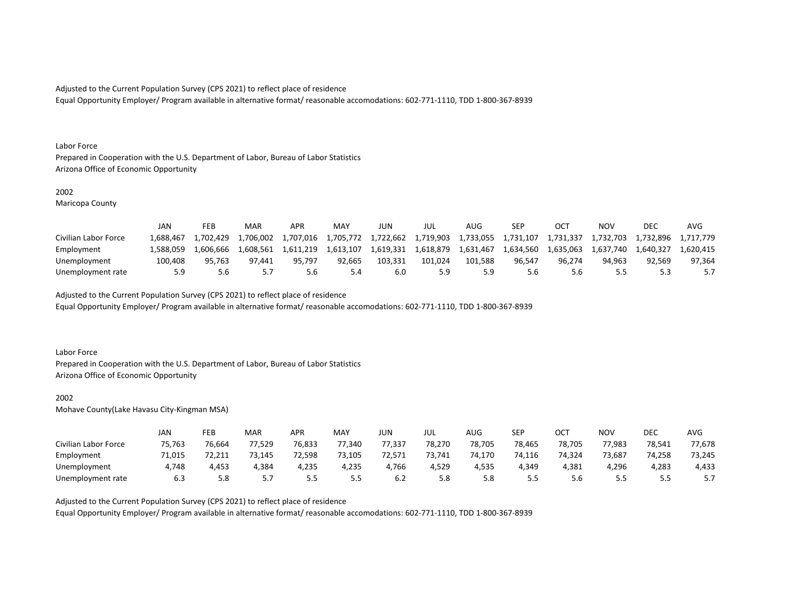Equal Opportunity Employer/ Program available in alternative format/ reasonable accomodations: 602-771-1110, TDD 1-800-367-8939

#### Labor Force

Prepared in Cooperation with the U.S. Department of Labor, Bureau of Labor Statistics Arizona Office of Economic Opportunity

## 2002

Maricopa County

|                      | JAN       | FEB        | MAR       | <b>APR</b> | <b>MAY</b> | JUN       | JUL       | AUG.      | SEP       |           | NOV       | DEC       | AVG       |
|----------------------|-----------|------------|-----------|------------|------------|-----------|-----------|-----------|-----------|-----------|-----------|-----------|-----------|
| Civilian Labor Force | 1.688.467 | 94,702,429 | 1,706,002 | 1,707,016  | 1,705,772  | 1,722,662 | 1,719,903 | 1,733,055 | 1,731,107 | 1.731.337 | 1,732,703 | 1,732,896 | 1.717.779 |
| Employment           | .588.059  | 1.606.666  | 1.608.561 | 1.611.219  | 1.613.107  | 1,619,331 | 1,618,879 | 1,631,467 | 1.634.560 | 1.635.063 | 1.637.740 | 1.640.327 | 1.620.415 |
| Unemployment         | 100.408   | 95.763     | 97.441    | 95.797     | 92.665     | 103.331   | 101.024   | 101.588   | 96.547    | 96.274    | 94.963    | 92.569    | 97.364    |
| Unemployment rate    | 5.9       | 5.6        |           | 5.6        |            | 6.U       | 5.9       |           | 5.6       |           | 5.5       |           |           |

Adjusted to the Current Population Survey (CPS 2021) to reflect place of residence

Equal Opportunity Employer/ Program available in alternative format/ reasonable accomodations: 602-771-1110, TDD 1-800-367-8939

#### Labor Force

Prepared in Cooperation with the U.S. Department of Labor, Bureau of Labor Statistics Arizona Office of Economic Opportunity

#### 2002

Mohave County(Lake Havasu City-Kingman MSA)

|                      | JAN    | FEB    | MAR    | APR    | <b>MAY</b> | JUN    | JUL    | AUG    | SEP    | ост    | NOV    | DEC    | AVG    |
|----------------------|--------|--------|--------|--------|------------|--------|--------|--------|--------|--------|--------|--------|--------|
| Civilian Labor Force | 75,763 | 76,664 | 77,529 | 76,833 | 77.340     | 77,337 | 78,270 | 78,705 | 78,465 | 78,705 | 77,983 | 78,541 | 77,678 |
| Employment           | 71,015 | 72,211 | 73,145 | 72,598 | 73,105     | 72,571 | 73,741 | 74,170 | 74,116 | 74,324 | 73,687 | 74,258 | 73,245 |
| Unemployment         | 4,748  | 4,453  | 4,384  | 4,235  | 4,235      | 4,766  | 4,529  | 4,535  | 4,349  | 4,381  | 4,296  | 4,283  | 4,433  |
| Unemployment rate    | 6.3    | 5.8    | J.I    | ر.ر    | 5.5        | 6.2    | 5.8    | 5.8    | כ.כ    | ס.כ    | 5.5    | -      | 5.7    |

#### Adjusted to the Current Population Survey (CPS 2021) to reflect place of residence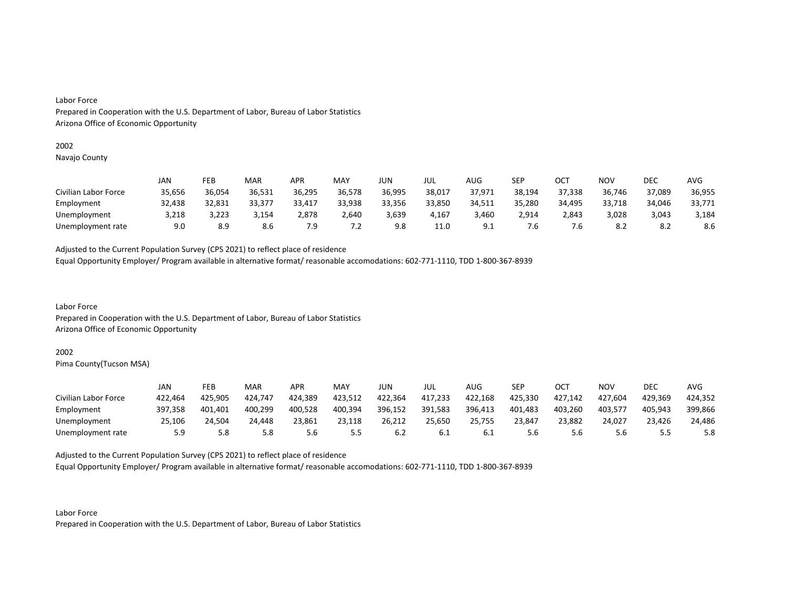# 2002

Navajo County

|                      | JAN    | FEB    | MAR    | APR    | MAY    | JUN    | JUL    | AUG    | SEP    | OCT    | NOV    | DEC    | <b>AVG</b> |
|----------------------|--------|--------|--------|--------|--------|--------|--------|--------|--------|--------|--------|--------|------------|
| Civilian Labor Force | 35,656 | 36,054 | 36,531 | 36,295 | 36,578 | 36,995 | 38,017 | 37,971 | 38,194 | 37,338 | 36,746 | 37,089 | 36,955     |
| Employment           | 32,438 | 32,831 | 33,377 | 33,417 | 33,938 | 33,356 | 33,850 | 34,511 | 35,280 | 34.495 | 33,718 | 34,046 | 33,771     |
| Unemployment         | 3,218  | 3,223  | 3,154  | 2,878  | 2,640  | 3,639  | 4,167  | 3,460  | 2,914  | 2,843  | 3,028  | 3,043  | 3,184      |
| Unemployment rate    | 9.0    | 8.9    | 8.6    | 7.9    | 7.2    | 9.8    | 11.0   | 9.1    | ۰b.    | ۰b.    | 8.2    | 8.2    | 8.6        |

Adjusted to the Current Population Survey (CPS 2021) to reflect place of residence

Equal Opportunity Employer/ Program available in alternative format/ reasonable accomodations: 602-771-1110, TDD 1-800-367-8939

Labor Force Prepared in Cooperation with the U.S. Department of Labor, Bureau of Labor Statistics Arizona Office of Economic Opportunity

# 2002

Pima County(Tucson MSA)

|                      | JAN     | FEB     | MAR     | APR     | MAY     | JUN     | JUL     | AUG.    | <b>SEP</b> | ост     | NOV     | DEC     | AVG     |
|----------------------|---------|---------|---------|---------|---------|---------|---------|---------|------------|---------|---------|---------|---------|
| Civilian Labor Force | 422,464 | 425,905 | 424,747 | 424,389 | 423,512 | 422,364 | 417,233 | 422,168 | 425,330    | 427,142 | 427,604 | 429,369 | 424,352 |
| Employment           | 397,358 | 401.401 | 400,299 | 400,528 | 400,394 | 396,152 | 391,583 | 396,413 | 401,483    | 403,260 | 403,577 | 405,943 | 399,866 |
| Unemployment         | 25.106  | 24.504  | 24.448  | 23,861  | 23,118  | 26,212  | 25,650  | 25,755  | 23,847     | 23,882  | 24.027  | 23,426  | 24,486  |
| Unemployment rate    | 5.9     | 5.8     | 5.8     | 5.6     | ל.ל     | b.2     | 6.1     | b.l     | 5.6        | 5.6     | 5.6     |         | 5.8     |

Adjusted to the Current Population Survey (CPS 2021) to reflect place of residence

Equal Opportunity Employer/ Program available in alternative format/ reasonable accomodations: 602-771-1110, TDD 1-800-367-8939

Labor Force Prepared in Cooperation with the U.S. Department of Labor, Bureau of Labor Statistics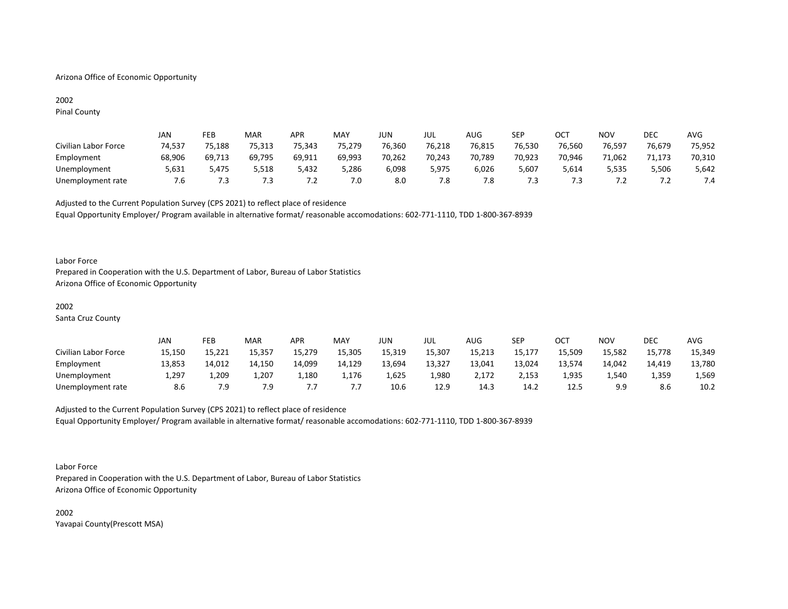# Arizona Office of Economic Opportunity

# 2002 Pinal County

|                      | <b>JAN</b> | FEB    | MAR    | <b>APR</b>               | MAY    | JUN    | JUL    | AUG.   | <b>SEP</b> | ост    | <b>NOV</b> | <b>DEC</b> | AVG    |
|----------------------|------------|--------|--------|--------------------------|--------|--------|--------|--------|------------|--------|------------|------------|--------|
| Civilian Labor Force | 74,537     | 75,188 | 75,313 | 75,343                   | 75,279 | 76,360 | 76,218 | 76,815 | 76,530     | 76,560 | 76,597     | 76,679     | 75,952 |
| Employment           | 68,906     | 69,713 | 69,795 | 69,911                   | 69,993 | 70,262 | 70,243 | 70,789 | 70,923     | 70,946 | 71,062     | 71,173     | 70,310 |
| Unemployment         | 5,631      | 5.475  | 5,518  | 5,432                    | 5,286  | 6,098  | 5,975  | 6,026  | 5,607      | 5,614  | 5,535      | 5,506      | 5,642  |
| Unemployment rate    | /.ხ        |        |        | $\overline{\phantom{a}}$ | 7.0    | 8.0    | 7.8    | ن. '   | ا          |        | $\cdot$    | $\cdot$ .  | 7.4    |

Adjusted to the Current Population Survey (CPS 2021) to reflect place of residence Equal Opportunity Employer/ Program available in alternative format/ reasonable accomodations: 602-771-1110, TDD 1-800-367-8939

#### Labor Force

Prepared in Cooperation with the U.S. Department of Labor, Bureau of Labor Statistics Arizona Office of Economic Opportunity

# 2002

Santa Cruz County

|                      | JAN    | FEB    | MAR    | <b>APR</b> | <b>MAY</b> | JUN    | JUL    | AUG    | SEP    | ост    | <b>NOV</b> | <b>DEC</b> | <b>AVG</b> |
|----------------------|--------|--------|--------|------------|------------|--------|--------|--------|--------|--------|------------|------------|------------|
| Civilian Labor Force | 15,150 | 15,221 | 15,357 | 15,279     | 15,305     | 15,319 | 15,307 | 15,213 | 15,177 | 15,509 | 15,582     | 15,778     | 15,349     |
| Employment           | 13,853 | 14,012 | 14.150 | 14,099     | 14,129     | 13,694 | 13,327 | 13,041 | 13,024 | 13,574 | 14,042     | 14.419     | 13,780     |
| Unemployment         | 1,297  | 209ء   | 1,207  | 1,180      | 1,176      | 1,625  | 1,980  | 2,172  | 2,153  | 1,935  | 1.540      | 1,359      | 1,569      |
| Unemployment rate    | 8.6    | 7.9    | 7.9    |            | .          | 10.6   | 12.9   | 14.3   | 14.2   | 12.5   | 9.9        | 8.6        | 10.2       |

# Adjusted to the Current Population Survey (CPS 2021) to reflect place of residence Equal Opportunity Employer/ Program available in alternative format/ reasonable accomodations: 602-771-1110, TDD 1-800-367-8939

#### Labor Force

Prepared in Cooperation with the U.S. Department of Labor, Bureau of Labor Statistics Arizona Office of Economic Opportunity

2002 Yavapai County(Prescott MSA)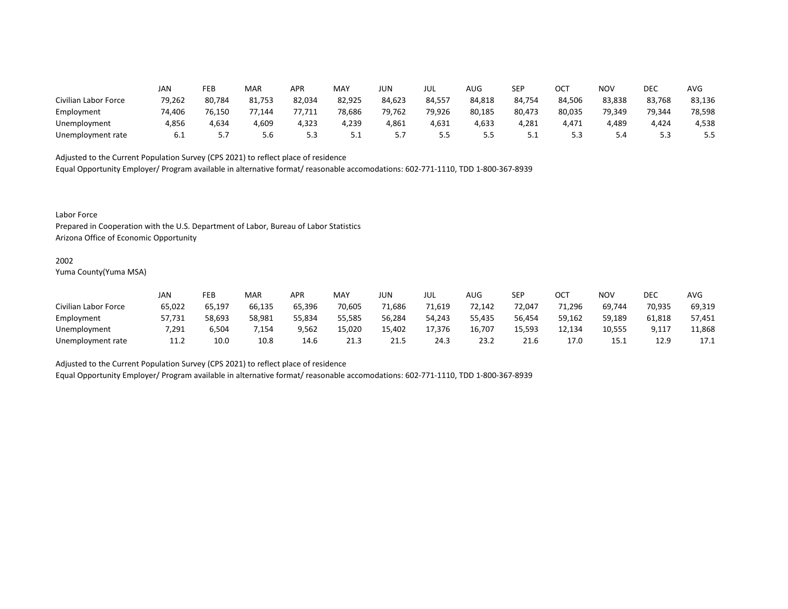|                      | JAN    | FEB    | MAR    | APR    | MAY    | JUN    | JUL    | AUG    | <b>SEP</b> | ОСТ    | NOV    | DEC    | AVG    |
|----------------------|--------|--------|--------|--------|--------|--------|--------|--------|------------|--------|--------|--------|--------|
| Civilian Labor Force | 79,262 | 80,784 | 81,753 | 82,034 | 82,925 | 84,623 | 84,557 | 84,818 | 84,754     | 84,506 | 83,838 | 83,768 | 83,136 |
| Employment           | 74,406 | 76,150 | 77,144 | 77,711 | 78,686 | 79,762 | 79,926 | 80,185 | 80,473     | 80,035 | 79,349 | 79,344 | 78,598 |
| Unemployment         | 4,856  | 4,634  | 4,609  | 4,323  | 4,239  | 4,861  | 4,631  | 4,633  | 4,281      | 4,471  | 4,489  | 4,424  | 4,538  |
| Unemployment rate    | 6.1    | .      | 5.6    | 5.3    | ـ . ـ  | .      | 5.5    |        | <u>.</u>   | ں ۔    | 5.4    |        | 5.5    |

Equal Opportunity Employer/ Program available in alternative format/ reasonable accomodations: 602-771-1110, TDD 1-800-367-8939

Labor Force

Prepared in Cooperation with the U.S. Department of Labor, Bureau of Labor Statistics Arizona Office of Economic Opportunity

#### 2002

Yuma County(Yuma MSA)

|                      | Jan    | FEB    | <b>MAR</b> | APR    | MAY    | JUN    | JUL    | AUG    | SEP    | ОСТ    | NOV    | DEC    | AVG    |
|----------------------|--------|--------|------------|--------|--------|--------|--------|--------|--------|--------|--------|--------|--------|
| Civilian Labor Force | 65,022 | 65,197 | 66,135     | 65,396 | 70,605 | 71,686 | 71,619 | 72,142 | 72,047 | 71,296 | 69,744 | 70,935 | 69,319 |
| Employment           | 57,731 | 58,693 | 58,981     | 55,834 | 55,585 | 56,284 | 54,243 | 55,435 | 56,454 | 59,162 | 59,189 | 61,818 | 57,451 |
| Unemployment         | 7,291  | 6,504  | 7.154      | 9,562  | 15,020 | 15.402 | 17.376 | 16,707 | 15.593 | 12.134 | 10,555 | 9,117  | 11,868 |
| Unemployment rate    | 11.2   | 10.0   | 10.8       | 14.6   | 21.3   | 21.5   | 24.3   | 23.2   | 21.6   | 17.0   | 15.1   | 12.9   | 17.1   |

Adjusted to the Current Population Survey (CPS 2021) to reflect place of residence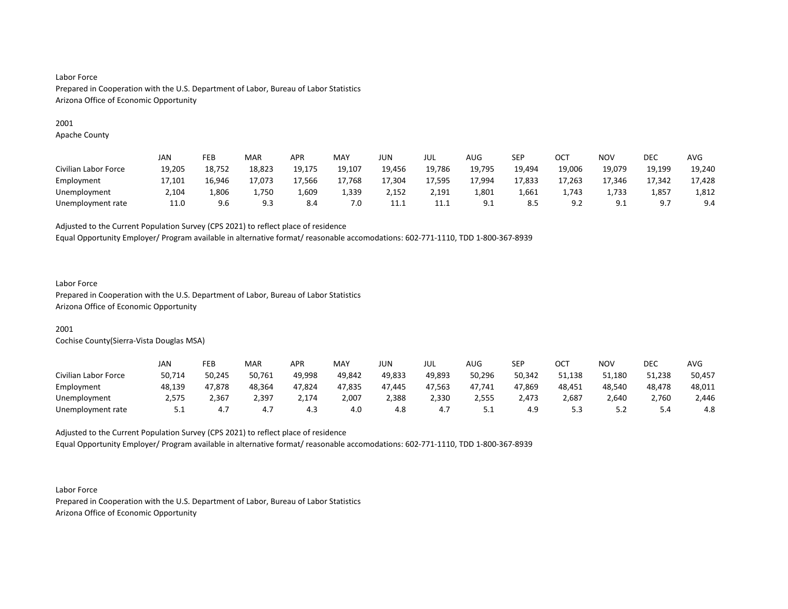# 2001

Apache County

|                      | JAN    | FEB    | <b>MAR</b> | APR    | MAY    | JUN    | JUL    | AUG                     | SEP    | OCT    | <b>NOV</b>                 | DEC    | AVG    |
|----------------------|--------|--------|------------|--------|--------|--------|--------|-------------------------|--------|--------|----------------------------|--------|--------|
| Civilian Labor Force | 19,205 | 18,752 | 18,823     | 19,175 | 19,107 | 19,456 | 19,786 | 19,795                  | 19,494 | 19,006 | 19,079                     | 19,199 | 19,240 |
| Employment           | 17,101 | 16,946 | 17,073     | 17,566 | 17,768 | 17,304 | 17,595 | 17,994                  | 17,833 | 17,263 | 17,346                     | 17,342 | 17,428 |
| Unemployment         | 2.104  | L.806  | 1.750      | 1,609  | 1,339  | 2,152  | 2,191  | 1,801                   | 1,661  | 1.743  | 1.733                      | 1,857  | 1,812  |
| Unemployment rate    | 11.0   | 9.6    | 9.3        | 8.4    | 7.0    | 11.1   | 11.1   | Q <sub>1</sub><br>ـ . ـ | 8.5    | Q      | Q <sub>1</sub><br><u>.</u> | q      | 9.4    |

Adjusted to the Current Population Survey (CPS 2021) to reflect place of residence

Equal Opportunity Employer/ Program available in alternative format/ reasonable accomodations: 602-771-1110, TDD 1-800-367-8939

# Labor Force

Prepared in Cooperation with the U.S. Department of Labor, Bureau of Labor Statistics Arizona Office of Economic Opportunity

# 2001

Cochise County(Sierra-Vista Douglas MSA)

|                      | JAN        | FEB    | <b>MAR</b> | APR           | MAY    | JUN    | JUL    | AUG      | SEP    | ост    | NOV     | DEC    | AVG    |
|----------------------|------------|--------|------------|---------------|--------|--------|--------|----------|--------|--------|---------|--------|--------|
| Civilian Labor Force | 50,714     | 50,245 | 50,761     | 49,998        | 49,842 | 49,833 | 49,893 | 50,296   | 50,342 | 51,138 | 51,180  | 51,238 | 50,457 |
| Employment           | 48,139     | 47,878 | 48,364     | 47,824        | 47,835 | 47.445 | 47,563 | 47,741   | 47,869 | 48,451 | 48,540  | 48,478 | 48,011 |
| Unemployment         | 2,575      | 2,367  | 2,397      | $\angle$ ,174 | 2,007  | 2,388  | 2,330  | 2,555    | 2,473  | 2,687  | 2,640   | 2,760  | 2,446  |
| Unemployment rate    | <b>J.L</b> | 4.7    | 4.7        | 4.3           | 4.0    | 4.8    | 4.7    | <u>.</u> | 4.9    |        | <u></u> | 5.4    | 4.8    |

Adjusted to the Current Population Survey (CPS 2021) to reflect place of residence Equal Opportunity Employer/ Program available in alternative format/ reasonable accomodations: 602-771-1110, TDD 1-800-367-8939

Labor Force Prepared in Cooperation with the U.S. Department of Labor, Bureau of Labor Statistics Arizona Office of Economic Opportunity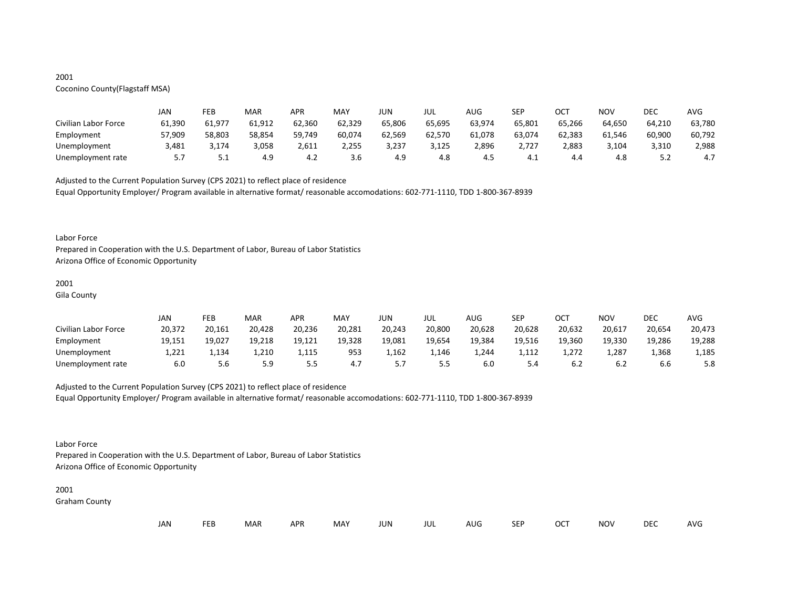# 2001

# Coconino County(Flagstaff MSA)

|                      | JAN     | FEB      | MAR    | APR    | MAY    | JUN    | JUL    | AUG    | <b>SEP</b> | ост    | NOV    | DEC    | AVG    |
|----------------------|---------|----------|--------|--------|--------|--------|--------|--------|------------|--------|--------|--------|--------|
| Civilian Labor Force | 61,390  | 61,977   | 61,912 | 62,360 | 62,329 | 65,806 | 65,695 | 63,974 | 65,801     | 65,266 | 64.650 | 64,210 | 63,780 |
| Employment           | 57,909  | 58,803   | 58,854 | 59,749 | 60,074 | 62,569 | 62,570 | 61,078 | 63,074     | 62,383 | 61,546 | 60,900 | 60,792 |
| Unemployment         | 3,481   | 3,174    | 3,058  | 2,611  | 2,255  | 3,237  | 3,125  | 2,896  | 2,727      | 2,883  | 3,104  | 3,310  | 2,988  |
| Unemployment rate    | 57<br>. | <u>.</u> | 4.9    | 4.2    | 3.6    | 4.9    | 4.8    | 4.5    | 4. L       | 4.4    | 4.8    | ے . د  | 4.7    |

Adjusted to the Current Population Survey (CPS 2021) to reflect place of residence

Equal Opportunity Employer/ Program available in alternative format/ reasonable accomodations: 602-771-1110, TDD 1-800-367-8939

#### Labor Force

Prepared in Cooperation with the U.S. Department of Labor, Bureau of Labor Statistics Arizona Office of Economic Opportunity

# 2001

Gila County

|                      | JAN    | FEB    | MAR    | APR    | MAY    | JUN    | JUL    | AUG    | <b>SEP</b> | ост    | NOV    | DEC    | AVG    |
|----------------------|--------|--------|--------|--------|--------|--------|--------|--------|------------|--------|--------|--------|--------|
| Civilian Labor Force | 20,372 | 20,161 | 20,428 | 20,236 | 20,281 | 20,243 | 20,800 | 20,628 | 20,628     | 20,632 | 20,617 | 20,654 | 20,473 |
| Employment           | 19.151 | 19,027 | 19,218 | 19,121 | 19,328 | 19,081 | 19,654 | 19,384 | 19,516     | 19,360 | 19,330 | 19,286 | 19,288 |
| Unemployment         | L,221  | 1,134  | 1,210  | 1,115  | 953    | 1,162  | 1,146  | 1,244  | 1,112      | 1.272  | 1,287  | 1,368  | 1,185  |
| Unemployment rate    | 6.0    | 5.6    | 5.9    | ر.ر    | 4.7    |        | 5.5    | 6.0    | 5.4        | 6.2    | 6.2    | b.b    | 5.8    |

# Adjusted to the Current Population Survey (CPS 2021) to reflect place of residence

Equal Opportunity Employer/ Program available in alternative format/ reasonable accomodations: 602-771-1110, TDD 1-800-367-8939

# Labor Force

Prepared in Cooperation with the U.S. Department of Labor, Bureau of Labor Statistics Arizona Office of Economic Opportunity

#### 2001

Graham County

| JAN |  | <b>FEB</b> | MAR | <b>APR</b> | MAY | JUN | JUL | AUG | <b>SEP</b> | <b>OCT</b> | <b>NOV</b> | <b>DEC</b> | AVG |
|-----|--|------------|-----|------------|-----|-----|-----|-----|------------|------------|------------|------------|-----|
|-----|--|------------|-----|------------|-----|-----|-----|-----|------------|------------|------------|------------|-----|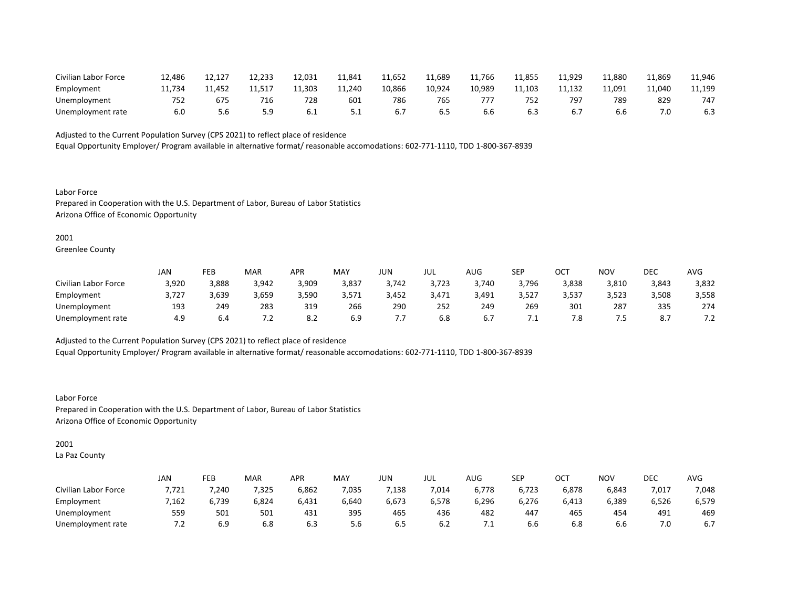| Civilian Labor Force | 12,486 |        | 12,233 | 12,031 | 11,841   | 11,652 | 1,689ء | 11,766 | 11,855 | 11.929 | 11.880 | 11,869 | 11,946 |
|----------------------|--------|--------|--------|--------|----------|--------|--------|--------|--------|--------|--------|--------|--------|
| Employment           | 11.734 | 11.452 |        | 11,303 | 11.240   | 10,866 | 10.924 | 10,989 | 11.103 | 11,132 | 11,091 | 11.040 | 11,199 |
| Unemployment         |        | b/.    | 716    | 728    | 601      | 786    | 765    |        | 752    | 797    | 785    | 829    | 747    |
| Unemployment rate    | b.U    |        |        | b.l    | <u>.</u> | b.,    | b.5    | 6.6    |        |        | 6.6    |        | 6.3    |

Equal Opportunity Employer/ Program available in alternative format/ reasonable accomodations: 602-771-1110, TDD 1-800-367-8939

Labor Force Prepared in Cooperation with the U.S. Department of Labor, Bureau of Labor Statistics Arizona Office of Economic Opportunity

# 2001

Greenlee County

|                      | <b>JAN</b> | FEB   | <b>MAR</b> | APR   | MAY   | JUN   | JUL   | AUG   | <b>SEP</b> | ост   | NOV   | DEC   | AVG                                  |
|----------------------|------------|-------|------------|-------|-------|-------|-------|-------|------------|-------|-------|-------|--------------------------------------|
| Civilian Labor Force | 3,920      | 3,888 | 3,942      | 3,909 | 3,837 | 3,742 | 3,723 | 3,740 | 3,796      | 3,838 | 3,810 | 3,843 | 3,832                                |
| Employment           | 3,727      | 5,639 | 3,659      | 3,590 | 3,571 | 3,452 | 3,471 | 3,491 | 3,527      | 3,537 | 3,523 | 3,508 | 3,558                                |
| Unemployment         | 193        | 249   | 283        | 319   | 266   | 290   | 252   | 249   | 269        | 301   | 287   | 335   | 274                                  |
| Unemployment rate    | 4.9        | b.4   |            | 8.2   | 6.9   |       | 6.8   | o.,   |            | 7.8   | . ت   |       | 7 <sub>2</sub><br>$\sim$ . 4. $\sim$ |

Adjusted to the Current Population Survey (CPS 2021) to reflect place of residence

Equal Opportunity Employer/ Program available in alternative format/ reasonable accomodations: 602-771-1110, TDD 1-800-367-8939

Labor Force Prepared in Cooperation with the U.S. Department of Labor, Bureau of Labor Statistics Arizona Office of Economic Opportunity

# 2001

La Paz County

|                      | JAN   | FEB   | MAR   | APR   | <b>MAY</b> | JUN   | JUL   | AUG   | SEP   | $\sim$ $\sim$<br>◡◡ | NOV   | DEC   | AVG   |
|----------------------|-------|-------|-------|-------|------------|-------|-------|-------|-------|---------------------|-------|-------|-------|
| Civilian Labor Force | 7,721 | ,240  | ,325  | 6,862 | ,035       | ,138  | 7,014 | 6,778 | 6,723 | 6,878               | 6,843 | 7,017 | 7,048 |
| Employment           | 7,162 | 6,739 | 6,824 | 6,431 | 6,640      | 6,673 | 6,578 | 6,296 | 6,276 | 6,413               | 6,389 | 6,526 | 6,579 |
| Unemployment         | 559   | 501   | 501   | 431   | 395        | 465   | 436   | 482   | 447   | 465                 | 454   | 491   | 469   |
| Unemployment rate    | ے ،   | 6.9   | 6.8   | b.3   | 5.6        | 6.5   | 6.2   |       | 6.6   | 6.8                 | b.b   | 7.0   | 6.7   |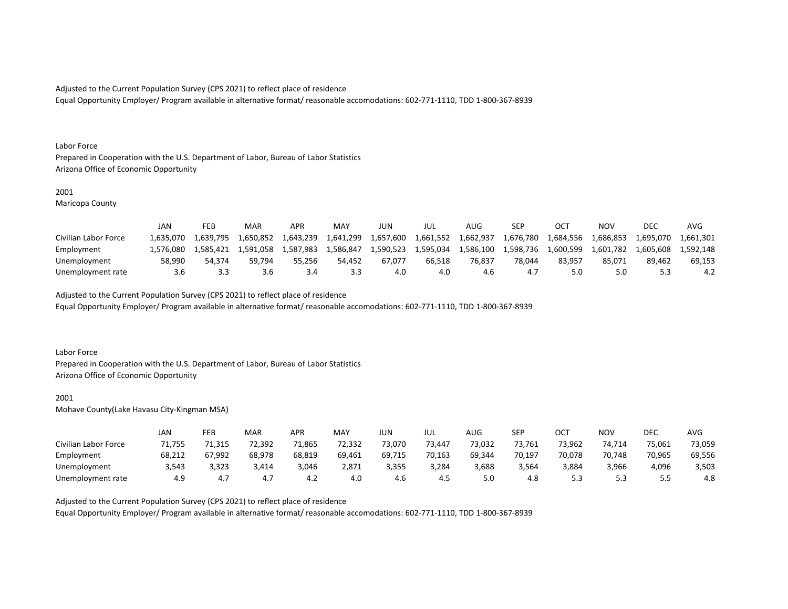Equal Opportunity Employer/ Program available in alternative format/ reasonable accomodations: 602-771-1110, TDD 1-800-367-8939

#### Labor Force

Prepared in Cooperation with the U.S. Department of Labor, Bureau of Labor Statistics Arizona Office of Economic Opportunity

## 2001

Maricopa County

|                      | JAN       | FEB       | MAR       | <b>APR</b> | <b>MAY</b> | JUN       | JUL       | AUG.      | SEP       |           | NOV       | DEC       | AVG       |
|----------------------|-----------|-----------|-----------|------------|------------|-----------|-----------|-----------|-----------|-----------|-----------|-----------|-----------|
| Civilian Labor Force | 1.635.070 | 1.639.795 | 1.650.852 | 1,643,239  | 1,641,299  | 1,657,600 | 1,661,552 | 1,662,937 | 1,676,780 | 1,684,556 | 1,686,853 | 1,695,070 | 1,661,301 |
| Employment           | 1.576.080 | 1.585.421 | 1.591.058 | 1.587.983  | 1.586.847  | 1,590,523 | 1.595.034 | 1.586.100 | 1.598.736 | 1.600.599 | 1,601,782 | 1.605.608 | L.592.148 |
| Unemployment         | 58.990    | 54.374    | 59.794    | 55.256     | 54.452     | 67.077    | 66.518    | 76.837    | 78.044    | 83.957    | 85.071    | 89.462    | 69.153    |
| Unemployment rate    | 3.6       |           | 3.6       |            | 3.3        | 4.0       | 4.0       | 4.6       |           |           | 5.0       |           | 4.2       |

Adjusted to the Current Population Survey (CPS 2021) to reflect place of residence

Equal Opportunity Employer/ Program available in alternative format/ reasonable accomodations: 602-771-1110, TDD 1-800-367-8939

# Labor Force

Prepared in Cooperation with the U.S. Department of Labor, Bureau of Labor Statistics Arizona Office of Economic Opportunity

## 2001

Mohave County(Lake Havasu City-Kingman MSA)

|                      | JAN    | FEB    | MAR    | APR    | MAY    | JUN    | JUL    | AUG    | <b>SEP</b> | ост    | NOV    | DEC    | AVG    |
|----------------------|--------|--------|--------|--------|--------|--------|--------|--------|------------|--------|--------|--------|--------|
| Civilian Labor Force | 71,755 | 1.315  | 72,392 | 71,865 | 72,332 | 73,070 | 73.447 | 73,032 | 73,761     | 73,962 | 74.714 | 75,061 | 73,059 |
| Employment           | 68,212 | 67,992 | 68,978 | 68,819 | 69,461 | 69,715 | 70,163 | 69,344 | 70,197     | 70,078 | 70,748 | 70,965 | 69,556 |
| Unemployment         | 3,543  | 3,323  | 3,414  | 3,046  | 2,871  | 3,355  | 3,284  | 3,688  | 3,564      | 3,884  | 3,966  | 4,096  | 3,503  |
| Unemployment rate    | 4.9    | 4.7    | 4.7    | 4.Z    | 4.0    | 4.6    | 4.5    | 5.0    | 4.8        |        |        | --     | 4.8    |

Adjusted to the Current Population Survey (CPS 2021) to reflect place of residence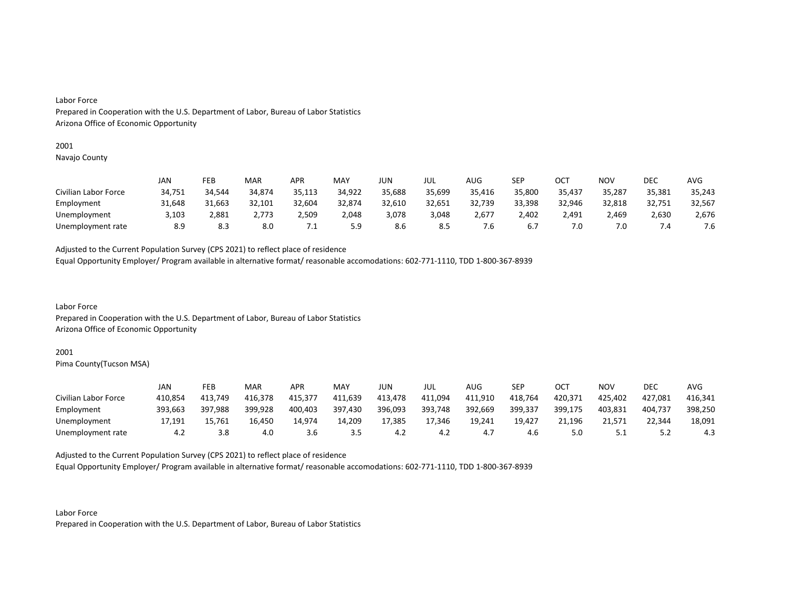# 2001

Navajo County

|                      | JAN    | FEB    | MAR    | APR    | MAY    | JUN    | JUL    | AUG    | SEP    | ОСТ    | NOV    | <b>DEC</b> | AVG    |
|----------------------|--------|--------|--------|--------|--------|--------|--------|--------|--------|--------|--------|------------|--------|
| Civilian Labor Force | 34,751 | 34,544 | 34,874 | 35,113 | 34,922 | 35,688 | 35,699 | 35,416 | 35,800 | 35,437 | 35,287 | 35,381     | 35,243 |
| Employment           | 31,648 | 31,663 | 32,101 | 32,604 | 32,874 | 32,610 | 32,651 | 32,739 | 33,398 | 32,946 | 32,818 | 32,751     | 32,567 |
| Unemployment         | 3,103  | 2,881  | 2,773  | 2,509  | 2,048  | 3,078  | 3,048  | 2,677  | 2.402  | 2.491  | 2,469  | 2,630      | 2,676  |
| Unemployment rate    | 8.9    | 8.3    | 8.0    | .      | 5.9    | 8.6    | 8.5    | ՛.Ե    | 6.7    | 7.0    | 7.0    | .4         | 7.6    |

Adjusted to the Current Population Survey (CPS 2021) to reflect place of residence

Equal Opportunity Employer/ Program available in alternative format/ reasonable accomodations: 602-771-1110, TDD 1-800-367-8939

Labor Force Prepared in Cooperation with the U.S. Department of Labor, Bureau of Labor Statistics Arizona Office of Economic Opportunity

# 2001

Pima County(Tucson MSA)

|                      | JAN     | FEB     | MAR     | APR     | MAY     | JUN     | JUL     | AUG     | SEP     | ост     | <b>NOV</b> | DEC     | AVG     |
|----------------------|---------|---------|---------|---------|---------|---------|---------|---------|---------|---------|------------|---------|---------|
| Civilian Labor Force | 410,854 | 413,749 | 416,378 | 415,377 | 411,639 | 413,478 | 411,094 | 411,910 | 418,764 | 420,371 | 425,402    | 427,081 | 416,341 |
| Employment           | 393,663 | 397,988 | 399,928 | 400,403 | 397,430 | 396,093 | 393,748 | 392,669 | 399,337 | 399,175 | 403,831    | 404.737 | 398,250 |
| Unemployment         | 17.191  | 15,761  | 16,450  | 14,974  | 14,209  | 17,385  | 17,346  | 19,241  | 19,427  | 21.196  | 21.571     | 22,344  | 18,091  |
| Unemployment rate    | 4.2     | 3.8     | 4.0     | 3.6     | 3.5     | 4.Z     | 4.2     | 4.,     | 4.6     |         |            |         | 4.3     |

Adjusted to the Current Population Survey (CPS 2021) to reflect place of residence

Equal Opportunity Employer/ Program available in alternative format/ reasonable accomodations: 602-771-1110, TDD 1-800-367-8939

Labor Force Prepared in Cooperation with the U.S. Department of Labor, Bureau of Labor Statistics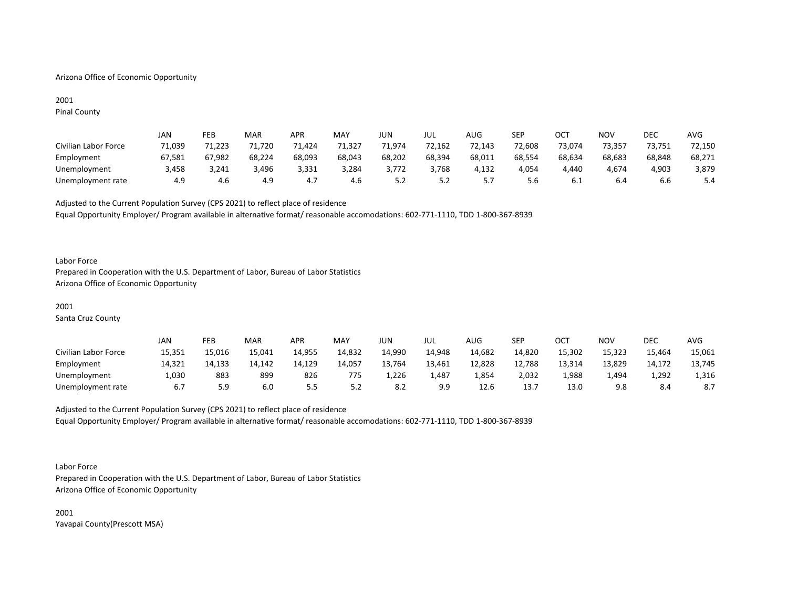# Arizona Office of Economic Opportunity

# 2001 Pinal County

|                      | JAN    | FEB    | MAR    | <b>APR</b> | MAY    | JUN    | JUL    | AUG    | <b>SEP</b> | ост    | <b>NOV</b> | DEC    | AVG    |
|----------------------|--------|--------|--------|------------|--------|--------|--------|--------|------------|--------|------------|--------|--------|
| Civilian Labor Force | 71,039 | 71,223 | 71,720 | 71,424     | 71.327 | 71,974 | 72,162 | 72,143 | 72,608     | 73,074 | 73,357     | 73,751 | 72,150 |
| Employment           | 67,581 | 67,982 | 68,224 | 68,093     | 68,043 | 68,202 | 68,394 | 68,011 | 68,554     | 68,634 | 68,683     | 68,848 | 68,271 |
| Unemployment         | 3,458  | 3,241  | 3,496  | 3,331      | 3,284  | 3,772  | 3,768  | 4,132  | 4,054      | 4,440  | 4,674      | 4,903  | 3,879  |
| Unemployment rate    | 4.9    | 4.6    | 4.9    | 4.,        | 4.6    | ے.د    | ے.د    | J.,    | 5.6        | b.1    | 6.4        | b.b    | 5.4    |

Adjusted to the Current Population Survey (CPS 2021) to reflect place of residence Equal Opportunity Employer/ Program available in alternative format/ reasonable accomodations: 602-771-1110, TDD 1-800-367-8939

#### Labor Force

Prepared in Cooperation with the U.S. Department of Labor, Bureau of Labor Statistics Arizona Office of Economic Opportunity

# 2001

Santa Cruz County

|                      | JAN    | FEB    | <b>MAR</b> | APR     | <b>MAY</b> | JUN    | JUL    | AUG    | SEP    | ост    | <b>NOV</b> | <b>DEC</b> | <b>AVG</b> |
|----------------------|--------|--------|------------|---------|------------|--------|--------|--------|--------|--------|------------|------------|------------|
| Civilian Labor Force | 15,351 | 15,016 | 15,041     | 14,955  | 14,832     | 14,990 | 14,948 | 14,682 | 14,820 | 15,302 | 15,323     | 15,464     | 15,061     |
| Employment           | 14,321 | 14,133 | 14.142     | 14,129  | 14,057     | 13.764 | 13,461 | 12,828 | 12,788 | 13,314 | 13,829     | 14,172     | 13,745     |
| Unemployment         | 1,030  | 883    | 899        | 826     | 775        | 1,226  | 4,487  | 354ء ت | 2,032  | 1,988  | 1,494      | 1,292      | 1,316      |
| Unemployment rate    |        | 5.9    | 6.0        | <u></u> | ے . د      |        | 9.9    | 12.6   | 13.7   | 13.0   | 9.8        | 8.4        | -8.7       |

# Adjusted to the Current Population Survey (CPS 2021) to reflect place of residence Equal Opportunity Employer/ Program available in alternative format/ reasonable accomodations: 602-771-1110, TDD 1-800-367-8939

Labor Force

Prepared in Cooperation with the U.S. Department of Labor, Bureau of Labor Statistics Arizona Office of Economic Opportunity

2001 Yavapai County(Prescott MSA)